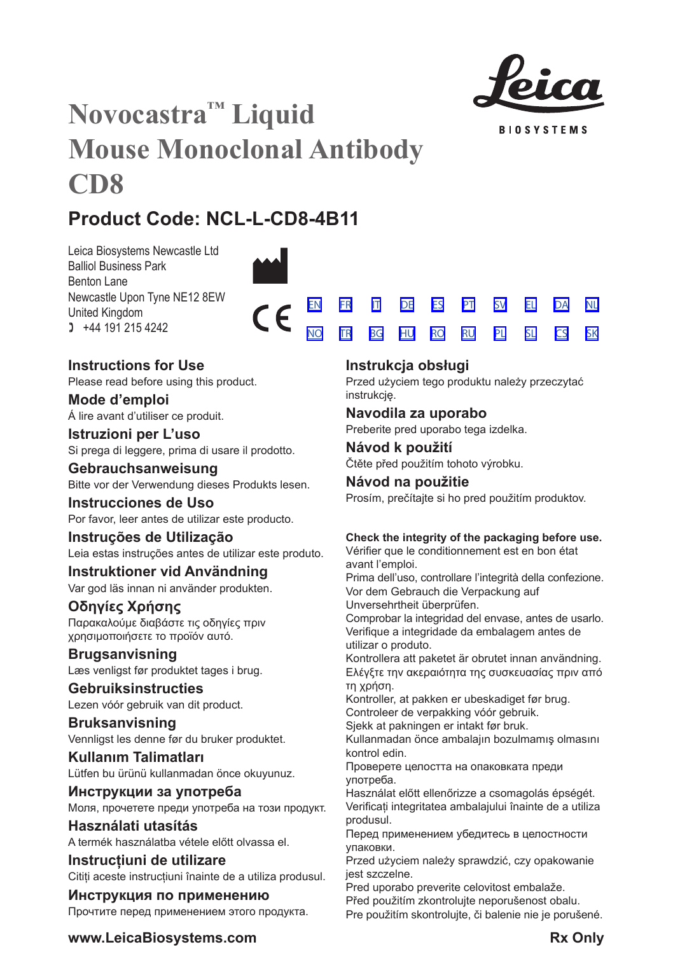

**BIOSYSTEMS** 

[SV](#page-20-0) [EL](#page-23-0) [DA](#page-26-0) [PL](#page-50-0) [SL](#page-53-0) [CS](#page-56-0)

[NL](#page-29-0)

[SK](#page-59-0)

# **Novocastra™ Liquid Mouse Monoclonal Antibody CD8**

# **Product Code: NCL-L-CD8-4B11**

Leica Biosystems Newcastle Ltd Balliol Business Park Benton Lane Newcastle Upon Tyne NE12 8EW United Kingdom  $1 +44 191 215 4242$ 



# **Instructions for Use**

Please read before using this product.

**Mode d'emploi** Á lire avant d'utiliser ce produit.

**Istruzioni per L'uso** Si prega di leggere, prima di usare il prodotto.

**Gebrauchsanweisung** Bitte vor der Verwendung dieses Produkts lesen.

**Instrucciones de Uso** Por favor, leer antes de utilizar este producto.

# **Instruções de Utilização**

Leia estas instruções antes de utilizar este produto.

# **Instruktioner vid Användning**

Var god läs innan ni använder produkten.

# **Οδηγίες Χρήσης**

Παρακαλούμε διαβάστε τις οδηγίες πριν χρησιμοποιήσετε το προϊόν αυτό.

# **Brugsanvisning**

Læs venligst før produktet tages i brug.

# **Gebruiksinstructies**

Lezen vóór gebruik van dit product.

# **Bruksanvisning** Vennligst les denne før du bruker produktet.

**Kullanım Talimatları** Lütfen bu ürünü kullanmadan önce okuyunuz.

# **Инструкции за употреба** Моля, прочетете преди употреба на този продукт.

**Használati utasítás** A termék használatba vétele előtt olvassa el.

# **Instrucțiuni de utilizare** Cititi aceste instructiuni înainte de a utiliza produsul.

**Инструкция по применению** Прочтите перед применением этого продукта.

# **Instrukcja obsługi**

<u>[NO](#page-32-0) [TR](#page-35-0) [BG](#page-38-0) [HU](#page-41-0) [RO](#page-44-0) [RU](#page-47-0)</u>

Przed użyciem tego produktu należy przeczytać instrukcję.

# **Navodila za uporabo**

Preberite pred uporabo tega izdelka.

# **Návod k použití** Čtěte před použitím tohoto výrobku.

# **Návod na použitie**

Prosím, prečítajte si ho pred použitím produktov.

# **Check the integrity of the packaging before use.**

Vérifier que le conditionnement est en bon état avant l'emploi.

Prima dell'uso, controllare l'integrità della confezione. Vor dem Gebrauch die Verpackung auf

Unversehrtheit überprüfen.

Comprobar la integridad del envase, antes de usarlo. Verifique a integridade da embalagem antes de utilizar o produto.

Kontrollera att paketet är obrutet innan användning. Ελέγξτε την ακεραιότητα της συσκευασίας πριν από τη χρήση.

Kontroller, at pakken er ubeskadiget før brug. Controleer de verpakking vóór gebruik.

Sjekk at pakningen er intakt før bruk.

Kullanmadan önce ambalajın bozulmamış olmasını kontrol edin.

Проверете целостта на опаковката преди употреба.

Használat előtt ellenőrizze a csomagolás épségét. Verificați integritatea ambalajului înainte de a utiliza produsul.

Перед применением убедитесь в целостности упаковки.

Przed użyciem należy sprawdzić, czy opakowanie jest szczelne.

Pred uporabo preverite celovitost embalaže.

Před použitím zkontrolujte neporušenost obalu. Pre použitím skontrolujte, či balenie nie je porušené.

# **www.LeicaBiosystems.com Rx** Only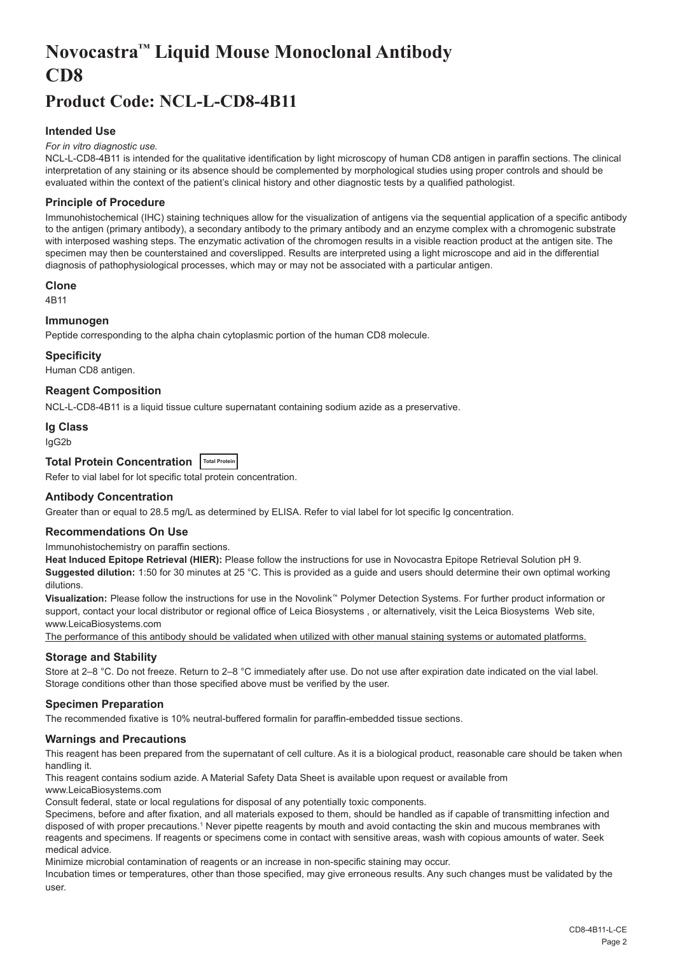# <span id="page-2-0"></span>**Novocastra™ Liquid Mouse Monoclonal Antibody CD8**

# **Product Code: NCL-L-CD8-4B11**

# **Intended Use**

#### *For in vitro diagnostic use.*

NCL-L-CD8-4B11 is intended for the qualitative identification by light microscopy of human CD8 antigen in paraffin sections. The clinical interpretation of any staining or its absence should be complemented by morphological studies using proper controls and should be evaluated within the context of the patient's clinical history and other diagnostic tests by a qualified pathologist.

## **Principle of Procedure**

Immunohistochemical (IHC) staining techniques allow for the visualization of antigens via the sequential application of a specific antibody to the antigen (primary antibody), a secondary antibody to the primary antibody and an enzyme complex with a chromogenic substrate with interposed washing steps. The enzymatic activation of the chromogen results in a visible reaction product at the antigen site. The specimen may then be counterstained and coverslipped. Results are interpreted using a light microscope and aid in the differential diagnosis of pathophysiological processes, which may or may not be associated with a particular antigen.

#### **Clone**

4B11

# **Immunogen**

Peptide corresponding to the alpha chain cytoplasmic portion of the human CD8 molecule.

#### **Specificity**

Human CD8 antigen.

**Reagent Composition**

NCL-L-CD8-4B11 is a liquid tissue culture supernatant containing sodium azide as a preservative.

### **Ig Class**

IgG2b

# **Total Protein Concentration Total Protein**

Refer to vial label for lot specific total protein concentration.

## **Antibody Concentration**

Greater than or equal to 28.5 mg/L as determined by ELISA. Refer to vial label for lot specific Ig concentration.

# **Recommendations On Use**

Immunohistochemistry on paraffin sections.

**Heat Induced Epitope Retrieval (HIER):** Please follow the instructions for use in Novocastra Epitope Retrieval Solution pH 9. **Suggested dilution:** 1:50 for 30 minutes at 25 °C. This is provided as a guide and users should determine their own optimal working dilutions.

**Visualization:** Please follow the instructions for use in the Novolink™ Polymer Detection Systems. For further product information or support, contact your local distributor or regional office of Leica Biosystems , or alternatively, visit the Leica Biosystems Web site, www.LeicaBiosystems.com

The performance of this antibody should be validated when utilized with other manual staining systems or automated platforms.

# **Storage and Stability**

Store at 2–8 °C. Do not freeze. Return to 2–8 °C immediately after use. Do not use after expiration date indicated on the vial label. Storage conditions other than those specified above must be verified by the user.

# **Specimen Preparation**

The recommended fixative is 10% neutral-buffered formalin for paraffin-embedded tissue sections.

#### **Warnings and Precautions**

This reagent has been prepared from the supernatant of cell culture. As it is a biological product, reasonable care should be taken when handling it.

This reagent contains sodium azide. A Material Safety Data Sheet is available upon request or available from

www.LeicaBiosystems.com

Consult federal, state or local regulations for disposal of any potentially toxic components.

Specimens, before and after fixation, and all materials exposed to them, should be handled as if capable of transmitting infection and disposed of with proper precautions.1 Never pipette reagents by mouth and avoid contacting the skin and mucous membranes with reagents and specimens. If reagents or specimens come in contact with sensitive areas, wash with copious amounts of water. Seek medical advice.

Minimize microbial contamination of reagents or an increase in non-specific staining may occur.

Incubation times or temperatures, other than those specified, may give erroneous results. Any such changes must be validated by the user.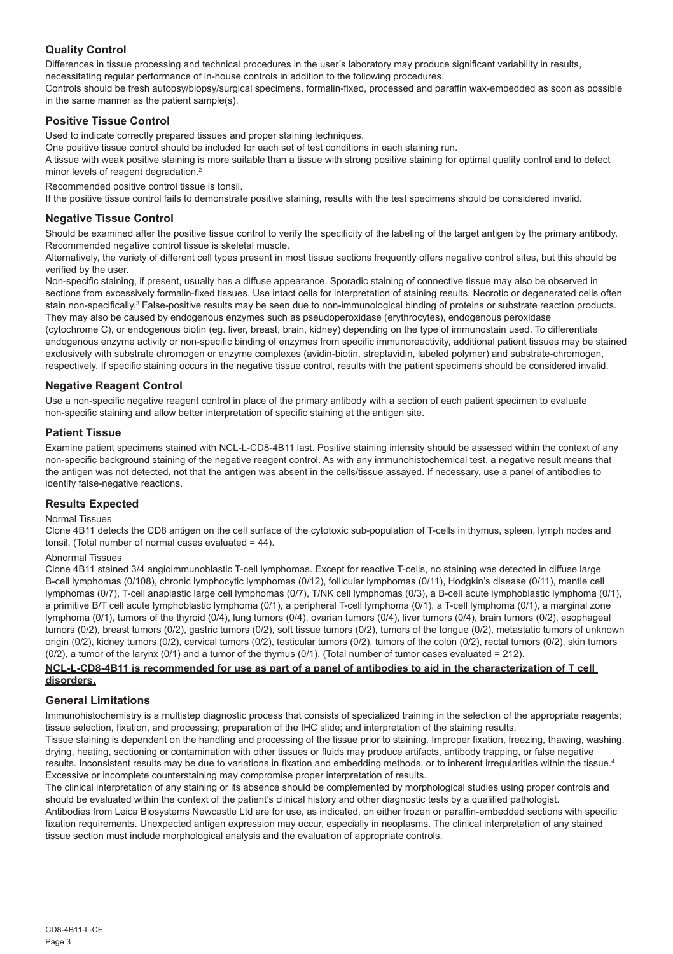# **Quality Control**

Differences in tissue processing and technical procedures in the user's laboratory may produce significant variability in results, necessitating regular performance of in-house controls in addition to the following procedures.

Controls should be fresh autopsy/biopsy/surgical specimens, formalin-fixed, processed and paraffin wax-embedded as soon as possible in the same manner as the patient sample(s).

# **Positive Tissue Control**

Used to indicate correctly prepared tissues and proper staining techniques.

One positive tissue control should be included for each set of test conditions in each staining run.

A tissue with weak positive staining is more suitable than a tissue with strong positive staining for optimal quality control and to detect minor levels of reagent degradation.<sup>2</sup>

Recommended positive control tissue is tonsil.

If the positive tissue control fails to demonstrate positive staining, results with the test specimens should be considered invalid.

# **Negative Tissue Control**

Should be examined after the positive tissue control to verify the specificity of the labeling of the target antigen by the primary antibody. Recommended negative control tissue is skeletal muscle.

Alternatively, the variety of different cell types present in most tissue sections frequently offers negative control sites, but this should be verified by the user.

Non-specific staining, if present, usually has a diffuse appearance. Sporadic staining of connective tissue may also be observed in sections from excessively formalin-fixed tissues. Use intact cells for interpretation of staining results. Necrotic or degenerated cells often stain non-specifically.<sup>3</sup> False-positive results may be seen due to non-immunological binding of proteins or substrate reaction products. They may also be caused by endogenous enzymes such as pseudoperoxidase (erythrocytes), endogenous peroxidase

(cytochrome C), or endogenous biotin (eg. liver, breast, brain, kidney) depending on the type of immunostain used. To differentiate endogenous enzyme activity or non-specific binding of enzymes from specific immunoreactivity, additional patient tissues may be stained exclusively with substrate chromogen or enzyme complexes (avidin-biotin, streptavidin, labeled polymer) and substrate-chromogen, respectively. If specific staining occurs in the negative tissue control, results with the patient specimens should be considered invalid.

# **Negative Reagent Control**

Use a non-specific negative reagent control in place of the primary antibody with a section of each patient specimen to evaluate non-specific staining and allow better interpretation of specific staining at the antigen site.

# **Patient Tissue**

Examine patient specimens stained with NCL-L-CD8-4B11 last. Positive staining intensity should be assessed within the context of any non-specific background staining of the negative reagent control. As with any immunohistochemical test, a negative result means that the antigen was not detected, not that the antigen was absent in the cells/tissue assayed. If necessary, use a panel of antibodies to identify false-negative reactions.

# **Results Expected**

# Normal Tissues

Clone 4B11 detects the CD8 antigen on the cell surface of the cytotoxic sub-population of T-cells in thymus, spleen, lymph nodes and tonsil. (Total number of normal cases evaluated = 44).

#### Abnormal Tissues

Clone 4B11 stained 3/4 angioimmunoblastic T-cell lymphomas. Except for reactive T-cells, no staining was detected in diffuse large B-cell lymphomas (0/108), chronic lymphocytic lymphomas (0/12), follicular lymphomas (0/11), Hodgkin's disease (0/11), mantle cell lymphomas (0/7), T-cell anaplastic large cell lymphomas (0/7), T/NK cell lymphomas (0/3), a B-cell acute lymphoblastic lymphoma (0/1), a primitive B/T cell acute lymphoblastic lymphoma (0/1), a peripheral T-cell lymphoma (0/1), a T-cell lymphoma (0/1), a marginal zone lymphoma (0/1), tumors of the thyroid (0/4), lung tumors (0/4), ovarian tumors (0/4), liver tumors (0/4), brain tumors (0/2), esophageal tumors (0/2), breast tumors (0/2), gastric tumors (0/2), soft tissue tumors (0/2), tumors of the tongue (0/2), metastatic tumors of unknown origin (0/2), kidney tumors (0/2), cervical tumors (0/2), testicular tumors (0/2), tumors of the colon (0/2), rectal tumors (0/2), skin tumors (0/2), a tumor of the larynx (0/1) and a tumor of the thymus (0/1). (Total number of tumor cases evaluated = 212).

### **NCL-L-CD8-4B11 is recommended for use as part of a panel of antibodies to aid in the characterization of T cell disorders.**

# **General Limitations**

Immunohistochemistry is a multistep diagnostic process that consists of specialized training in the selection of the appropriate reagents; tissue selection, fixation, and processing; preparation of the IHC slide; and interpretation of the staining results.

Tissue staining is dependent on the handling and processing of the tissue prior to staining. Improper fixation, freezing, thawing, washing, drying, heating, sectioning or contamination with other tissues or fluids may produce artifacts, antibody trapping, or false negative results. Inconsistent results may be due to variations in fixation and embedding methods, or to inherent irregularities within the tissue.<sup>4</sup> Excessive or incomplete counterstaining may compromise proper interpretation of results.

The clinical interpretation of any staining or its absence should be complemented by morphological studies using proper controls and should be evaluated within the context of the patient's clinical history and other diagnostic tests by a qualified pathologist.

Antibodies from Leica Biosystems Newcastle Ltd are for use, as indicated, on either frozen or paraffin-embedded sections with specific fixation requirements. Unexpected antigen expression may occur, especially in neoplasms. The clinical interpretation of any stained tissue section must include morphological analysis and the evaluation of appropriate controls.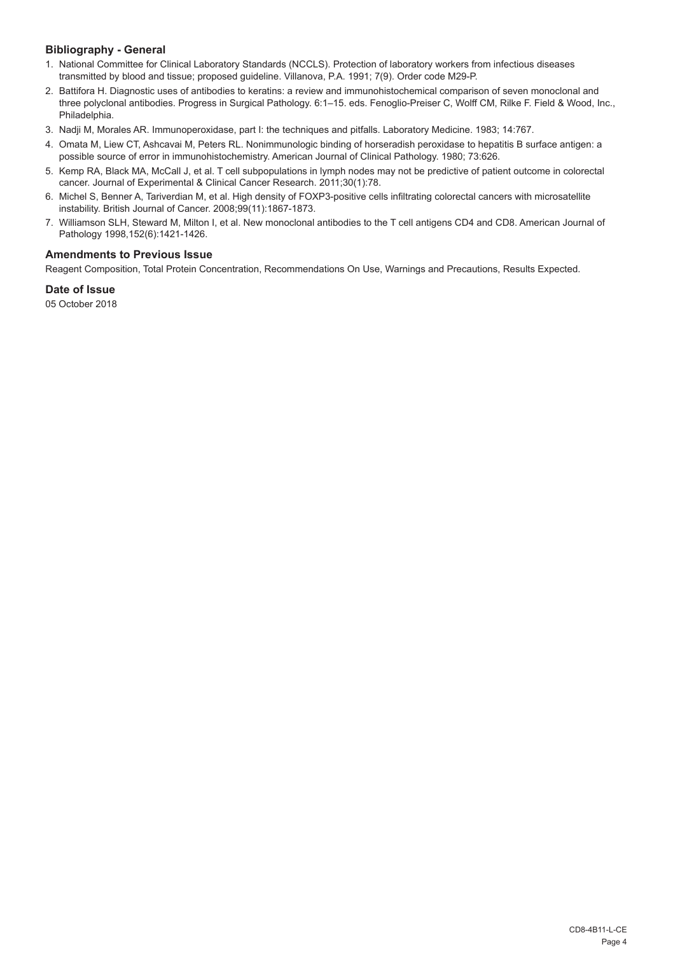# **Bibliography - General**

- 1. National Committee for Clinical Laboratory Standards (NCCLS). Protection of laboratory workers from infectious diseases transmitted by blood and tissue; proposed guideline. Villanova, P.A. 1991; 7(9). Order code M29-P.
- 2. Battifora H. Diagnostic uses of antibodies to keratins: a review and immunohistochemical comparison of seven monoclonal and three polyclonal antibodies. Progress in Surgical Pathology. 6:1–15. eds. Fenoglio-Preiser C, Wolff CM, Rilke F. Field & Wood, Inc., Philadelphia.
- 3. Nadji M, Morales AR. Immunoperoxidase, part I: the techniques and pitfalls. Laboratory Medicine. 1983; 14:767.
- 4. Omata M, Liew CT, Ashcavai M, Peters RL. Nonimmunologic binding of horseradish peroxidase to hepatitis B surface antigen: a possible source of error in immunohistochemistry. American Journal of Clinical Pathology. 1980; 73:626.
- 5. Kemp RA, Black MA, McCall J, et al. T cell subpopulations in lymph nodes may not be predictive of patient outcome in colorectal cancer. Journal of Experimental & Clinical Cancer Research. 2011;30(1):78.
- 6. Michel S, Benner A, Tariverdian M, et al. High density of FOXP3-positive cells infiltrating colorectal cancers with microsatellite instability. British Journal of Cancer. 2008;99(11):1867-1873.
- 7. Williamson SLH, Steward M, Milton I, et al. New monoclonal antibodies to the T cell antigens CD4 and CD8. American Journal of Pathology 1998,152(6):1421-1426.

# **Amendments to Previous Issue**

Reagent Composition, Total Protein Concentration, Recommendations On Use, Warnings and Precautions, Results Expected.

# **Date of Issue**

05 October 2018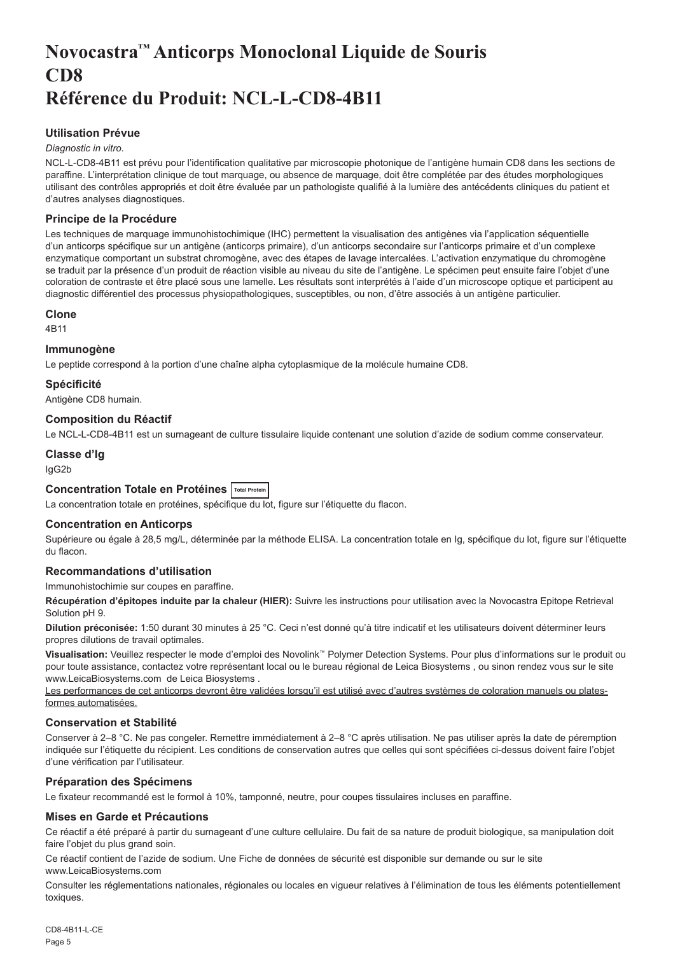# <span id="page-5-0"></span>**Novocastra™ Anticorps Monoclonal Liquide de Souris CD8 Référence du Produit: NCL-L-CD8-4B11**

# **Utilisation Prévue**

#### *Diagnostic in vitro*.

NCL-L-CD8-4B11 est prévu pour l'identification qualitative par microscopie photonique de l'antigène humain CD8 dans les sections de paraffine. L'interprétation clinique de tout marquage, ou absence de marquage, doit être complétée par des études morphologiques utilisant des contrôles appropriés et doit être évaluée par un pathologiste qualifié à la lumière des antécédents cliniques du patient et d'autres analyses diagnostiques.

# **Principe de la Procédure**

Les techniques de marquage immunohistochimique (IHC) permettent la visualisation des antigènes via l'application séquentielle d'un anticorps spécifique sur un antigène (anticorps primaire), d'un anticorps secondaire sur l'anticorps primaire et d'un complexe enzymatique comportant un substrat chromogène, avec des étapes de lavage intercalées. L'activation enzymatique du chromogène se traduit par la présence d'un produit de réaction visible au niveau du site de l'antigène. Le spécimen peut ensuite faire l'objet d'une coloration de contraste et être placé sous une lamelle. Les résultats sont interprétés à l'aide d'un microscope optique et participent au diagnostic différentiel des processus physiopathologiques, susceptibles, ou non, d'être associés à un antigène particulier.

### **Clone**

4B11

# **Immunogène**

Le peptide correspond à la portion d'une chaîne alpha cytoplasmique de la molécule humaine CD8.

# **Spécificité**

Antigène CD8 humain.

# **Composition du Réactif**

Le NCL-L-CD8-4B11 est un surnageant de culture tissulaire liquide contenant une solution d'azide de sodium comme conservateur.

# **Classe d'Ig**

IgG2b

# **Concentration Totale en Protéines Total Protein**

La concentration totale en protéines, spécifique du lot, figure sur l'étiquette du flacon.

# **Concentration en Anticorps**

Supérieure ou égale à 28,5 mg/L, déterminée par la méthode ELISA. La concentration totale en Ig, spécifique du lot, figure sur l'étiquette du flacon.

# **Recommandations d'utilisation**

Immunohistochimie sur coupes en paraffine.

**Récupération d'épitopes induite par la chaleur (HIER):** Suivre les instructions pour utilisation avec la Novocastra Epitope Retrieval Solution pH 9.

**Dilution préconisée:** 1:50 durant 30 minutes à 25 °C. Ceci n'est donné qu'à titre indicatif et les utilisateurs doivent déterminer leurs propres dilutions de travail optimales.

**Visualisation:** Veuillez respecter le mode d'emploi des Novolink™ Polymer Detection Systems. Pour plus d'informations sur le produit ou pour toute assistance, contactez votre représentant local ou le bureau régional de Leica Biosystems , ou sinon rendez vous sur le site www.LeicaBiosystems.com de Leica Biosystems .

Les performances de cet anticorps devront être validées lorsqu'il est utilisé avec d'autres systèmes de coloration manuels ou platesformes automatisées.

# **Conservation et Stabilité**

Conserver à 2–8 °C. Ne pas congeler. Remettre immédiatement à 2–8 °C après utilisation. Ne pas utiliser après la date de péremption indiquée sur l'étiquette du récipient. Les conditions de conservation autres que celles qui sont spécifiées ci-dessus doivent faire l'objet d'une vérification par l'utilisateur.

# **Préparation des Spécimens**

Le fixateur recommandé est le formol à 10%, tamponné, neutre, pour coupes tissulaires incluses en paraffine.

# **Mises en Garde et Précautions**

Ce réactif a été préparé à partir du surnageant d'une culture cellulaire. Du fait de sa nature de produit biologique, sa manipulation doit faire l'objet du plus grand soin.

Ce réactif contient de l'azide de sodium. Une Fiche de données de sécurité est disponible sur demande ou sur le site www.LeicaBiosystems.com

Consulter les réglementations nationales, régionales ou locales en vigueur relatives à l'élimination de tous les éléments potentiellement toxiques.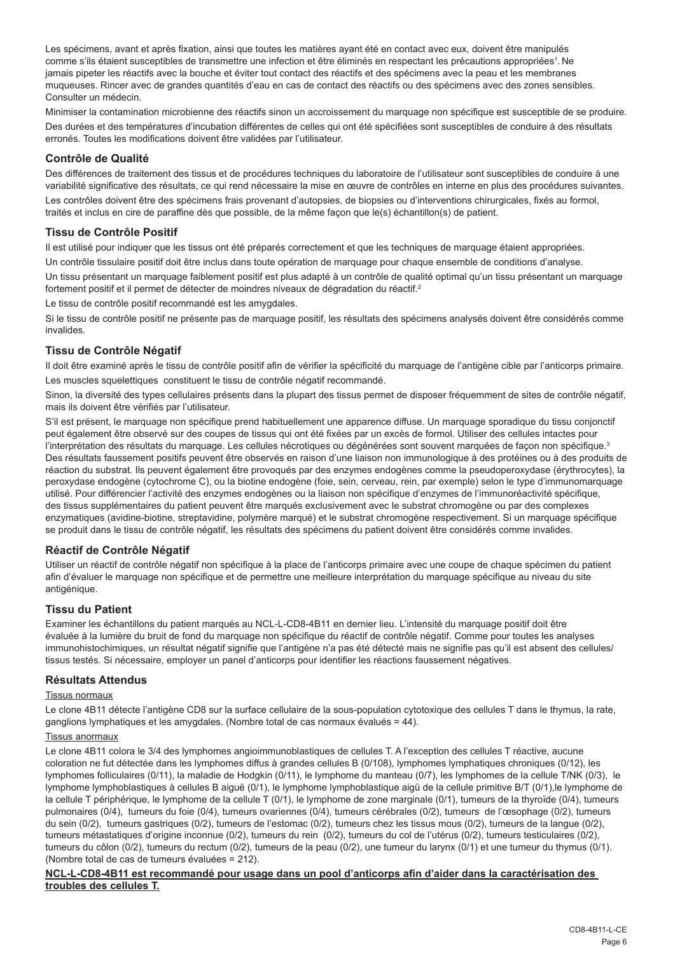Les spécimens, avant et après fixation, ainsi que toutes les matières ayant été en contact avec eux, doivent être manipulés comme s'ils étaient susceptibles de transmettre une infection et être éliminés en respectant les précautions appropriées<sup>1</sup>. Ne jamais pipeter les réactifs avec la bouche et éviter tout contact des réactifs et des spécimens avec la peau et les membranes muqueuses. Rincer avec de grandes quantités d'eau en cas de contact des réactifs ou des spécimens avec des zones sensibles. Consulter un médecin.

Minimiser la contamination microbienne des réactifs sinon un accroissement du marquage non spécifique est susceptible de se produire. Des durées et des températures d'incubation différentes de celles qui ont été spécifiées sont susceptibles de conduire à des résultats erronés. Toutes les modifications doivent être validées par l'utilisateur.

#### **Contrôle de Qualité**

Des différences de traitement des tissus et de procédures techniques du laboratoire de l'utilisateur sont susceptibles de conduire à une variabilité significative des résultats, ce qui rend nécessaire la mise en œuvre de contrôles en interne en plus des procédures suivantes.

Les contrôles doivent être des spécimens frais provenant d'autopsies, de biopsies ou d'interventions chirurgicales, fixés au formol, traités et inclus en cire de paraffine dès que possible, de la même façon que le(s) échantillon(s) de patient.

## **Tissu de Contrôle Positif**

Il est utilisé pour indiquer que les tissus ont été préparés correctement et que les techniques de marquage étaient appropriées.

Un contrôle tissulaire positif doit être inclus dans toute opération de marquage pour chaque ensemble de conditions d'analyse.

Un tissu présentant un marquage faiblement positif est plus adapté à un contrôle de qualité optimal qu'un tissu présentant un marquage fortement positif et il permet de détecter de moindres niveaux de dégradation du réactif.<sup>2</sup>

Le tissu de contrôle positif recommandé est les amygdales.

Si le tissu de contrôle positif ne présente pas de marquage positif, les résultats des spécimens analysés doivent être considérés comme invalides.

# **Tissu de Contrôle Négatif**

Il doit être examiné après le tissu de contrôle positif afin de vérifier la spécificité du marquage de l'antigène cible par l'anticorps primaire. Les muscles squelettiques constituent le tissu de contrôle négatif recommandé.

Sinon, la diversité des types cellulaires présents dans la plupart des tissus permet de disposer fréquemment de sites de contrôle négatif, mais ils doivent être vérifiés par l'utilisateur.

S'il est présent, le marquage non spécifique prend habituellement une apparence diffuse. Un marquage sporadique du tissu conjonctif peut également être observé sur des coupes de tissus qui ont été fixées par un excès de formol. Utiliser des cellules intactes pour l'interprétation des résultats du marquage. Les cellules nécrotiques ou dégénérées sont souvent marquées de façon non spécifique.<sup>3</sup> Des résultats faussement positifs peuvent être observés en raison d'une liaison non immunologique à des protéines ou à des produits de réaction du substrat. Ils peuvent également être provoqués par des enzymes endogènes comme la pseudoperoxydase (érythrocytes), la peroxydase endogène (cytochrome C), ou la biotine endogène (foie, sein, cerveau, rein, par exemple) selon le type d'immunomarquage utilisé. Pour différencier l'activité des enzymes endogènes ou la liaison non spécifique d'enzymes de l'immunoréactivité spécifique, des tissus supplémentaires du patient peuvent être marqués exclusivement avec le substrat chromogène ou par des complexes enzymatiques (avidine-biotine, streptavidine, polymère marqué) et le substrat chromogène respectivement. Si un marquage spécifique se produit dans le tissu de contrôle négatif, les résultats des spécimens du patient doivent être considérés comme invalides.

# **Réactif de Contrôle Négatif**

Utiliser un réactif de contrôle négatif non spécifique à la place de l'anticorps primaire avec une coupe de chaque spécimen du patient afin d'évaluer le marquage non spécifique et de permettre une meilleure interprétation du marquage spécifique au niveau du site antigénique.

# **Tissu du Patient**

Examiner les échantillons du patient marqués au NCL-L-CD8-4B11 en dernier lieu. L'intensité du marquage positif doit être évaluée à la lumière du bruit de fond du marquage non spécifique du réactif de contrôle négatif. Comme pour toutes les analyses immunohistochimiques, un résultat négatif signifie que l'antigène n'a pas été détecté mais ne signifie pas qu'il est absent des cellules/ tissus testés. Si nécessaire, employer un panel d'anticorps pour identifier les réactions faussement négatives.

# **Résultats Attendus**

### Tissus normaux

Le clone 4B11 détecte l'antigène CD8 sur la surface cellulaire de la sous-population cytotoxique des cellules T dans le thymus, la rate, ganglions lymphatiques et les amygdales. (Nombre total de cas normaux évalués = 44).

#### Tissus anormaux

Le clone 4B11 colora le 3/4 des lymphomes angioimmunoblastiques de cellules T. A l'exception des cellules T réactive, aucune coloration ne fut détectée dans les lymphomes diffus à grandes cellules B (0/108), lymphomes lymphatiques chroniques (0/12), les lymphomes folliculaires (0/11), la maladie de Hodgkin (0/11), le lymphome du manteau (0/7), les lymphomes de la cellule T/NK (0/3), le lymphome lymphoblastiques à cellules B aiguë (0/1), le lymphome lymphoblastique aigü de la cellule primitive B/T (0/1),le lymphome de la cellule T périphérique, le lymphome de la cellule T (0/1), le lymphome de zone marginale (0/1), tumeurs de la thyroïde (0/4), tumeurs pulmonaires (0/4), tumeurs du foie (0/4), tumeurs ovariennes (0/4), tumeurs cérébrales (0/2), tumeurs de l'œsophage (0/2), tumeurs du sein (0/2), tumeurs gastriques (0/2), tumeurs de l'estomac (0/2), tumeurs chez les tissus mous (0/2), tumeurs de la langue (0/2), tumeurs métastatiques d'origine inconnue (0/2), tumeurs du rein (0/2), tumeurs du col de l'utérus (0/2), tumeurs testiculaires (0/2), tumeurs du côlon (0/2), tumeurs du rectum (0/2), tumeurs de la peau (0/2), une tumeur du larynx (0/1) et une tumeur du thymus (0/1). (Nombre total de cas de tumeurs évaluées = 212).

## **NCL-L-CD8-4B11 est recommandé pour usage dans un pool d'anticorps afin d'aider dans la caractérisation des troubles des cellules T.**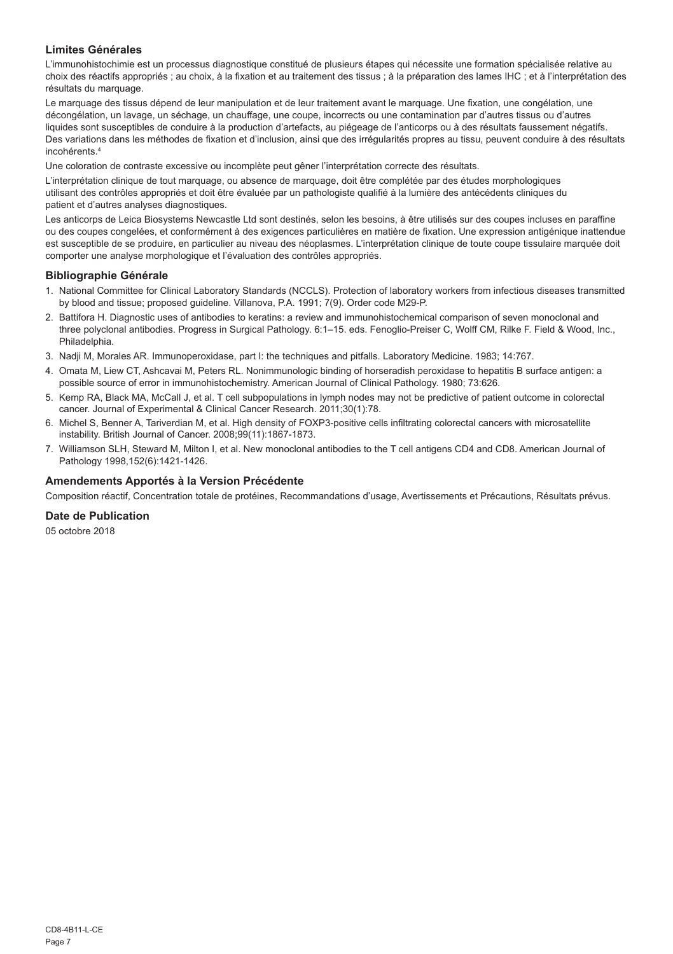# **Limites Générales**

L'immunohistochimie est un processus diagnostique constitué de plusieurs étapes qui nécessite une formation spécialisée relative au choix des réactifs appropriés ; au choix, à la fixation et au traitement des tissus ; à la préparation des lames IHC ; et à l'interprétation des résultats du marquage.

Le marquage des tissus dépend de leur manipulation et de leur traitement avant le marquage. Une fixation, une congélation, une décongélation, un lavage, un séchage, un chauffage, une coupe, incorrects ou une contamination par d'autres tissus ou d'autres liquides sont susceptibles de conduire à la production d'artefacts, au piégeage de l'anticorps ou à des résultats faussement négatifs. Des variations dans les méthodes de fixation et d'inclusion, ainsi que des irrégularités propres au tissu, peuvent conduire à des résultats incohérents.<sup>4</sup>

Une coloration de contraste excessive ou incomplète peut gêner l'interprétation correcte des résultats.

L'interprétation clinique de tout marquage, ou absence de marquage, doit être complétée par des études morphologiques utilisant des contrôles appropriés et doit être évaluée par un pathologiste qualifié à la lumière des antécédents cliniques du patient et d'autres analyses diagnostiques.

Les anticorps de Leica Biosystems Newcastle Ltd sont destinés, selon les besoins, à être utilisés sur des coupes incluses en paraffine ou des coupes congelées, et conformément à des exigences particulières en matière de fixation. Une expression antigénique inattendue est susceptible de se produire, en particulier au niveau des néoplasmes. L'interprétation clinique de toute coupe tissulaire marquée doit comporter une analyse morphologique et l'évaluation des contrôles appropriés.

### **Bibliographie Générale**

- 1. National Committee for Clinical Laboratory Standards (NCCLS). Protection of laboratory workers from infectious diseases transmitted by blood and tissue; proposed guideline. Villanova, P.A. 1991; 7(9). Order code M29-P.
- 2. Battifora H. Diagnostic uses of antibodies to keratins: a review and immunohistochemical comparison of seven monoclonal and three polyclonal antibodies. Progress in Surgical Pathology. 6:1–15. eds. Fenoglio-Preiser C, Wolff CM, Rilke F. Field & Wood, Inc., Philadelphia.
- 3. Nadji M, Morales AR. Immunoperoxidase, part I: the techniques and pitfalls. Laboratory Medicine. 1983; 14:767.
- 4. Omata M, Liew CT, Ashcavai M, Peters RL. Nonimmunologic binding of horseradish peroxidase to hepatitis B surface antigen: a possible source of error in immunohistochemistry. American Journal of Clinical Pathology. 1980; 73:626.
- 5. Kemp RA, Black MA, McCall J, et al. T cell subpopulations in lymph nodes may not be predictive of patient outcome in colorectal cancer. Journal of Experimental & Clinical Cancer Research. 2011;30(1):78.
- 6. Michel S, Benner A, Tariverdian M, et al. High density of FOXP3-positive cells infiltrating colorectal cancers with microsatellite instability. British Journal of Cancer. 2008;99(11):1867-1873.
- 7. Williamson SLH, Steward M, Milton I, et al. New monoclonal antibodies to the T cell antigens CD4 and CD8. American Journal of Pathology 1998,152(6):1421-1426.

# **Amendements Apportés à la Version Précédente**

Composition réactif, Concentration totale de protéines, Recommandations d'usage, Avertissements et Précautions, Résultats prévus.

## **Date de Publication**

05 octobre 2018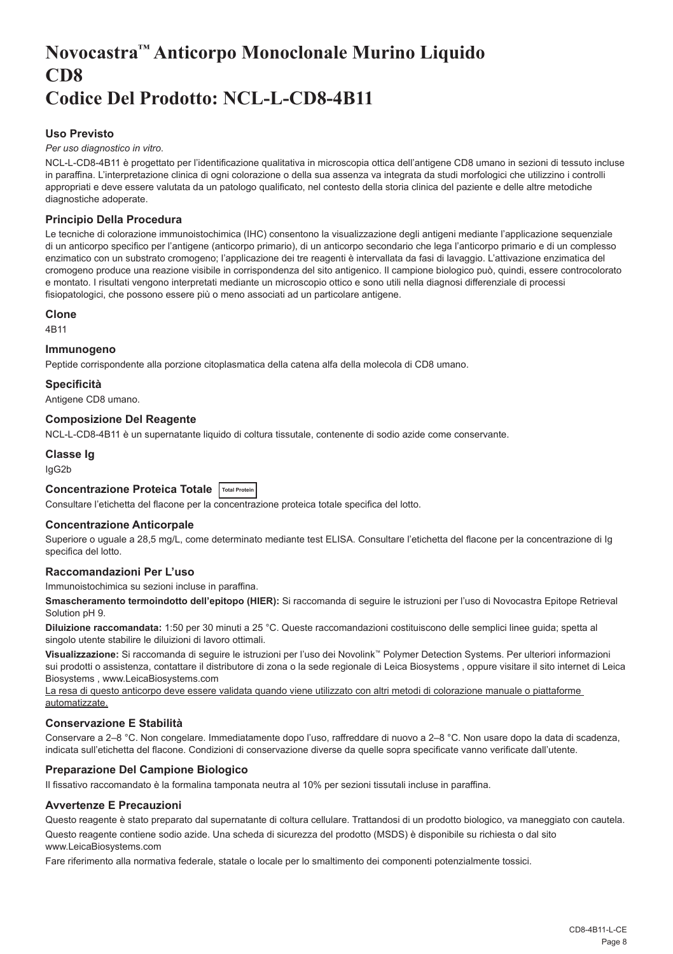# <span id="page-8-0"></span>**Novocastra™ Anticorpo Monoclonale Murino Liquido CD8 Codice Del Prodotto: NCL-L-CD8-4B11**

# **Uso Previsto**

#### *Per uso diagnostico in vitro*.

NCL-L-CD8-4B11 è progettato per l'identificazione qualitativa in microscopia ottica dell'antigene CD8 umano in sezioni di tessuto incluse in paraffina. L'interpretazione clinica di ogni colorazione o della sua assenza va integrata da studi morfologici che utilizzino i controlli appropriati e deve essere valutata da un patologo qualificato, nel contesto della storia clinica del paziente e delle altre metodiche diagnostiche adoperate.

# **Principio Della Procedura**

Le tecniche di colorazione immunoistochimica (IHC) consentono la visualizzazione degli antigeni mediante l'applicazione sequenziale di un anticorpo specifico per l'antigene (anticorpo primario), di un anticorpo secondario che lega l'anticorpo primario e di un complesso enzimatico con un substrato cromogeno; l'applicazione dei tre reagenti è intervallata da fasi di lavaggio. L'attivazione enzimatica del cromogeno produce una reazione visibile in corrispondenza del sito antigenico. Il campione biologico può, quindi, essere controcolorato e montato. I risultati vengono interpretati mediante un microscopio ottico e sono utili nella diagnosi differenziale di processi fisiopatologici, che possono essere più o meno associati ad un particolare antigene.

#### **Clone**

4B11

## **Immunogeno**

Peptide corrispondente alla porzione citoplasmatica della catena alfa della molecola di CD8 umano.

### **Specificità**

Antigene CD8 umano.

#### **Composizione Del Reagente**

NCL-L-CD8-4B11 è un supernatante liquido di coltura tissutale, contenente di sodio azide come conservante.

# **Classe Ig**

IgG2b

# **Concentrazione Proteica Totale Total Protein**

Consultare l'etichetta del flacone per la concentrazione proteica totale specifica del lotto.

# **Concentrazione Anticorpale**

Superiore o uguale a 28,5 mg/L, come determinato mediante test ELISA. Consultare l'etichetta del flacone per la concentrazione di Ig specifica del lotto.

# **Raccomandazioni Per L'uso**

Immunoistochimica su sezioni incluse in paraffina.

**Smascheramento termoindotto dell'epitopo (HIER):** Si raccomanda di seguire le istruzioni per l'uso di Novocastra Epitope Retrieval Solution pH 9.

**Diluizione raccomandata:** 1:50 per 30 minuti a 25 °C. Queste raccomandazioni costituiscono delle semplici linee guida; spetta al singolo utente stabilire le diluizioni di lavoro ottimali.

**Visualizzazione:** Si raccomanda di seguire le istruzioni per l'uso dei Novolink™ Polymer Detection Systems. Per ulteriori informazioni sui prodotti o assistenza, contattare il distributore di zona o la sede regionale di Leica Biosystems , oppure visitare il sito internet di Leica Biosystems , www.LeicaBiosystems.com

La resa di questo anticorpo deve essere validata quando viene utilizzato con altri metodi di colorazione manuale o piattaforme automatizzate.

# **Conservazione E Stabilità**

Conservare a 2–8 °C. Non congelare. Immediatamente dopo l'uso, raffreddare di nuovo a 2–8 °C. Non usare dopo la data di scadenza, indicata sull'etichetta del flacone. Condizioni di conservazione diverse da quelle sopra specificate vanno verificate dall'utente.

# **Preparazione Del Campione Biologico**

Il fissativo raccomandato è la formalina tamponata neutra al 10% per sezioni tissutali incluse in paraffina.

#### **Avvertenze E Precauzioni**

Questo reagente è stato preparato dal supernatante di coltura cellulare. Trattandosi di un prodotto biologico, va maneggiato con cautela.

Questo reagente contiene sodio azide. Una scheda di sicurezza del prodotto (MSDS) è disponibile su richiesta o dal sito www.LeicaBiosystems.com

Fare riferimento alla normativa federale, statale o locale per lo smaltimento dei componenti potenzialmente tossici.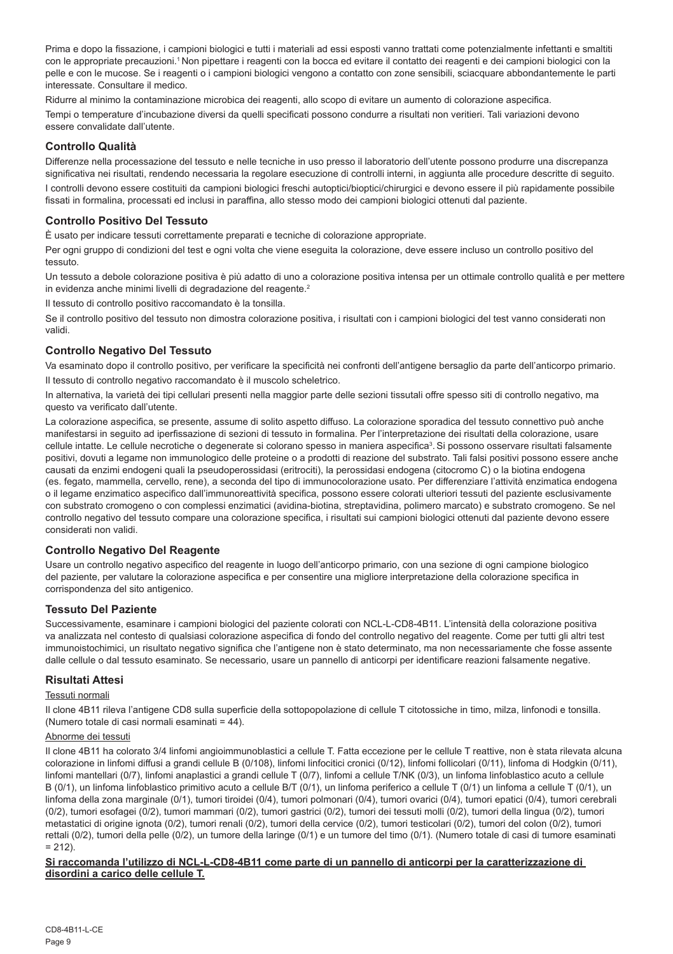Prima e dopo la fissazione, i campioni biologici e tutti i materiali ad essi esposti vanno trattati come potenzialmente infettanti e smaltiti con le appropriate precauzioni.<sup>1</sup> Non pipettare i reagenti con la bocca ed evitare il contatto dei reagenti e dei campioni biologici con la pelle e con le mucose. Se i reagenti o i campioni biologici vengono a contatto con zone sensibili, sciacquare abbondantemente le parti interessate. Consultare il medico.

Ridurre al minimo la contaminazione microbica dei reagenti, allo scopo di evitare un aumento di colorazione aspecifica. Tempi o temperature d'incubazione diversi da quelli specificati possono condurre a risultati non veritieri. Tali variazioni devono essere convalidate dall'utente.

# **Controllo Qualità**

Differenze nella processazione del tessuto e nelle tecniche in uso presso il laboratorio dell'utente possono produrre una discrepanza significativa nei risultati, rendendo necessaria la regolare esecuzione di controlli interni, in aggiunta alle procedure descritte di seguito.

I controlli devono essere costituiti da campioni biologici freschi autoptici/bioptici/chirurgici e devono essere il più rapidamente possibile fissati in formalina, processati ed inclusi in paraffina, allo stesso modo dei campioni biologici ottenuti dal paziente.

# **Controllo Positivo Del Tessuto**

È usato per indicare tessuti correttamente preparati e tecniche di colorazione appropriate.

Per ogni gruppo di condizioni del test e ogni volta che viene eseguita la colorazione, deve essere incluso un controllo positivo del tessuto.

Un tessuto a debole colorazione positiva è più adatto di uno a colorazione positiva intensa per un ottimale controllo qualità e per mettere in evidenza anche minimi livelli di degradazione del reagente.<sup>2</sup>

Il tessuto di controllo positivo raccomandato è la tonsilla.

Se il controllo positivo del tessuto non dimostra colorazione positiva, i risultati con i campioni biologici del test vanno considerati non validi.

# **Controllo Negativo Del Tessuto**

Va esaminato dopo il controllo positivo, per verificare la specificità nei confronti dell'antigene bersaglio da parte dell'anticorpo primario. Il tessuto di controllo negativo raccomandato è il muscolo scheletrico.

In alternativa, la varietà dei tipi cellulari presenti nella maggior parte delle sezioni tissutali offre spesso siti di controllo negativo, ma questo va verificato dall'utente.

La colorazione aspecifica, se presente, assume di solito aspetto diffuso. La colorazione sporadica del tessuto connettivo può anche manifestarsi in seguito ad iperfissazione di sezioni di tessuto in formalina. Per l'interpretazione dei risultati della colorazione, usare cellule intatte. Le cellule necrotiche o degenerate si colorano spesso in maniera aspecifica<sup>3</sup>. Si possono osservare risultati falsamente positivi, dovuti a legame non immunologico delle proteine o a prodotti di reazione del substrato. Tali falsi positivi possono essere anche causati da enzimi endogeni quali la pseudoperossidasi (eritrociti), la perossidasi endogena (citocromo C) o la biotina endogena (es. fegato, mammella, cervello, rene), a seconda del tipo di immunocolorazione usato. Per differenziare l'attività enzimatica endogena o il legame enzimatico aspecifico dall'immunoreattività specifica, possono essere colorati ulteriori tessuti del paziente esclusivamente con substrato cromogeno o con complessi enzimatici (avidina-biotina, streptavidina, polimero marcato) e substrato cromogeno. Se nel controllo negativo del tessuto compare una colorazione specifica, i risultati sui campioni biologici ottenuti dal paziente devono essere considerati non validi.

# **Controllo Negativo Del Reagente**

Usare un controllo negativo aspecifico del reagente in luogo dell'anticorpo primario, con una sezione di ogni campione biologico del paziente, per valutare la colorazione aspecifica e per consentire una migliore interpretazione della colorazione specifica in corrispondenza del sito antigenico.

# **Tessuto Del Paziente**

Successivamente, esaminare i campioni biologici del paziente colorati con NCL-L-CD8-4B11. L'intensità della colorazione positiva va analizzata nel contesto di qualsiasi colorazione aspecifica di fondo del controllo negativo del reagente. Come per tutti gli altri test immunoistochimici, un risultato negativo significa che l'antigene non è stato determinato, ma non necessariamente che fosse assente dalle cellule o dal tessuto esaminato. Se necessario, usare un pannello di anticorpi per identificare reazioni falsamente negative.

# **Risultati Attesi**

#### Tessuti normali

Il clone 4B11 rileva l'antigene CD8 sulla superficie della sottopopolazione di cellule T citotossiche in timo, milza, linfonodi e tonsilla. (Numero totale di casi normali esaminati = 44).

#### Abnorme dei tessuti

Il clone 4B11 ha colorato 3/4 linfomi angioimmunoblastici a cellule T. Fatta eccezione per le cellule T reattive, non è stata rilevata alcuna colorazione in linfomi diffusi a grandi cellule B (0/108), linfomi linfocitici cronici (0/12), linfomi follicolari (0/11), linfoma di Hodgkin (0/11), linfomi mantellari (0/7), linfomi anaplastici a grandi cellule T (0/7), linfomi a cellule T/NK (0/3), un linfoma linfoblastico acuto a cellule B (0/1), un linfoma linfoblastico primitivo acuto a cellule B/T (0/1), un linfoma periferico a cellule T (0/1) un linfoma a cellule T (0/1), un linfoma della zona marginale (0/1), tumori tiroidei (0/4), tumori polmonari (0/4), tumori ovarici (0/4), tumori epatici (0/4), tumori cerebrali (0/2), tumori esofagei (0/2), tumori mammari (0/2), tumori gastrici (0/2), tumori dei tessuti molli (0/2), tumori della lingua (0/2), tumori metastatici di origine ignota (0/2), tumori renali (0/2), tumori della cervice (0/2), tumori testicolari (0/2), tumori del colon (0/2), tumori rettali (0/2), tumori della pelle (0/2), un tumore della laringe (0/1) e un tumore del timo (0/1). (Numero totale di casi di tumore esaminati  $= 212$ ).

### **Si raccomanda l'utilizzo di NCL-L-CD8-4B11 come parte di un pannello di anticorpi per la caratterizzazione di disordini a carico delle cellule T.**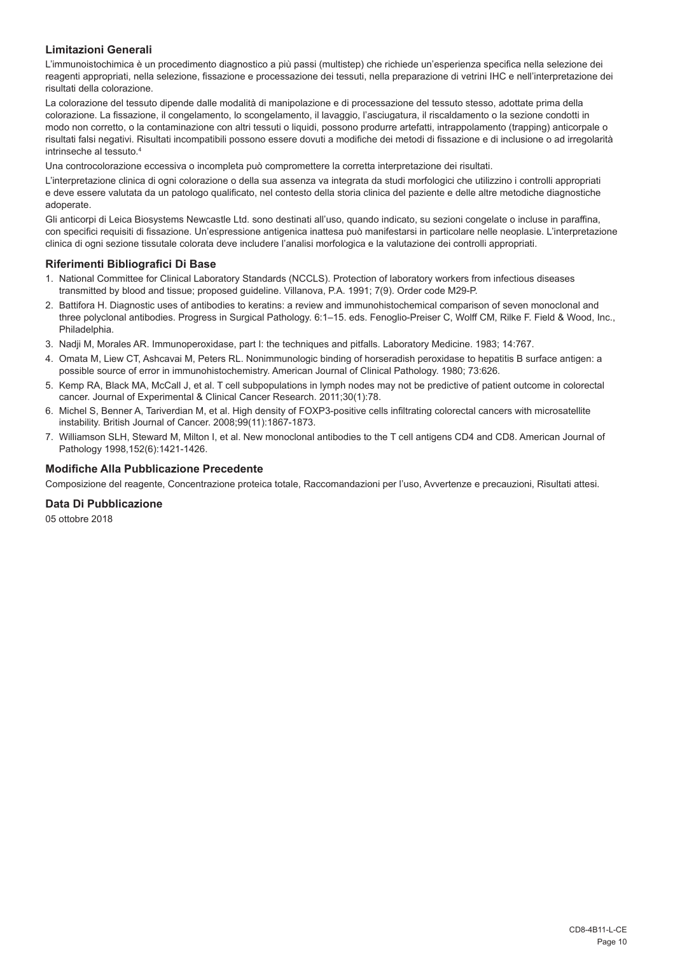# **Limitazioni Generali**

L'immunoistochimica è un procedimento diagnostico a più passi (multistep) che richiede un'esperienza specifica nella selezione dei reagenti appropriati, nella selezione, fissazione e processazione dei tessuti, nella preparazione di vetrini IHC e nell'interpretazione dei risultati della colorazione.

La colorazione del tessuto dipende dalle modalità di manipolazione e di processazione del tessuto stesso, adottate prima della colorazione. La fissazione, il congelamento, lo scongelamento, il lavaggio, l'asciugatura, il riscaldamento o la sezione condotti in modo non corretto, o la contaminazione con altri tessuti o liquidi, possono produrre artefatti, intrappolamento (trapping) anticorpale o risultati falsi negativi. Risultati incompatibili possono essere dovuti a modifiche dei metodi di fissazione e di inclusione o ad irregolarità intrinseche al tessuto.<sup>4</sup>

Una controcolorazione eccessiva o incompleta può compromettere la corretta interpretazione dei risultati.

L'interpretazione clinica di ogni colorazione o della sua assenza va integrata da studi morfologici che utilizzino i controlli appropriati e deve essere valutata da un patologo qualificato, nel contesto della storia clinica del paziente e delle altre metodiche diagnostiche adoperate.

Gli anticorpi di Leica Biosystems Newcastle Ltd. sono destinati all'uso, quando indicato, su sezioni congelate o incluse in paraffina, con specifici requisiti di fissazione. Un'espressione antigenica inattesa può manifestarsi in particolare nelle neoplasie. L'interpretazione clinica di ogni sezione tissutale colorata deve includere l'analisi morfologica e la valutazione dei controlli appropriati.

# **Riferimenti Bibliografici Di Base**

- 1. National Committee for Clinical Laboratory Standards (NCCLS). Protection of laboratory workers from infectious diseases transmitted by blood and tissue; proposed guideline. Villanova, P.A. 1991; 7(9). Order code M29-P.
- 2. Battifora H. Diagnostic uses of antibodies to keratins: a review and immunohistochemical comparison of seven monoclonal and three polyclonal antibodies. Progress in Surgical Pathology. 6:1–15. eds. Fenoglio-Preiser C, Wolff CM, Rilke F. Field & Wood, Inc., Philadelphia.
- 3. Nadji M, Morales AR. Immunoperoxidase, part I: the techniques and pitfalls. Laboratory Medicine. 1983; 14:767.
- 4. Omata M, Liew CT, Ashcavai M, Peters RL. Nonimmunologic binding of horseradish peroxidase to hepatitis B surface antigen: a possible source of error in immunohistochemistry. American Journal of Clinical Pathology. 1980; 73:626.
- 5. Kemp RA, Black MA, McCall J, et al. T cell subpopulations in lymph nodes may not be predictive of patient outcome in colorectal cancer. Journal of Experimental & Clinical Cancer Research. 2011;30(1):78.
- 6. Michel S, Benner A, Tariverdian M, et al. High density of FOXP3-positive cells infiltrating colorectal cancers with microsatellite instability. British Journal of Cancer. 2008;99(11):1867-1873.
- 7. Williamson SLH, Steward M, Milton I, et al. New monoclonal antibodies to the T cell antigens CD4 and CD8. American Journal of Pathology 1998,152(6):1421-1426.

# **Modifiche Alla Pubblicazione Precedente**

Composizione del reagente, Concentrazione proteica totale, Raccomandazioni per l'uso, Avvertenze e precauzioni, Risultati attesi.

#### **Data Di Pubblicazione**

05 ottobre 2018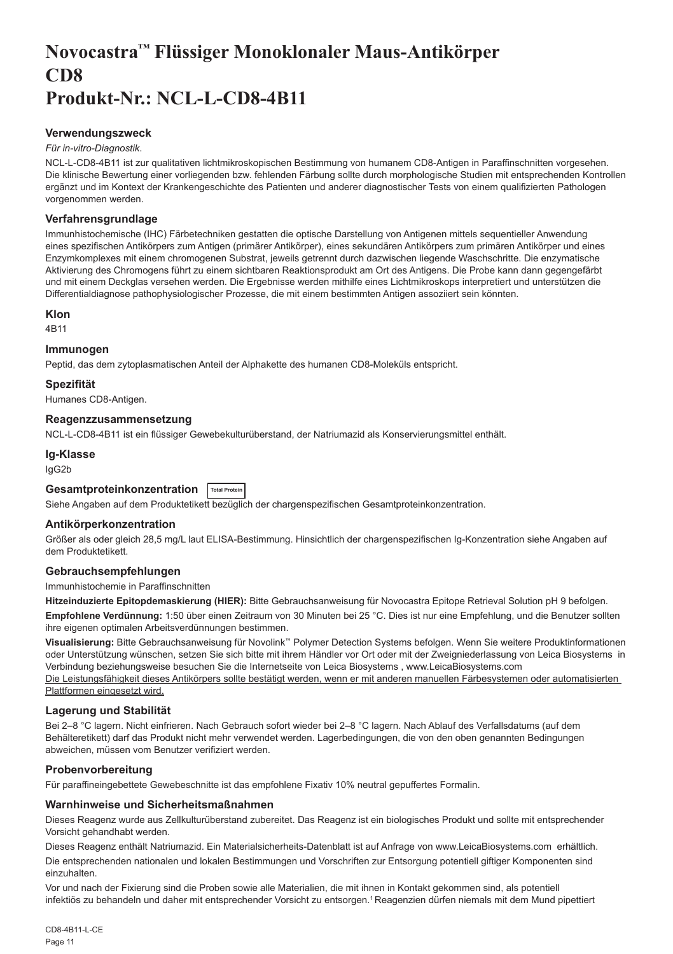# <span id="page-11-0"></span>**Novocastra™ Flüssiger Monoklonaler Maus-Antikörper CD8 Produkt-Nr.: NCL-L-CD8-4B11**

# **Verwendungszweck**

#### *Für in-vitro-Diagnostik*.

NCL-L-CD8-4B11 ist zur qualitativen lichtmikroskopischen Bestimmung von humanem CD8-Antigen in Paraffinschnitten vorgesehen. Die klinische Bewertung einer vorliegenden bzw. fehlenden Färbung sollte durch morphologische Studien mit entsprechenden Kontrollen ergänzt und im Kontext der Krankengeschichte des Patienten und anderer diagnostischer Tests von einem qualifizierten Pathologen vorgenommen werden.

#### **Verfahrensgrundlage**

Immunhistochemische (IHC) Färbetechniken gestatten die optische Darstellung von Antigenen mittels sequentieller Anwendung eines spezifischen Antikörpers zum Antigen (primärer Antikörper), eines sekundären Antikörpers zum primären Antikörper und eines Enzymkomplexes mit einem chromogenen Substrat, jeweils getrennt durch dazwischen liegende Waschschritte. Die enzymatische Aktivierung des Chromogens führt zu einem sichtbaren Reaktionsprodukt am Ort des Antigens. Die Probe kann dann gegengefärbt und mit einem Deckglas versehen werden. Die Ergebnisse werden mithilfe eines Lichtmikroskops interpretiert und unterstützen die Differentialdiagnose pathophysiologischer Prozesse, die mit einem bestimmten Antigen assoziiert sein könnten.

#### **Klon**

4B11

## **Immunogen**

Peptid, das dem zytoplasmatischen Anteil der Alphakette des humanen CD8-Moleküls entspricht.

### **Spezifität**

Humanes CD8-Antigen.

#### **Reagenzzusammensetzung**

NCL-L-CD8-4B11 ist ein flüssiger Gewebekulturüberstand, der Natriumazid als Konservierungsmittel enthält.

# **Ig-Klasse**

IgG2b

# **Gesamtproteinkonzentration Total Protein**

Siehe Angaben auf dem Produktetikett bezüglich der chargenspezifischen Gesamtproteinkonzentration.

# **Antikörperkonzentration**

Größer als oder gleich 28,5 mg/L laut ELISA-Bestimmung. Hinsichtlich der chargenspezifischen Ig-Konzentration siehe Angaben auf dem Produktetikett.

# **Gebrauchsempfehlungen**

Immunhistochemie in Paraffinschnitten

**Hitzeinduzierte Epitopdemaskierung (HIER):** Bitte Gebrauchsanweisung für Novocastra Epitope Retrieval Solution pH 9 befolgen.

**Empfohlene Verdünnung:** 1:50 über einen Zeitraum von 30 Minuten bei 25 °C. Dies ist nur eine Empfehlung, und die Benutzer sollten ihre eigenen optimalen Arbeitsverdünnungen bestimmen.

**Visualisierung:** Bitte Gebrauchsanweisung für Novolink™ Polymer Detection Systems befolgen. Wenn Sie weitere Produktinformationen oder Unterstützung wünschen, setzen Sie sich bitte mit ihrem Händler vor Ort oder mit der Zweigniederlassung von Leica Biosystems in Verbindung beziehungsweise besuchen Sie die Internetseite von Leica Biosystems , www.LeicaBiosystems.com Die Leistungsfähigkeit dieses Antikörpers sollte bestätigt werden, wenn er mit anderen manuellen Färbesystemen oder automatisierten Plattformen eingesetzt wird.

# **Lagerung und Stabilität**

Bei 2–8 °C lagern. Nicht einfrieren. Nach Gebrauch sofort wieder bei 2–8 °C lagern. Nach Ablauf des Verfallsdatums (auf dem Behälteretikett) darf das Produkt nicht mehr verwendet werden. Lagerbedingungen, die von den oben genannten Bedingungen abweichen, müssen vom Benutzer verifiziert werden.

#### **Probenvorbereitung**

Für paraffineingebettete Gewebeschnitte ist das empfohlene Fixativ 10% neutral gepuffertes Formalin.

#### **Warnhinweise und Sicherheitsmaßnahmen**

Dieses Reagenz wurde aus Zellkulturüberstand zubereitet. Das Reagenz ist ein biologisches Produkt und sollte mit entsprechender Vorsicht gehandhabt werden.

Dieses Reagenz enthält Natriumazid. Ein Materialsicherheits-Datenblatt ist auf Anfrage von www.LeicaBiosystems.com erhältlich.

Die entsprechenden nationalen und lokalen Bestimmungen und Vorschriften zur Entsorgung potentiell giftiger Komponenten sind einzuhalten.

Vor und nach der Fixierung sind die Proben sowie alle Materialien, die mit ihnen in Kontakt gekommen sind, als potentiell infektiös zu behandeln und daher mit entsprechender Vorsicht zu entsorgen.<sup>1</sup> Reagenzien dürfen niemals mit dem Mund pipettiert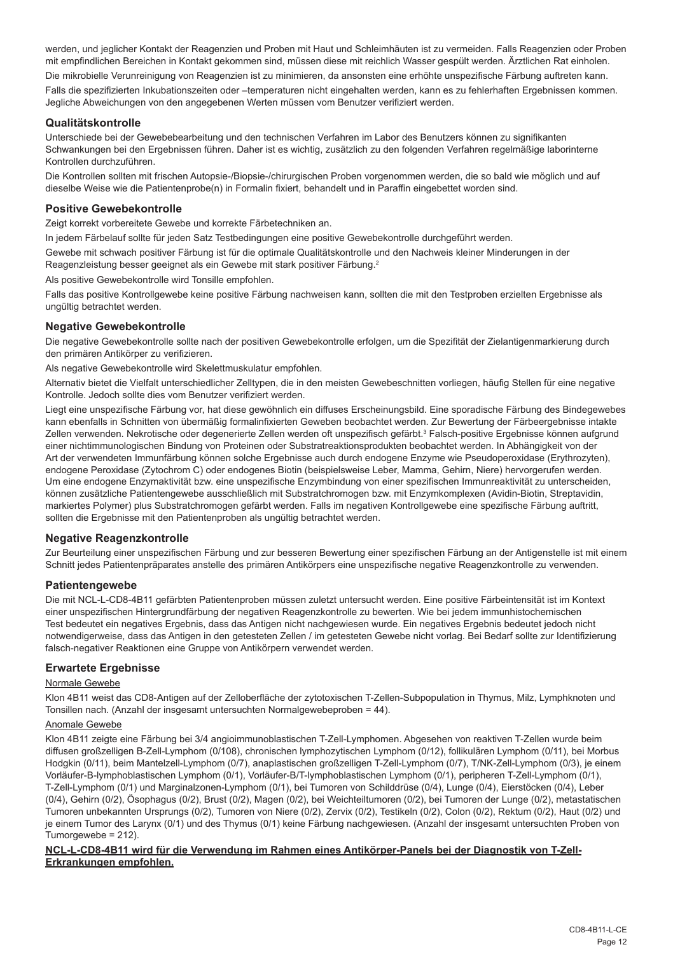werden, und jeglicher Kontakt der Reagenzien und Proben mit Haut und Schleimhäuten ist zu vermeiden. Falls Reagenzien oder Proben mit empfindlichen Bereichen in Kontakt gekommen sind, müssen diese mit reichlich Wasser gespült werden. Ärztlichen Rat einholen.

Die mikrobielle Verunreinigung von Reagenzien ist zu minimieren, da ansonsten eine erhöhte unspezifische Färbung auftreten kann. Falls die spezifizierten Inkubationszeiten oder –temperaturen nicht eingehalten werden, kann es zu fehlerhaften Ergebnissen kommen. Jegliche Abweichungen von den angegebenen Werten müssen vom Benutzer verifiziert werden.

## **Qualitätskontrolle**

Unterschiede bei der Gewebebearbeitung und den technischen Verfahren im Labor des Benutzers können zu signifikanten Schwankungen bei den Ergebnissen führen. Daher ist es wichtig, zusätzlich zu den folgenden Verfahren regelmäßige laborinterne Kontrollen durchzuführen.

Die Kontrollen sollten mit frischen Autopsie-/Biopsie-/chirurgischen Proben vorgenommen werden, die so bald wie möglich und auf dieselbe Weise wie die Patientenprobe(n) in Formalin fixiert, behandelt und in Paraffin eingebettet worden sind.

## **Positive Gewebekontrolle**

Zeigt korrekt vorbereitete Gewebe und korrekte Färbetechniken an.

In jedem Färbelauf sollte für jeden Satz Testbedingungen eine positive Gewebekontrolle durchgeführt werden.

Gewebe mit schwach positiver Färbung ist für die optimale Qualitätskontrolle und den Nachweis kleiner Minderungen in der Reagenzleistung besser geeignet als ein Gewebe mit stark positiver Färbung.<sup>2</sup>

Als positive Gewebekontrolle wird Tonsille empfohlen.

Falls das positive Kontrollgewebe keine positive Färbung nachweisen kann, sollten die mit den Testproben erzielten Ergebnisse als ungültig betrachtet werden.

# **Negative Gewebekontrolle**

Die negative Gewebekontrolle sollte nach der positiven Gewebekontrolle erfolgen, um die Spezifität der Zielantigenmarkierung durch den primären Antikörper zu verifizieren.

Als negative Gewebekontrolle wird Skelettmuskulatur empfohlen.

Alternativ bietet die Vielfalt unterschiedlicher Zelltypen, die in den meisten Gewebeschnitten vorliegen, häufig Stellen für eine negative Kontrolle. Jedoch sollte dies vom Benutzer verifiziert werden.

Liegt eine unspezifische Färbung vor, hat diese gewöhnlich ein diffuses Erscheinungsbild. Eine sporadische Färbung des Bindegewebes kann ebenfalls in Schnitten von übermäßig formalinfixierten Geweben beobachtet werden. Zur Bewertung der Färbeergebnisse intakte Zellen verwenden. Nekrotische oder degenerierte Zellen werden oft unspezifisch gefärbt.<sup>3</sup> Falsch-positive Ergebnisse können aufgrund einer nichtimmunologischen Bindung von Proteinen oder Substratreaktionsprodukten beobachtet werden. In Abhängigkeit von der Art der verwendeten Immunfärbung können solche Ergebnisse auch durch endogene Enzyme wie Pseudoperoxidase (Erythrozyten), endogene Peroxidase (Zytochrom C) oder endogenes Biotin (beispielsweise Leber, Mamma, Gehirn, Niere) hervorgerufen werden. Um eine endogene Enzymaktivität bzw. eine unspezifische Enzymbindung von einer spezifischen Immunreaktivität zu unterscheiden, können zusätzliche Patientengewebe ausschließlich mit Substratchromogen bzw. mit Enzymkomplexen (Avidin-Biotin, Streptavidin, markiertes Polymer) plus Substratchromogen gefärbt werden. Falls im negativen Kontrollgewebe eine spezifische Färbung auftritt, sollten die Ergebnisse mit den Patientenproben als ungültig betrachtet werden.

# **Negative Reagenzkontrolle**

Zur Beurteilung einer unspezifischen Färbung und zur besseren Bewertung einer spezifischen Färbung an der Antigenstelle ist mit einem Schnitt jedes Patientenpräparates anstelle des primären Antikörpers eine unspezifische negative Reagenzkontrolle zu verwenden.

#### **Patientengewebe**

Die mit NCL-L-CD8-4B11 gefärbten Patientenproben müssen zuletzt untersucht werden. Eine positive Färbeintensität ist im Kontext einer unspezifischen Hintergrundfärbung der negativen Reagenzkontrolle zu bewerten. Wie bei jedem immunhistochemischen Test bedeutet ein negatives Ergebnis, dass das Antigen nicht nachgewiesen wurde. Ein negatives Ergebnis bedeutet jedoch nicht notwendigerweise, dass das Antigen in den getesteten Zellen / im getesteten Gewebe nicht vorlag. Bei Bedarf sollte zur Identifizierung falsch-negativer Reaktionen eine Gruppe von Antikörpern verwendet werden.

# **Erwartete Ergebnisse**

#### Normale Gewebe

Klon 4B11 weist das CD8-Antigen auf der Zelloberfläche der zytotoxischen T-Zellen-Subpopulation in Thymus, Milz, Lymphknoten und Tonsillen nach. (Anzahl der insgesamt untersuchten Normalgewebeproben = 44).

#### Anomale Gewebe

Klon 4B11 zeigte eine Färbung bei 3/4 angioimmunoblastischen T-Zell-Lymphomen. Abgesehen von reaktiven T-Zellen wurde beim diffusen großzelligen B-Zell-Lymphom (0/108), chronischen lymphozytischen Lymphom (0/12), follikulären Lymphom (0/11), bei Morbus Hodgkin (0/11), beim Mantelzell-Lymphom (0/7), anaplastischen großzelligen T-Zell-Lymphom (0/7), T/NK-Zell-Lymphom (0/3), je einem Vorläufer-B-lymphoblastischen Lymphom (0/1), Vorläufer-B/T-lymphoblastischen Lymphom (0/1), peripheren T-Zell-Lymphom (0/1), T-Zell-Lymphom (0/1) und Marginalzonen-Lymphom (0/1), bei Tumoren von Schilddrüse (0/4), Lunge (0/4), Eierstöcken (0/4), Leber (0/4), Gehirn (0/2), Ösophagus (0/2), Brust (0/2), Magen (0/2), bei Weichteiltumoren (0/2), bei Tumoren der Lunge (0/2), metastatischen Tumoren unbekannten Ursprungs (0/2), Tumoren von Niere (0/2), Zervix (0/2), Testikeln (0/2), Colon (0/2), Rektum (0/2), Haut (0/2) und je einem Tumor des Larynx (0/1) und des Thymus (0/1) keine Färbung nachgewiesen. (Anzahl der insgesamt untersuchten Proben von Tumorgewebe = 212).

## **NCL-L-CD8-4B11 wird für die Verwendung im Rahmen eines Antikörper-Panels bei der Diagnostik von T-Zell-Erkrankungen empfohlen.**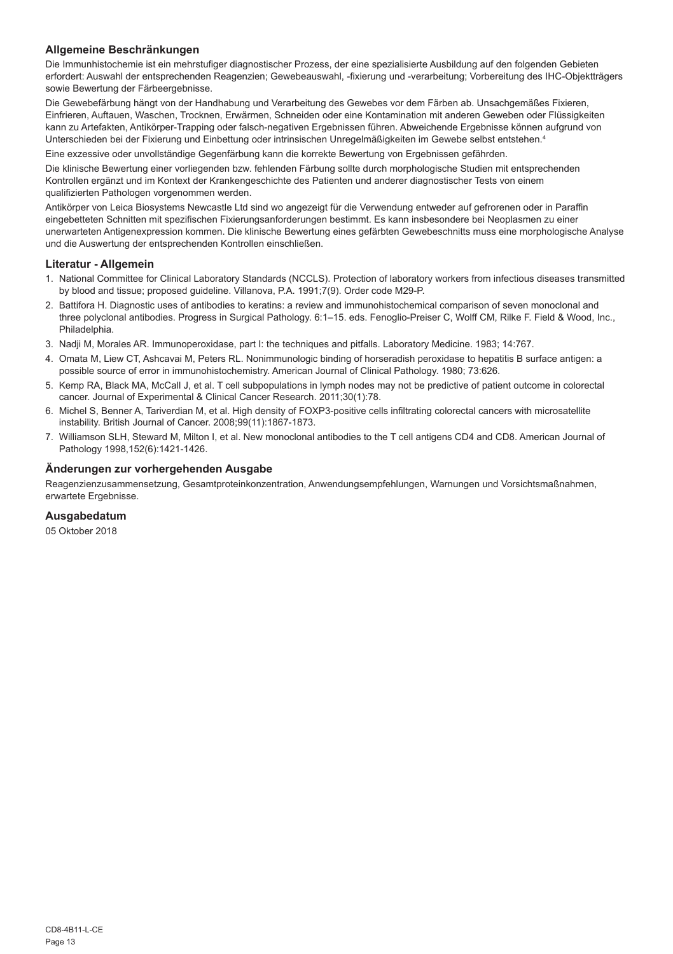# **Allgemeine Beschränkungen**

Die Immunhistochemie ist ein mehrstufiger diagnostischer Prozess, der eine spezialisierte Ausbildung auf den folgenden Gebieten erfordert: Auswahl der entsprechenden Reagenzien; Gewebeauswahl, -fixierung und -verarbeitung; Vorbereitung des IHC-Objektträgers sowie Bewertung der Färbeergebnisse.

Die Gewebefärbung hängt von der Handhabung und Verarbeitung des Gewebes vor dem Färben ab. Unsachgemäßes Fixieren, Einfrieren, Auftauen, Waschen, Trocknen, Erwärmen, Schneiden oder eine Kontamination mit anderen Geweben oder Flüssigkeiten kann zu Artefakten, Antikörper-Trapping oder falsch-negativen Ergebnissen führen. Abweichende Ergebnisse können aufgrund von Unterschieden bei der Fixierung und Einbettung oder intrinsischen Unregelmäßigkeiten im Gewebe selbst entstehen.<sup>4</sup>

Eine exzessive oder unvollständige Gegenfärbung kann die korrekte Bewertung von Ergebnissen gefährden.

Die klinische Bewertung einer vorliegenden bzw. fehlenden Färbung sollte durch morphologische Studien mit entsprechenden Kontrollen ergänzt und im Kontext der Krankengeschichte des Patienten und anderer diagnostischer Tests von einem qualifizierten Pathologen vorgenommen werden.

Antikörper von Leica Biosystems Newcastle Ltd sind wo angezeigt für die Verwendung entweder auf gefrorenen oder in Paraffin eingebetteten Schnitten mit spezifischen Fixierungsanforderungen bestimmt. Es kann insbesondere bei Neoplasmen zu einer unerwarteten Antigenexpression kommen. Die klinische Bewertung eines gefärbten Gewebeschnitts muss eine morphologische Analyse und die Auswertung der entsprechenden Kontrollen einschließen.

## **Literatur - Allgemein**

- 1. National Committee for Clinical Laboratory Standards (NCCLS). Protection of laboratory workers from infectious diseases transmitted by blood and tissue; proposed guideline. Villanova, P.A. 1991;7(9). Order code M29-P.
- 2. Battifora H. Diagnostic uses of antibodies to keratins: a review and immunohistochemical comparison of seven monoclonal and three polyclonal antibodies. Progress in Surgical Pathology. 6:1–15. eds. Fenoglio-Preiser C, Wolff CM, Rilke F. Field & Wood, Inc., Philadelphia.
- 3. Nadji M, Morales AR. Immunoperoxidase, part I: the techniques and pitfalls. Laboratory Medicine. 1983; 14:767.
- 4. Omata M, Liew CT, Ashcavai M, Peters RL. Nonimmunologic binding of horseradish peroxidase to hepatitis B surface antigen: a possible source of error in immunohistochemistry. American Journal of Clinical Pathology. 1980; 73:626.
- 5. Kemp RA, Black MA, McCall J, et al. T cell subpopulations in lymph nodes may not be predictive of patient outcome in colorectal cancer. Journal of Experimental & Clinical Cancer Research. 2011;30(1):78.
- 6. Michel S, Benner A, Tariverdian M, et al. High density of FOXP3-positive cells infiltrating colorectal cancers with microsatellite instability. British Journal of Cancer. 2008;99(11):1867-1873.
- 7. Williamson SLH, Steward M, Milton I, et al. New monoclonal antibodies to the T cell antigens CD4 and CD8. American Journal of Pathology 1998,152(6):1421-1426.

# **Änderungen zur vorhergehenden Ausgabe**

Reagenzienzusammensetzung, Gesamtproteinkonzentration, Anwendungsempfehlungen, Warnungen und Vorsichtsmaßnahmen, erwartete Ergebnisse.

# **Ausgabedatum**

05 Oktober 2018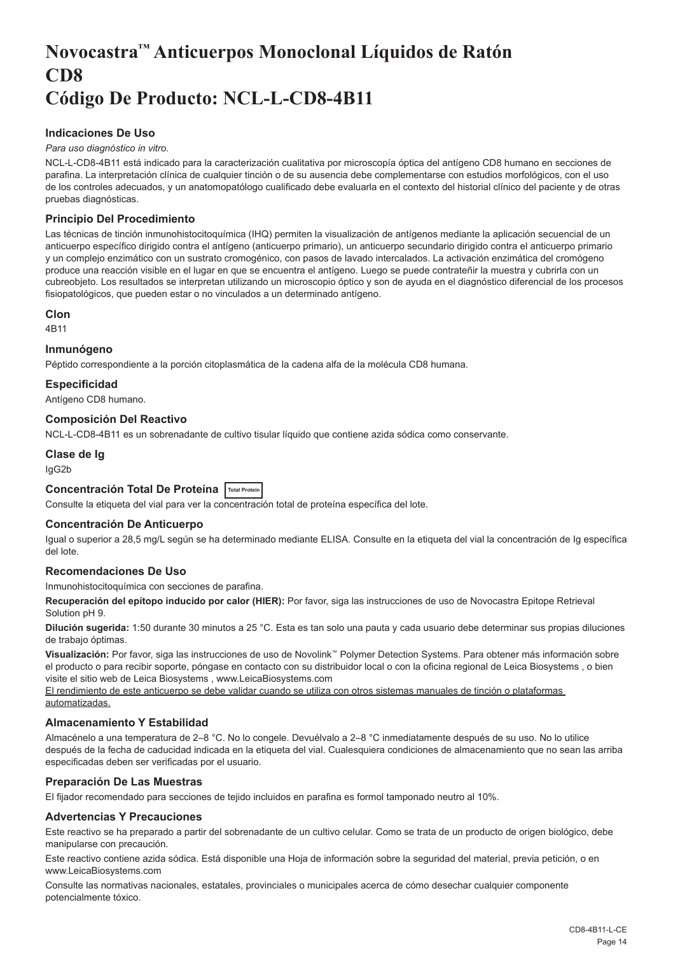# <span id="page-14-0"></span>**Novocastra™ Anticuerpos Monoclonal Líquidos de Ratón CD8 Código De Producto: NCL-L-CD8-4B11**

# **Indicaciones De Uso**

#### *Para uso diagnóstico in vitro*.

NCL-L-CD8-4B11 está indicado para la caracterización cualitativa por microscopía óptica del antígeno CD8 humano en secciones de parafina. La interpretación clínica de cualquier tinción o de su ausencia debe complementarse con estudios morfológicos, con el uso de los controles adecuados, y un anatomopatólogo cualificado debe evaluarla en el contexto del historial clínico del paciente y de otras pruebas diagnósticas.

# **Principio Del Procedimiento**

Las técnicas de tinción inmunohistocitoquímica (IHQ) permiten la visualización de antígenos mediante la aplicación secuencial de un anticuerpo específico dirigido contra el antígeno (anticuerpo primario), un anticuerpo secundario dirigido contra el anticuerpo primario y un complejo enzimático con un sustrato cromogénico, con pasos de lavado intercalados. La activación enzimática del cromógeno produce una reacción visible en el lugar en que se encuentra el antígeno. Luego se puede contrateñir la muestra y cubrirla con un cubreobjeto. Los resultados se interpretan utilizando un microscopio óptico y son de ayuda en el diagnóstico diferencial de los procesos fisiopatológicos, que pueden estar o no vinculados a un determinado antígeno.

### **Clon**

4B11

## **Inmunógeno**

Péptido correspondiente a la porción citoplasmática de la cadena alfa de la molécula CD8 humana.

# **Especificidad**

Antígeno CD8 humano.

# **Composición Del Reactivo**

NCL-L-CD8-4B11 es un sobrenadante de cultivo tisular líquido que contiene azida sódica como conservante.

# **Clase de Ig**

IgG2b

# **Concentración Total De Proteína Total Protein**

Consulte la etiqueta del vial para ver la concentración total de proteína específica del lote.

# **Concentración De Anticuerpo**

Igual o superior a 28,5 mg/L según se ha determinado mediante ELISA. Consulte en la etiqueta del vial la concentración de Ig específica del lote.

# **Recomendaciones De Uso**

Inmunohistocitoquímica con secciones de parafina.

**Recuperación del epítopo inducido por calor (HIER):** Por favor, siga las instrucciones de uso de Novocastra Epitope Retrieval Solution pH 9.

**Dilución sugerida:** 1:50 durante 30 minutos a 25 °C. Esta es tan solo una pauta y cada usuario debe determinar sus propias diluciones de trabajo óptimas.

**Visualización:** Por favor, siga las instrucciones de uso de Novolink™ Polymer Detection Systems. Para obtener más información sobre el producto o para recibir soporte, póngase en contacto con su distribuidor local o con la oficina regional de Leica Biosystems , o bien visite el sitio web de Leica Biosystems , www.LeicaBiosystems.com

El rendimiento de este anticuerpo se debe validar cuando se utiliza con otros sistemas manuales de tinción o plataformas automatizadas.

# **Almacenamiento Y Estabilidad**

Almacénelo a una temperatura de 2–8 °C. No lo congele. Devuélvalo a 2–8 °C inmediatamente después de su uso. No lo utilice después de la fecha de caducidad indicada en la etiqueta del vial. Cualesquiera condiciones de almacenamiento que no sean las arriba especificadas deben ser verificadas por el usuario.

# **Preparación De Las Muestras**

El fijador recomendado para secciones de tejido incluidos en parafina es formol tamponado neutro al 10%.

# **Advertencias Y Precauciones**

Este reactivo se ha preparado a partir del sobrenadante de un cultivo celular. Como se trata de un producto de origen biológico, debe manipularse con precaución.

Este reactivo contiene azida sódica. Está disponible una Hoja de información sobre la seguridad del material, previa petición, o en www.LeicaBiosystems.com

Consulte las normativas nacionales, estatales, provinciales o municipales acerca de cómo desechar cualquier componente potencialmente tóxico.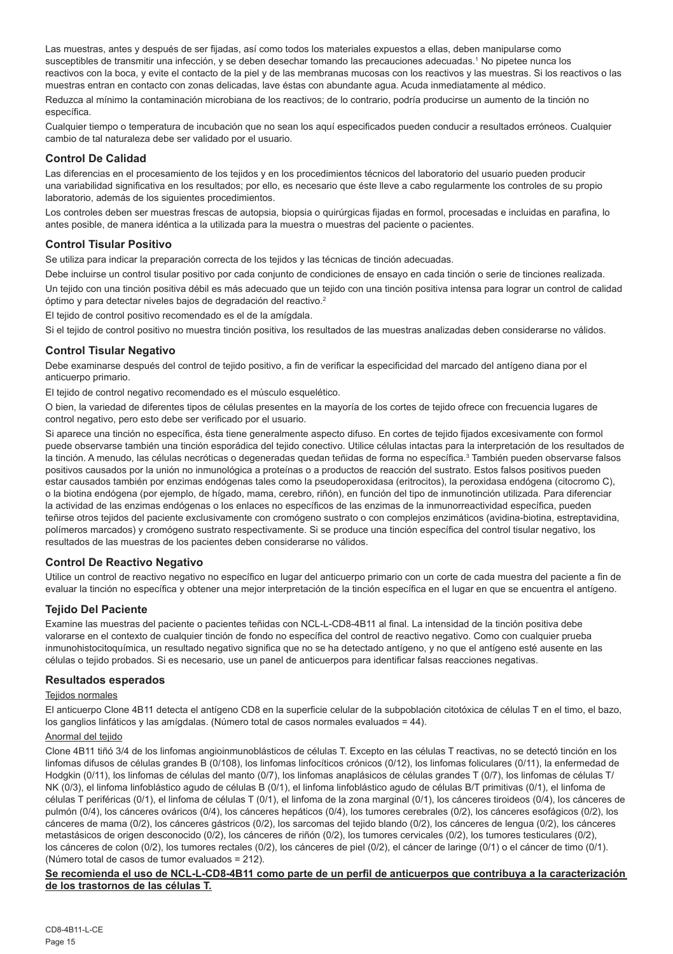Las muestras, antes y después de ser fijadas, así como todos los materiales expuestos a ellas, deben manipularse como susceptibles de transmitir una infección, y se deben desechar tomando las precauciones adecuadas.<sup>1</sup> No pipetee nunca los reactivos con la boca, y evite el contacto de la piel y de las membranas mucosas con los reactivos y las muestras. Si los reactivos o las muestras entran en contacto con zonas delicadas, lave éstas con abundante agua. Acuda inmediatamente al médico. Reduzca al mínimo la contaminación microbiana de los reactivos; de lo contrario, podría producirse un aumento de la tinción no específica.

Cualquier tiempo o temperatura de incubación que no sean los aquí especificados pueden conducir a resultados erróneos. Cualquier cambio de tal naturaleza debe ser validado por el usuario.

## **Control De Calidad**

Las diferencias en el procesamiento de los tejidos y en los procedimientos técnicos del laboratorio del usuario pueden producir una variabilidad significativa en los resultados; por ello, es necesario que éste lleve a cabo regularmente los controles de su propio laboratorio, además de los siguientes procedimientos.

Los controles deben ser muestras frescas de autopsia, biopsia o quirúrgicas fijadas en formol, procesadas e incluidas en parafina, lo antes posible, de manera idéntica a la utilizada para la muestra o muestras del paciente o pacientes.

# **Control Tisular Positivo**

Se utiliza para indicar la preparación correcta de los tejidos y las técnicas de tinción adecuadas.

Debe incluirse un control tisular positivo por cada conjunto de condiciones de ensayo en cada tinción o serie de tinciones realizada. Un tejido con una tinción positiva débil es más adecuado que un tejido con una tinción positiva intensa para lograr un control de calidad óptimo y para detectar niveles bajos de degradación del reactivo.<sup>2</sup>

El tejido de control positivo recomendado es el de la amígdala.

Si el tejido de control positivo no muestra tinción positiva, los resultados de las muestras analizadas deben considerarse no válidos.

# **Control Tisular Negativo**

Debe examinarse después del control de tejido positivo, a fin de verificar la especificidad del marcado del antígeno diana por el anticuerpo primario.

El tejido de control negativo recomendado es el músculo esquelético.

O bien, la variedad de diferentes tipos de células presentes en la mayoría de los cortes de tejido ofrece con frecuencia lugares de control negativo, pero esto debe ser verificado por el usuario.

Si aparece una tinción no específica, ésta tiene generalmente aspecto difuso. En cortes de tejido fijados excesivamente con formol puede observarse también una tinción esporádica del tejido conectivo. Utilice células intactas para la interpretación de los resultados de la tinción. A menudo, las células necróticas o degeneradas quedan teñidas de forma no específica.<sup>3</sup> También pueden observarse falsos positivos causados por la unión no inmunológica a proteínas o a productos de reacción del sustrato. Estos falsos positivos pueden estar causados también por enzimas endógenas tales como la pseudoperoxidasa (eritrocitos), la peroxidasa endógena (citocromo C), o la biotina endógena (por ejemplo, de hígado, mama, cerebro, riñón), en función del tipo de inmunotinción utilizada. Para diferenciar la actividad de las enzimas endógenas o los enlaces no específicos de las enzimas de la inmunorreactividad específica, pueden teñirse otros tejidos del paciente exclusivamente con cromógeno sustrato o con complejos enzimáticos (avidina-biotina, estreptavidina, polímeros marcados) y cromógeno sustrato respectivamente. Si se produce una tinción específica del control tisular negativo, los resultados de las muestras de los pacientes deben considerarse no válidos.

#### **Control De Reactivo Negativo**

Utilice un control de reactivo negativo no específico en lugar del anticuerpo primario con un corte de cada muestra del paciente a fin de evaluar la tinción no específica y obtener una mejor interpretación de la tinción específica en el lugar en que se encuentra el antígeno.

# **Tejido Del Paciente**

Examine las muestras del paciente o pacientes teñidas con NCL-L-CD8-4B11 al final. La intensidad de la tinción positiva debe valorarse en el contexto de cualquier tinción de fondo no específica del control de reactivo negativo. Como con cualquier prueba inmunohistocitoquímica, un resultado negativo significa que no se ha detectado antígeno, y no que el antígeno esté ausente en las células o tejido probados. Si es necesario, use un panel de anticuerpos para identificar falsas reacciones negativas.

#### **Resultados esperados**

### Teiidos normales

El anticuerpo Clone 4B11 detecta el antígeno CD8 en la superficie celular de la subpoblación citotóxica de células T en el timo, el bazo, los ganglios linfáticos y las amígdalas. (Número total de casos normales evaluados = 44).

#### Anormal del tejido

Clone 4B11 tiñó 3/4 de los linfomas angioinmunoblásticos de células T. Excepto en las células T reactivas, no se detectó tinción en los linfomas difusos de células grandes B (0/108), los linfomas linfocíticos crónicos (0/12), los linfomas foliculares (0/11), la enfermedad de Hodgkin (0/11), los linfomas de células del manto (0/7), los linfomas anaplásicos de células grandes T (0/7), los linfomas de células T/ NK (0/3), el linfoma linfoblástico agudo de células B (0/1), el linfoma linfoblástico agudo de células B/T primitivas (0/1), el linfoma de células T periféricas (0/1), el linfoma de células T (0/1), el linfoma de la zona marginal (0/1), los cánceres tiroideos (0/4), los cánceres de pulmón (0/4), los cánceres ováricos (0/4), los cánceres hepáticos (0/4), los tumores cerebrales (0/2), los cánceres esofágicos (0/2), los cánceres de mama (0/2), los cánceres gástricos (0/2), los sarcomas del tejido blando (0/2), los cánceres de lengua (0/2), los cánceres metastásicos de origen desconocido (0/2), los cánceres de riñón (0/2), los tumores cervicales (0/2), los tumores testiculares (0/2), los cánceres de colon (0/2), los tumores rectales (0/2), los cánceres de piel (0/2), el cáncer de laringe (0/1) o el cáncer de timo (0/1). (Número total de casos de tumor evaluados = 212).

**Se recomienda el uso de NCL-L-CD8-4B11 como parte de un perfil de anticuerpos que contribuya a la caracterización de los trastornos de las células T.**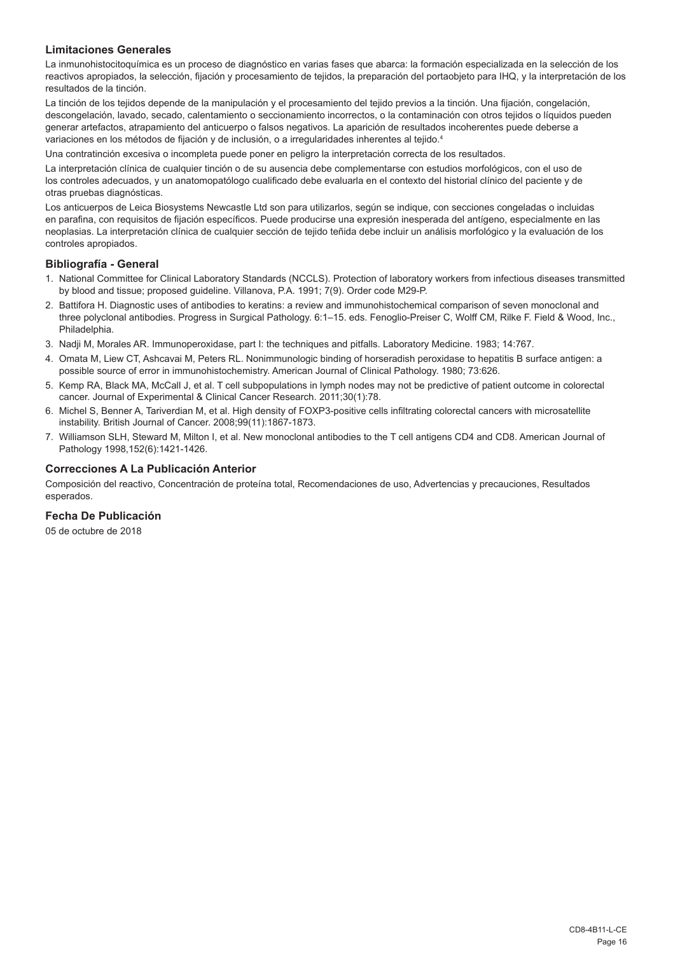# **Limitaciones Generales**

La inmunohistocitoquímica es un proceso de diagnóstico en varias fases que abarca: la formación especializada en la selección de los reactivos apropiados, la selección, fijación y procesamiento de tejidos, la preparación del portaobjeto para IHQ, y la interpretación de los resultados de la tinción.

La tinción de los tejidos depende de la manipulación y el procesamiento del tejido previos a la tinción. Una fijación, congelación, descongelación, lavado, secado, calentamiento o seccionamiento incorrectos, o la contaminación con otros tejidos o líquidos pueden generar artefactos, atrapamiento del anticuerpo o falsos negativos. La aparición de resultados incoherentes puede deberse a variaciones en los métodos de fijación y de inclusión, o a irregularidades inherentes al tejido.<sup>4</sup>

Una contratinción excesiva o incompleta puede poner en peligro la interpretación correcta de los resultados.

La interpretación clínica de cualquier tinción o de su ausencia debe complementarse con estudios morfológicos, con el uso de los controles adecuados, y un anatomopatólogo cualificado debe evaluarla en el contexto del historial clínico del paciente y de otras pruebas diagnósticas.

Los anticuerpos de Leica Biosystems Newcastle Ltd son para utilizarlos, según se indique, con secciones congeladas o incluidas en parafina, con requisitos de fijación específicos. Puede producirse una expresión inesperada del antígeno, especialmente en las neoplasias. La interpretación clínica de cualquier sección de tejido teñida debe incluir un análisis morfológico y la evaluación de los controles apropiados.

### **Bibliografía - General**

- 1. National Committee for Clinical Laboratory Standards (NCCLS). Protection of laboratory workers from infectious diseases transmitted by blood and tissue; proposed guideline. Villanova, P.A. 1991; 7(9). Order code M29-P.
- 2. Battifora H. Diagnostic uses of antibodies to keratins: a review and immunohistochemical comparison of seven monoclonal and three polyclonal antibodies. Progress in Surgical Pathology. 6:1–15. eds. Fenoglio-Preiser C, Wolff CM, Rilke F. Field & Wood, Inc., Philadelphia.
- 3. Nadji M, Morales AR. Immunoperoxidase, part I: the techniques and pitfalls. Laboratory Medicine. 1983; 14:767.
- 4. Omata M, Liew CT, Ashcavai M, Peters RL. Nonimmunologic binding of horseradish peroxidase to hepatitis B surface antigen: a possible source of error in immunohistochemistry. American Journal of Clinical Pathology. 1980; 73:626.
- 5. Kemp RA, Black MA, McCall J, et al. T cell subpopulations in lymph nodes may not be predictive of patient outcome in colorectal cancer. Journal of Experimental & Clinical Cancer Research. 2011;30(1):78.
- 6. Michel S, Benner A, Tariverdian M, et al. High density of FOXP3-positive cells infiltrating colorectal cancers with microsatellite instability. British Journal of Cancer. 2008;99(11):1867-1873.
- 7. Williamson SLH, Steward M, Milton I, et al. New monoclonal antibodies to the T cell antigens CD4 and CD8. American Journal of Pathology 1998,152(6):1421-1426.

# **Correcciones A La Publicación Anterior**

Composición del reactivo, Concentración de proteína total, Recomendaciones de uso, Advertencias y precauciones, Resultados esperados.

## **Fecha De Publicación**

05 de octubre de 2018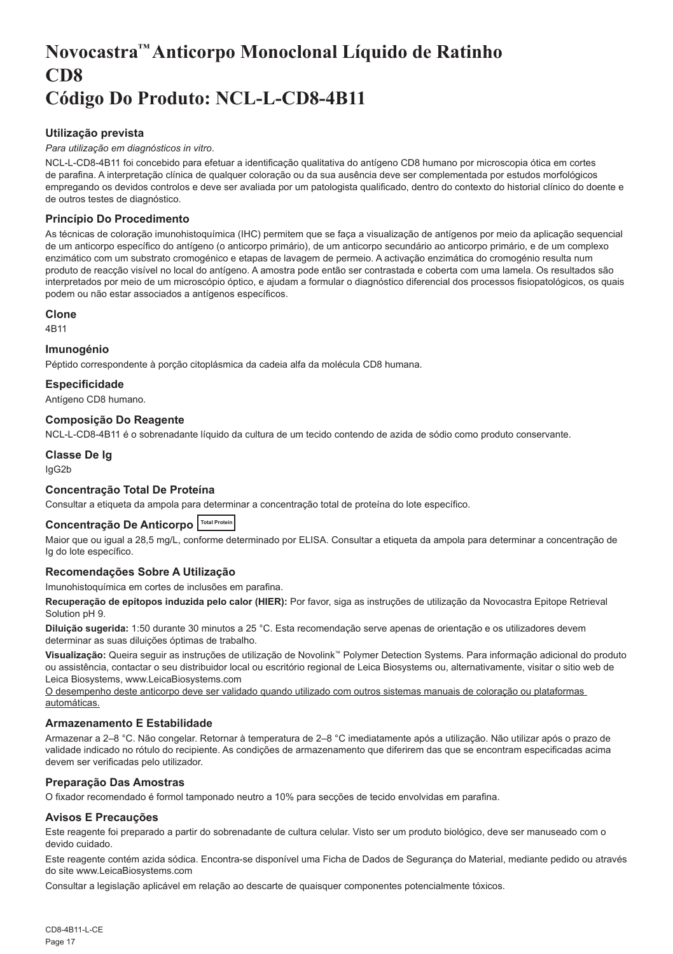# <span id="page-17-0"></span>**Novocastra™ Anticorpo Monoclonal Líquido de Ratinho CD8 Código Do Produto: NCL-L-CD8-4B11**

# **Utilização prevista**

#### *Para utilização em diagnósticos in vitro*.

NCL-L-CD8-4B11 foi concebido para efetuar a identificação qualitativa do antígeno CD8 humano por microscopia ótica em cortes de parafina. A interpretação clínica de qualquer coloração ou da sua ausência deve ser complementada por estudos morfológicos empregando os devidos controlos e deve ser avaliada por um patologista qualificado, dentro do contexto do historial clínico do doente e de outros testes de diagnóstico.

# **Princípio Do Procedimento**

As técnicas de coloração imunohistoquímica (IHC) permitem que se faça a visualização de antígenos por meio da aplicação sequencial de um anticorpo específico do antígeno (o anticorpo primário), de um anticorpo secundário ao anticorpo primário, e de um complexo enzimático com um substrato cromogénico e etapas de lavagem de permeio. A activação enzimática do cromogénio resulta num produto de reacção visível no local do antígeno. A amostra pode então ser contrastada e coberta com uma lamela. Os resultados são interpretados por meio de um microscópio óptico, e ajudam a formular o diagnóstico diferencial dos processos fisiopatológicos, os quais podem ou não estar associados a antígenos específicos.

### **Clone**

4B11

## **Imunogénio**

Péptido correspondente à porção citoplásmica da cadeia alfa da molécula CD8 humana.

# **Especificidade**

Antígeno CD8 humano.

# **Composição Do Reagente**

NCL-L-CD8-4B11 é o sobrenadante líquido da cultura de um tecido contendo de azida de sódio como produto conservante.

# **Classe De Ig**

IgG2b

# **Concentração Total De Proteína**

Consultar a etiqueta da ampola para determinar a concentração total de proteína do lote específico.

# **Concentração De Anticorpo Total Protein**

Maior que ou igual a 28,5 mg/L, conforme determinado por ELISA. Consultar a etiqueta da ampola para determinar a concentração de Ig do lote específico.

# **Recomendações Sobre A Utilização**

Imunohistoquímica em cortes de inclusões em parafina.

**Recuperação de epítopos induzida pelo calor (HIER):** Por favor, siga as instruções de utilização da Novocastra Epitope Retrieval Solution pH 9.

**Diluição sugerida:** 1:50 durante 30 minutos a 25 °C. Esta recomendação serve apenas de orientação e os utilizadores devem determinar as suas diluições óptimas de trabalho.

**Visualização:** Queira seguir as instruções de utilização de Novolink™ Polymer Detection Systems. Para informação adicional do produto ou assistência, contactar o seu distribuidor local ou escritório regional de Leica Biosystems ou, alternativamente, visitar o sitio web de Leica Biosystems, www.LeicaBiosystems.com

O desempenho deste anticorpo deve ser validado quando utilizado com outros sistemas manuais de coloração ou plataformas automáticas.

# **Armazenamento E Estabilidade**

Armazenar a 2–8 °C. Não congelar. Retornar à temperatura de 2–8 °C imediatamente após a utilização. Não utilizar após o prazo de validade indicado no rótulo do recipiente. As condições de armazenamento que diferirem das que se encontram especificadas acima devem ser verificadas pelo utilizador.

# **Preparação Das Amostras**

O fixador recomendado é formol tamponado neutro a 10% para secções de tecido envolvidas em parafina.

# **Avisos E Precauções**

Este reagente foi preparado a partir do sobrenadante de cultura celular. Visto ser um produto biológico, deve ser manuseado com o devido cuidado.

Este reagente contém azida sódica. Encontra-se disponível uma Ficha de Dados de Segurança do Material, mediante pedido ou através do site www.LeicaBiosystems.com

Consultar a legislação aplicável em relação ao descarte de quaisquer componentes potencialmente tóxicos.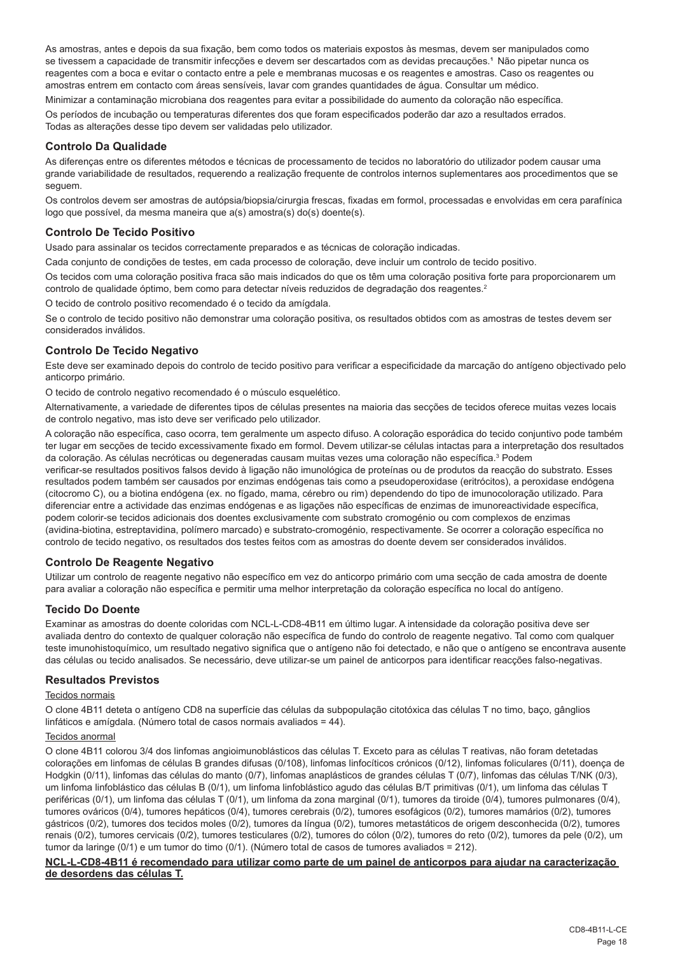As amostras, antes e depois da sua fixação, bem como todos os materiais expostos às mesmas, devem ser manipulados como se tivessem a capacidade de transmitir infecções e devem ser descartados com as devidas precauções.<sup>1</sup> Não pipetar nunca os reagentes com a boca e evitar o contacto entre a pele e membranas mucosas e os reagentes e amostras. Caso os reagentes ou amostras entrem em contacto com áreas sensíveis, lavar com grandes quantidades de água. Consultar um médico.

Minimizar a contaminação microbiana dos reagentes para evitar a possibilidade do aumento da coloração não específica. Os períodos de incubação ou temperaturas diferentes dos que foram especificados poderão dar azo a resultados errados. Todas as alterações desse tipo devem ser validadas pelo utilizador.

# **Controlo Da Qualidade**

As diferenças entre os diferentes métodos e técnicas de processamento de tecidos no laboratório do utilizador podem causar uma grande variabilidade de resultados, requerendo a realização frequente de controlos internos suplementares aos procedimentos que se seguem.

Os controlos devem ser amostras de autópsia/biopsia/cirurgia frescas, fixadas em formol, processadas e envolvidas em cera parafínica logo que possível, da mesma maneira que a(s) amostra(s) do(s) doente(s).

# **Controlo De Tecido Positivo**

Usado para assinalar os tecidos correctamente preparados e as técnicas de coloração indicadas.

Cada conjunto de condições de testes, em cada processo de coloração, deve incluir um controlo de tecido positivo.

Os tecidos com uma coloração positiva fraca são mais indicados do que os têm uma coloração positiva forte para proporcionarem um controlo de qualidade óptimo, bem como para detectar níveis reduzidos de degradação dos reagentes.<sup>2</sup>

O tecido de controlo positivo recomendado é o tecido da amígdala.

Se o controlo de tecido positivo não demonstrar uma coloração positiva, os resultados obtidos com as amostras de testes devem ser considerados inválidos.

# **Controlo De Tecido Negativo**

Este deve ser examinado depois do controlo de tecido positivo para verificar a especificidade da marcação do antígeno objectivado pelo anticorpo primário.

O tecido de controlo negativo recomendado é o músculo esquelético.

Alternativamente, a variedade de diferentes tipos de células presentes na maioria das secções de tecidos oferece muitas vezes locais de controlo negativo, mas isto deve ser verificado pelo utilizador.

A coloração não específica, caso ocorra, tem geralmente um aspecto difuso. A coloração esporádica do tecido conjuntivo pode também ter lugar em secções de tecido excessivamente fixado em formol. Devem utilizar-se células intactas para a interpretação dos resultados da coloração. As células necróticas ou degeneradas causam muitas vezes uma coloração não específica.<sup>3</sup> Podem

verificar-se resultados positivos falsos devido à ligação não imunológica de proteínas ou de produtos da reacção do substrato. Esses resultados podem também ser causados por enzimas endógenas tais como a pseudoperoxidase (eritrócitos), a peroxidase endógena (citocromo C), ou a biotina endógena (ex. no fígado, mama, cérebro ou rim) dependendo do tipo de imunocoloração utilizado. Para diferenciar entre a actividade das enzimas endógenas e as ligações não específicas de enzimas de imunoreactividade específica, podem colorir-se tecidos adicionais dos doentes exclusivamente com substrato cromogénio ou com complexos de enzimas (avidina-biotina, estreptavidina, polímero marcado) e substrato-cromogénio, respectivamente. Se ocorrer a coloração específica no controlo de tecido negativo, os resultados dos testes feitos com as amostras do doente devem ser considerados inválidos.

# **Controlo De Reagente Negativo**

Utilizar um controlo de reagente negativo não específico em vez do anticorpo primário com uma secção de cada amostra de doente para avaliar a coloração não específica e permitir uma melhor interpretação da coloração específica no local do antígeno.

# **Tecido Do Doente**

Examinar as amostras do doente coloridas com NCL-L-CD8-4B11 em último lugar. A intensidade da coloração positiva deve ser avaliada dentro do contexto de qualquer coloração não específica de fundo do controlo de reagente negativo. Tal como com qualquer teste imunohistoquímico, um resultado negativo significa que o antígeno não foi detectado, e não que o antígeno se encontrava ausente das células ou tecido analisados. Se necessário, deve utilizar-se um painel de anticorpos para identificar reacções falso-negativas.

# **Resultados Previstos**

#### Tecidos normais

O clone 4B11 deteta o antígeno CD8 na superfície das células da subpopulação citotóxica das células T no timo, baço, gânglios linfáticos e amígdala. (Número total de casos normais avaliados = 44).

#### Tecidos anormal

O clone 4B11 colorou 3/4 dos linfomas angioimunoblásticos das células T. Exceto para as células T reativas, não foram detetadas colorações em linfomas de células B grandes difusas (0/108), linfomas linfocíticos crónicos (0/12), linfomas foliculares (0/11), doença de Hodgkin (0/11), linfomas das células do manto (0/7), linfomas anaplásticos de grandes células T (0/7), linfomas das células T/NK (0/3), um linfoma linfoblástico das células B (0/1), um linfoma linfoblástico agudo das células B/T primitivas (0/1), um linfoma das células T periféricas (0/1), um linfoma das células T (0/1), um linfoma da zona marginal (0/1), tumores da tiroide (0/4), tumores pulmonares (0/4), tumores ováricos (0/4), tumores hepáticos (0/4), tumores cerebrais (0/2), tumores esofágicos (0/2), tumores mamários (0/2), tumores gástricos (0/2), tumores dos tecidos moles (0/2), tumores da língua (0/2), tumores metastáticos de origem desconhecida (0/2), tumores renais (0/2), tumores cervicais (0/2), tumores testiculares (0/2), tumores do cólon (0/2), tumores do reto (0/2), tumores da pele (0/2), um tumor da laringe (0/1) e um tumor do timo (0/1). (Número total de casos de tumores avaliados = 212).

### **NCL-L-CD8-4B11 é recomendado para utilizar como parte de um painel de anticorpos para ajudar na caracterização de desordens das células T.**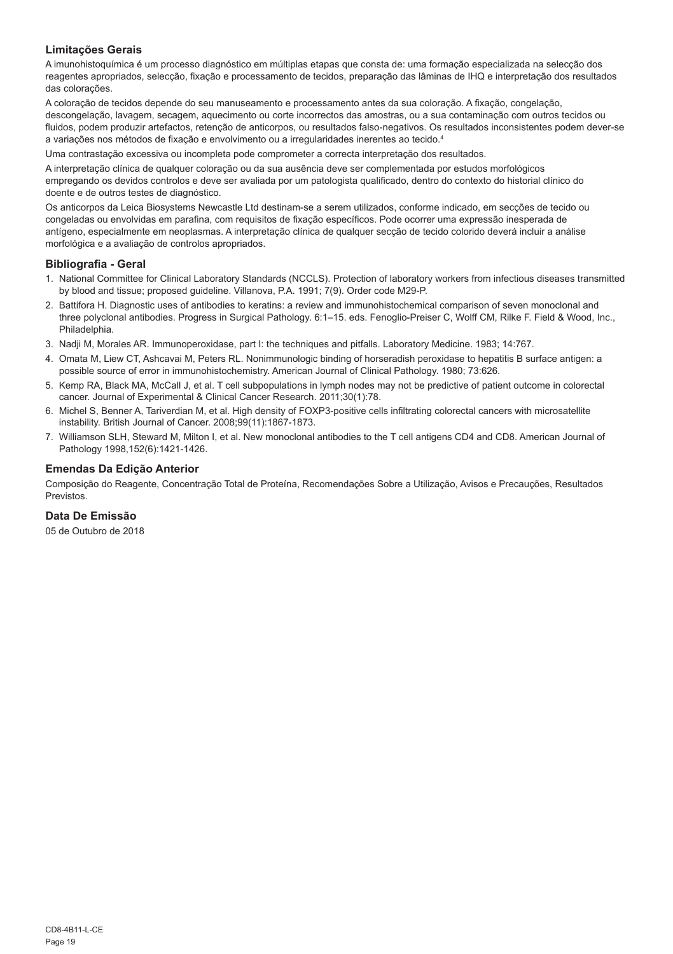# **Limitações Gerais**

A imunohistoquímica é um processo diagnóstico em múltiplas etapas que consta de: uma formação especializada na selecção dos reagentes apropriados, selecção, fixação e processamento de tecidos, preparação das lâminas de IHQ e interpretação dos resultados das colorações.

A coloração de tecidos depende do seu manuseamento e processamento antes da sua coloração. A fixação, congelação, descongelação, lavagem, secagem, aquecimento ou corte incorrectos das amostras, ou a sua contaminação com outros tecidos ou fluidos, podem produzir artefactos, retenção de anticorpos, ou resultados falso-negativos. Os resultados inconsistentes podem dever-se a variações nos métodos de fixação e envolvimento ou a irregularidades inerentes ao tecido.<sup>4</sup>

Uma contrastação excessiva ou incompleta pode comprometer a correcta interpretação dos resultados.

A interpretação clínica de qualquer coloração ou da sua ausência deve ser complementada por estudos morfológicos empregando os devidos controlos e deve ser avaliada por um patologista qualificado, dentro do contexto do historial clínico do doente e de outros testes de diagnóstico.

Os anticorpos da Leica Biosystems Newcastle Ltd destinam-se a serem utilizados, conforme indicado, em secções de tecido ou congeladas ou envolvidas em parafina, com requisitos de fixação específicos. Pode ocorrer uma expressão inesperada de antígeno, especialmente em neoplasmas. A interpretação clínica de qualquer secção de tecido colorido deverá incluir a análise morfológica e a avaliação de controlos apropriados.

### **Bibliografia - Geral**

- 1. National Committee for Clinical Laboratory Standards (NCCLS). Protection of laboratory workers from infectious diseases transmitted by blood and tissue; proposed guideline. Villanova, P.A. 1991; 7(9). Order code M29-P.
- 2. Battifora H. Diagnostic uses of antibodies to keratins: a review and immunohistochemical comparison of seven monoclonal and three polyclonal antibodies. Progress in Surgical Pathology. 6:1–15. eds. Fenoglio-Preiser C, Wolff CM, Rilke F. Field & Wood, Inc., Philadelphia.
- 3. Nadji M, Morales AR. Immunoperoxidase, part I: the techniques and pitfalls. Laboratory Medicine. 1983; 14:767.
- 4. Omata M, Liew CT, Ashcavai M, Peters RL. Nonimmunologic binding of horseradish peroxidase to hepatitis B surface antigen: a possible source of error in immunohistochemistry. American Journal of Clinical Pathology. 1980; 73:626.
- 5. Kemp RA, Black MA, McCall J, et al. T cell subpopulations in lymph nodes may not be predictive of patient outcome in colorectal cancer. Journal of Experimental & Clinical Cancer Research. 2011;30(1):78.
- 6. Michel S, Benner A, Tariverdian M, et al. High density of FOXP3-positive cells infiltrating colorectal cancers with microsatellite instability. British Journal of Cancer. 2008;99(11):1867-1873.
- 7. Williamson SLH, Steward M, Milton I, et al. New monoclonal antibodies to the T cell antigens CD4 and CD8. American Journal of Pathology 1998,152(6):1421-1426.

# **Emendas Da Edição Anterior**

Composição do Reagente, Concentração Total de Proteína, Recomendações Sobre a Utilização, Avisos e Precauções, Resultados Previstos.

# **Data De Emissão**

05 de Outubro de 2018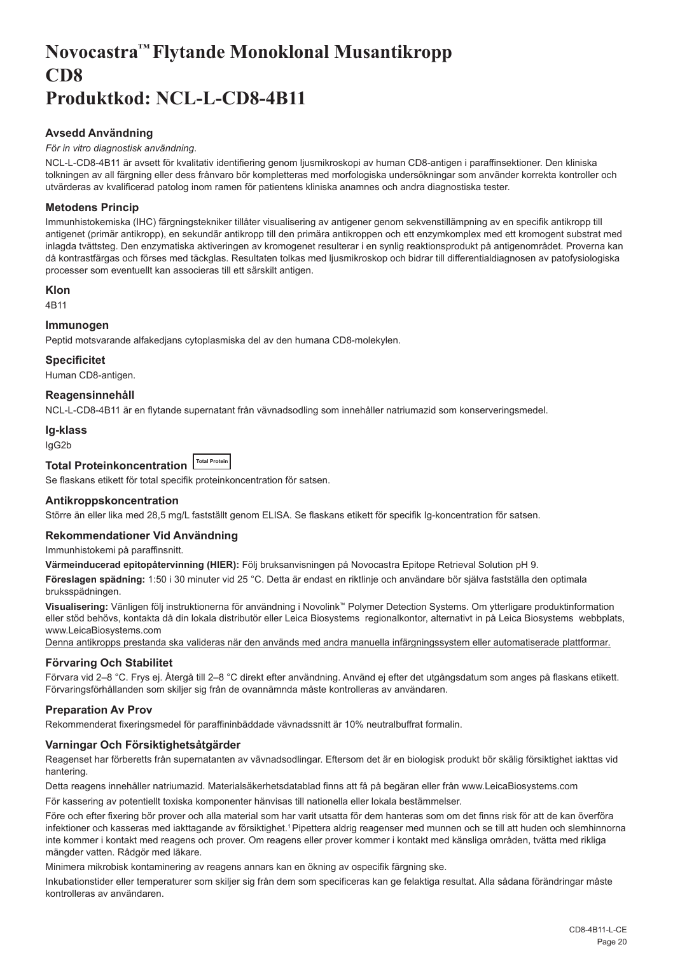# <span id="page-20-0"></span>**Novocastra™ Flytande Monoklonal Musantikropp CD8 Produktkod: NCL-L-CD8-4B11**

# **Avsedd Användning**

# *För in vitro diagnostisk användning*.

NCL-L-CD8-4B11 är avsett för kvalitativ identifiering genom ljusmikroskopi av human CD8-antigen i paraffinsektioner. Den kliniska tolkningen av all färgning eller dess frånvaro bör kompletteras med morfologiska undersökningar som använder korrekta kontroller och utvärderas av kvalificerad patolog inom ramen för patientens kliniska anamnes och andra diagnostiska tester.

## **Metodens Princip**

Immunhistokemiska (IHC) färgningstekniker tillåter visualisering av antigener genom sekvenstillämpning av en specifik antikropp till antigenet (primär antikropp), en sekundär antikropp till den primära antikroppen och ett enzymkomplex med ett kromogent substrat med inlagda tvättsteg. Den enzymatiska aktiveringen av kromogenet resulterar i en synlig reaktionsprodukt på antigenområdet. Proverna kan då kontrastfärgas och förses med täckglas. Resultaten tolkas med ljusmikroskop och bidrar till differentialdiagnosen av patofysiologiska processer som eventuellt kan associeras till ett särskilt antigen.

#### **Klon**

4B11

## **Immunogen**

Peptid motsvarande alfakedjans cytoplasmiska del av den humana CD8-molekylen.

### **Specificitet**

Human CD8-antigen.

# **Reagensinnehåll**

NCL-L-CD8-4B11 är en flytande supernatant från vävnadsodling som innehåller natriumazid som konserveringsmedel.

#### **Ig-klass**

IgG2b

#### **Total Proteinkoncentration Total Protein**

Se flaskans etikett för total specifik proteinkoncentration för satsen.

#### **Antikroppskoncentration**

Större än eller lika med 28,5 mg/L fastställt genom ELISA. Se flaskans etikett för specifik Ig-koncentration för satsen.

### **Rekommendationer Vid Användning**

Immunhistokemi på paraffinsnitt.

**Värmeinducerad epitopåtervinning (HIER):** Följ bruksanvisningen på Novocastra Epitope Retrieval Solution pH 9.

**Föreslagen spädning:** 1:50 i 30 minuter vid 25 °C. Detta är endast en riktlinje och användare bör själva fastställa den optimala bruksspädningen.

**Visualisering:** Vänligen följ instruktionerna för användning i Novolink™ Polymer Detection Systems. Om ytterligare produktinformation eller stöd behövs, kontakta då din lokala distributör eller Leica Biosystems regionalkontor, alternativt in på Leica Biosystems webbplats, www.LeicaBiosystems.com

Denna antikropps prestanda ska valideras när den används med andra manuella infärgningssystem eller automatiserade plattformar.

# **Förvaring Och Stabilitet**

Förvara vid 2–8 °C. Frys ej. Återgå till 2–8 °C direkt efter användning. Använd ej efter det utgångsdatum som anges på flaskans etikett. Förvaringsförhållanden som skiljer sig från de ovannämnda måste kontrolleras av användaren.

# **Preparation Av Prov**

Rekommenderat fixeringsmedel för paraffininbäddade vävnadssnitt är 10% neutralbuffrat formalin.

# **Varningar Och Försiktighetsåtgärder**

Reagenset har förberetts från supernatanten av vävnadsodlingar. Eftersom det är en biologisk produkt bör skälig försiktighet iakttas vid hantering.

Detta reagens innehåller natriumazid. Materialsäkerhetsdatablad finns att få på begäran eller från www.LeicaBiosystems.com

För kassering av potentiellt toxiska komponenter hänvisas till nationella eller lokala bestämmelser.

Före och efter fixering bör prover och alla material som har varit utsatta för dem hanteras som om det finns risk för att de kan överföra infektioner och kasseras med iakttagande av försiktighet.<sup>1</sup> Pipettera aldrig reagenser med munnen och se till att huden och slemhinnorna inte kommer i kontakt med reagens och prover. Om reagens eller prover kommer i kontakt med känsliga områden, tvätta med rikliga mängder vatten. Rådgör med läkare.

Minimera mikrobisk kontaminering av reagens annars kan en ökning av ospecifik färgning ske.

Inkubationstider eller temperaturer som skiljer sig från dem som specificeras kan ge felaktiga resultat. Alla sådana förändringar måste kontrolleras av användaren.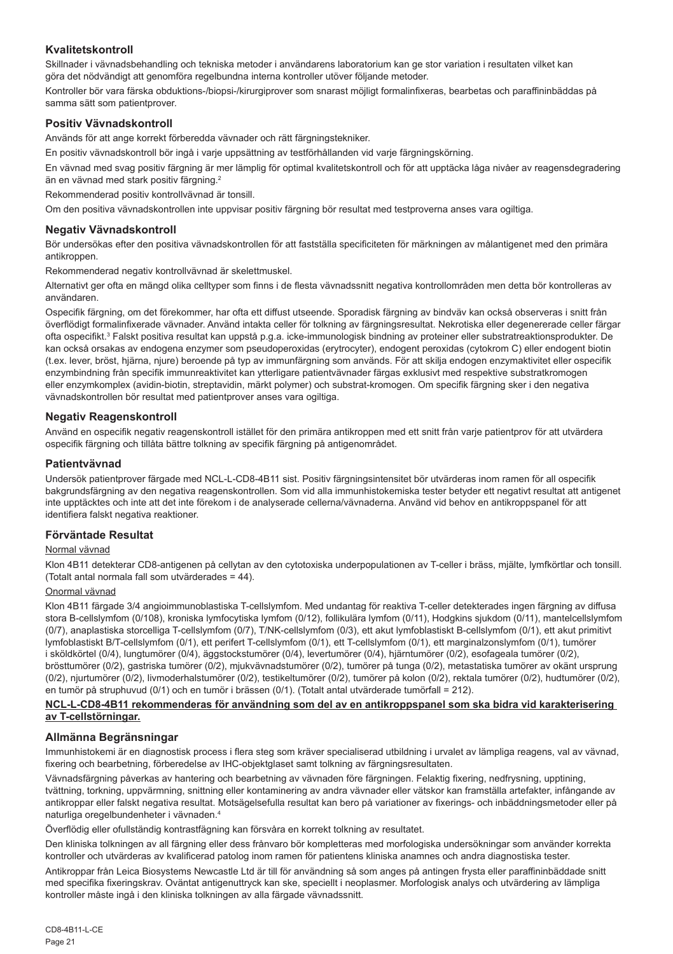# **Kvalitetskontroll**

Skillnader i vävnadsbehandling och tekniska metoder i användarens laboratorium kan ge stor variation i resultaten vilket kan göra det nödvändigt att genomföra regelbundna interna kontroller utöver följande metoder.

Kontroller bör vara färska obduktions-/biopsi-/kirurgiprover som snarast möjligt formalinfixeras, bearbetas och paraffininbäddas på samma sätt som patientprover.

# **Positiv Vävnadskontroll**

Används för att ange korrekt förberedda vävnader och rätt färgningstekniker.

En positiv vävnadskontroll bör ingå i varje uppsättning av testförhållanden vid varje färgningskörning.

En vävnad med svag positiv färgning är mer lämplig för optimal kvalitetskontroll och för att upptäcka låga nivåer av reagensdegradering än en vävnad med stark positiv färgning.<sup>2</sup>

Rekommenderad positiv kontrollvävnad är tonsill.

Om den positiva vävnadskontrollen inte uppvisar positiv färgning bör resultat med testproverna anses vara ogiltiga.

## **Negativ Vävnadskontroll**

Bör undersökas efter den positiva vävnadskontrollen för att fastställa specificiteten för märkningen av målantigenet med den primära antikroppen.

Rekommenderad negativ kontrollvävnad är skelettmuskel.

Alternativt ger ofta en mängd olika celltyper som finns i de flesta vävnadssnitt negativa kontrollområden men detta bör kontrolleras av användaren.

Ospecifik färgning, om det förekommer, har ofta ett diffust utseende. Sporadisk färgning av bindväv kan också observeras i snitt från överflödigt formalinfixerade vävnader. Använd intakta celler för tolkning av färgningsresultat. Nekrotiska eller degenererade celler färgar ofta ospecifikt.3 Falskt positiva resultat kan uppstå p.g.a. icke-immunologisk bindning av proteiner eller substratreaktionsprodukter. De kan också orsakas av endogena enzymer som pseudoperoxidas (erytrocyter), endogent peroxidas (cytokrom C) eller endogent biotin (t.ex. lever, bröst, hjärna, njure) beroende på typ av immunfärgning som används. För att skilja endogen enzymaktivitet eller ospecifik enzymbindning från specifik immunreaktivitet kan ytterligare patientvävnader färgas exklusivt med respektive substratkromogen eller enzymkomplex (avidin-biotin, streptavidin, märkt polymer) och substrat-kromogen. Om specifik färgning sker i den negativa vävnadskontrollen bör resultat med patientprover anses vara ogiltiga.

### **Negativ Reagenskontroll**

Använd en ospecifik negativ reagenskontroll istället för den primära antikroppen med ett snitt från varje patientprov för att utvärdera ospecifik färgning och tillåta bättre tolkning av specifik färgning på antigenområdet.

### **Patientvävnad**

Undersök patientprover färgade med NCL-L-CD8-4B11 sist. Positiv färgningsintensitet bör utvärderas inom ramen för all ospecifik bakgrundsfärgning av den negativa reagenskontrollen. Som vid alla immunhistokemiska tester betyder ett negativt resultat att antigenet inte upptäcktes och inte att det inte förekom i de analyserade cellerna/vävnaderna. Använd vid behov en antikroppspanel för att identifiera falskt negativa reaktioner.

### **Förväntade Resultat**

### Normal vävnad

Klon 4B11 detekterar CD8-antigenen på cellytan av den cytotoxiska underpopulationen av T-celler i bräss, mjälte, lymfkörtlar och tonsill. (Totalt antal normala fall som utvärderades = 44).

# Onormal vävnad

Klon 4B11 färgade 3/4 angioimmunoblastiska T-cellslymfom. Med undantag för reaktiva T-celler detekterades ingen färgning av diffusa stora B-cellslymfom (0/108), kroniska lymfocytiska lymfom (0/12), follikulära lymfom (0/11), Hodgkins sjukdom (0/11), mantelcellslymfom (0/7), anaplastiska storcelliga T-cellslymfom (0/7), T/NK-cellslymfom (0/3), ett akut lymfoblastiskt B-cellslymfom (0/1), ett akut primitivt lymfoblastiskt B/T-cellslymfom (0/1), ett perifert T-cellslymfom (0/1), ett T-cellslymfom (0/1), ett marginalzonslymfom (0/1), tumörer i sköldkörtel (0/4), lungtumörer (0/4), äggstockstumörer (0/4), levertumörer (0/4), hjärntumörer (0/2), esofageala tumörer (0/2), brösttumörer (0/2), gastriska tumörer (0/2), mjukvävnadstumörer (0/2), tumörer på tunga (0/2), metastatiska tumörer av okänt ursprung (0/2), njurtumörer (0/2), livmoderhalstumörer (0/2), testikeltumörer (0/2), tumörer på kolon (0/2), rektala tumörer (0/2), hudtumörer (0/2), en tumör på struphuvud (0/1) och en tumör i brässen (0/1). (Totalt antal utvärderade tumörfall = 212).

### **NCL-L-CD8-4B11 rekommenderas för användning som del av en antikroppspanel som ska bidra vid karakterisering av T-cellstörningar.**

# **Allmänna Begränsningar**

Immunhistokemi är en diagnostisk process i flera steg som kräver specialiserad utbildning i urvalet av lämpliga reagens, val av vävnad, fixering och bearbetning, förberedelse av IHC-objektglaset samt tolkning av färgningsresultaten.

Vävnadsfärgning påverkas av hantering och bearbetning av vävnaden före färgningen. Felaktig fixering, nedfrysning, upptining, tvättning, torkning, uppvärmning, snittning eller kontaminering av andra vävnader eller vätskor kan framställa artefakter, infångande av antikroppar eller falskt negativa resultat. Motsägelsefulla resultat kan bero på variationer av fixerings- och inbäddningsmetoder eller på naturliga oregelbundenheter i vävnaden.<sup>4</sup>

Överflödig eller ofullständig kontrastfägning kan försvåra en korrekt tolkning av resultatet.

Den kliniska tolkningen av all färgning eller dess frånvaro bör kompletteras med morfologiska undersökningar som använder korrekta kontroller och utvärderas av kvalificerad patolog inom ramen för patientens kliniska anamnes och andra diagnostiska tester.

Antikroppar från Leica Biosystems Newcastle Ltd är till för användning så som anges på antingen frysta eller paraffininbäddade snitt med specifika fixeringskrav. Oväntat antigenuttryck kan ske, speciellt i neoplasmer. Morfologisk analys och utvärdering av lämpliga kontroller måste ingå i den kliniska tolkningen av alla färgade vävnadssnitt.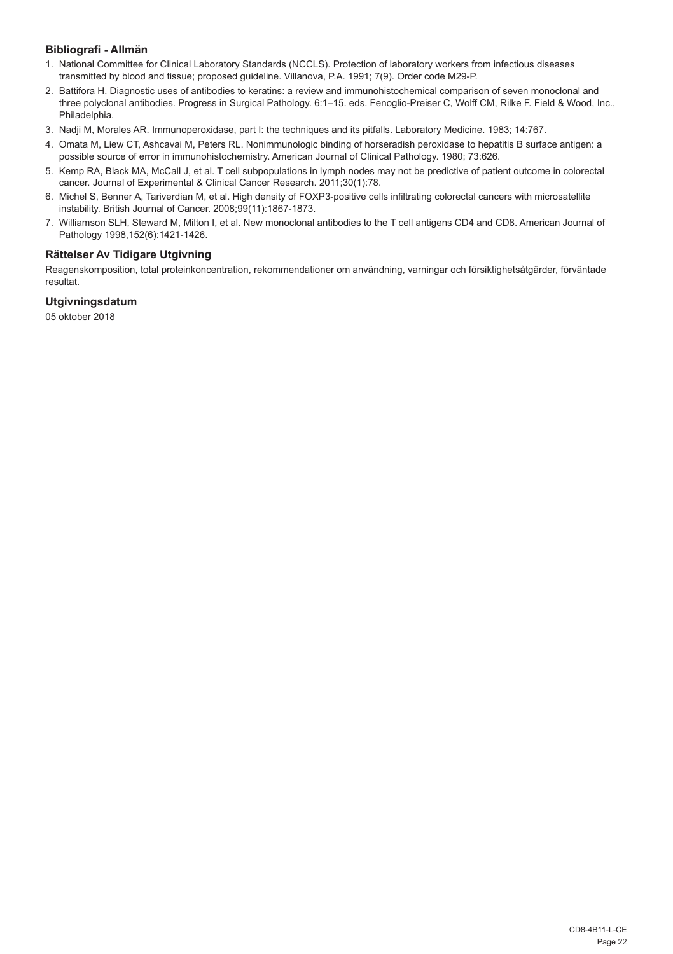# **Bibliografi - Allmän**

- 1. National Committee for Clinical Laboratory Standards (NCCLS). Protection of laboratory workers from infectious diseases transmitted by blood and tissue; proposed guideline. Villanova, P.A. 1991; 7(9). Order code M29-P.
- 2. Battifora H. Diagnostic uses of antibodies to keratins: a review and immunohistochemical comparison of seven monoclonal and three polyclonal antibodies. Progress in Surgical Pathology. 6:1–15. eds. Fenoglio-Preiser C, Wolff CM, Rilke F. Field & Wood, Inc., Philadelphia.
- 3. Nadji M, Morales AR. Immunoperoxidase, part I: the techniques and its pitfalls. Laboratory Medicine. 1983; 14:767.
- 4. Omata M, Liew CT, Ashcavai M, Peters RL. Nonimmunologic binding of horseradish peroxidase to hepatitis B surface antigen: a possible source of error in immunohistochemistry. American Journal of Clinical Pathology. 1980; 73:626.
- 5. Kemp RA, Black MA, McCall J, et al. T cell subpopulations in lymph nodes may not be predictive of patient outcome in colorectal cancer. Journal of Experimental & Clinical Cancer Research. 2011;30(1):78.
- 6. Michel S, Benner A, Tariverdian M, et al. High density of FOXP3-positive cells infiltrating colorectal cancers with microsatellite instability. British Journal of Cancer. 2008;99(11):1867-1873.
- 7. Williamson SLH, Steward M, Milton I, et al. New monoclonal antibodies to the T cell antigens CD4 and CD8. American Journal of Pathology 1998,152(6):1421-1426.

# **Rättelser Av Tidigare Utgivning**

Reagenskomposition, total proteinkoncentration, rekommendationer om användning, varningar och försiktighetsåtgärder, förväntade resultat.

# **Utgivningsdatum**

05 oktober 2018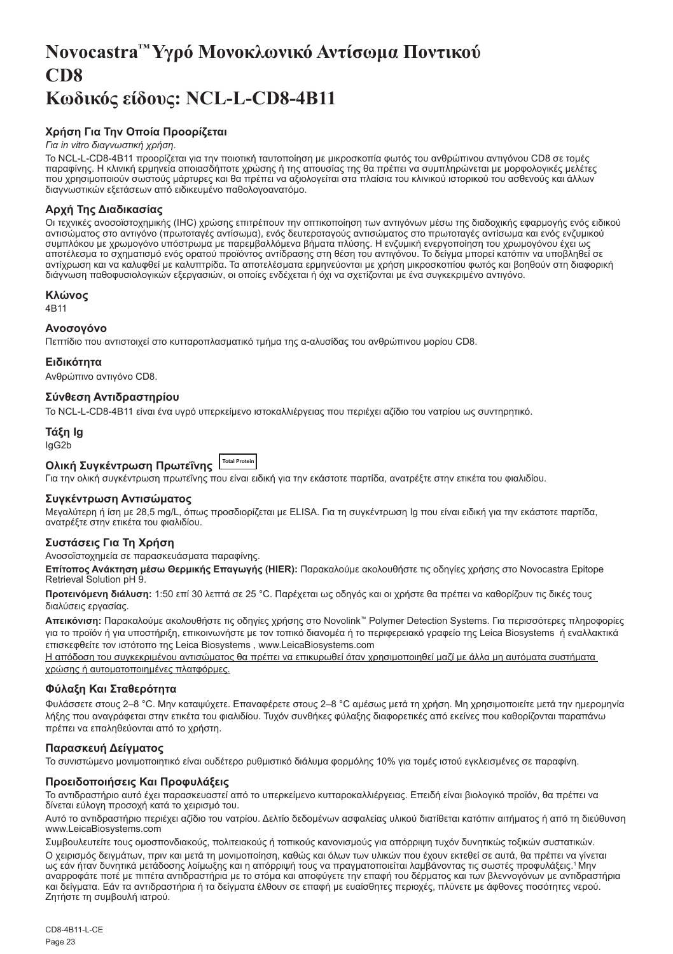# <span id="page-23-0"></span>**Novocastra™ Υγρό Μονοκλωνικό Αντίσωμα Ποντικού CD8 Κωδικός είδους: NCL-L-CD8-4B11**

# **Χρήση Για Την Οποία Προορίζεται**

## *Για in vitro διαγνωστική χρήση*.

Το NCL-L-CD8-4B11 προορίζεται για την ποιοτική ταυτοποίηση με μικροσκοπία φωτός του ανθρώπινου αντιγόνου CD8 σε τομές παραφίνης. Η κλινική ερμηνεία οποιασδήποτε χρώσης ή της απουσίας της θα πρέπει να συμπληρώνεται με μορφολογικές μελέτες που χρησιμοποιούν σωστούς μάρτυρες και θα πρέπει να αξιολογείται στα πλαίσια του κλινικού ιστορικού του ασθενούς και άλλων διαγνωστικών εξετάσεων από ειδικευμένο παθολογοανατόμο.

# **Αρχή Της Διαδικασίας**

Οι τεχνικές ανοσοϊστοχημικής (IHC) χρώσης επιτρέπουν την οπτικοποίηση των αντιγόνων μέσω της διαδοχικής εφαρμογής ενός ειδικού αντισώματος στο αντιγόνο (πρωτοταγές αντίσωμα), ενός δευτεροταγούς αντισώματος στο πρωτοταγές αντίσωμα και ενός ενζυμικού συμπλόκου με χρωμογόνο υπόστρωμα με παρεμβαλλόμενα βήματα πλύσης. Η ενζυμική ενεργοποίηση του χρωμογόνου έχει ως αποτέλεσμα το σχηματισμό ενός ορατού προϊόντος αντίδρασης στη θέση του αντιγόνου. Το δείγμα μπορεί κατόπιν να υποβληθεί σε αντίχρωση και να καλυφθεί με καλυπτρίδα. Τα αποτελέσματα ερμηνεύονται με χρήση μικροσκοπίου φωτός και βοηθούν στη διαφορική διάγνωση παθοφυσιολογικών εξεργασιών, οι οποίες ενδέχεται ή όχι να σχετίζονται με ένα συγκεκριμένο αντιγόνο.

### **Κλώνος**

4B11

### **Ανοσογόνο**

Πεπτίδιο που αντιστοιχεί στο κυτταροπλασματικό τμήμα της α-αλυσίδας του ανθρώπινου μορίου CD8.

### **Ειδικότητα**

Ανθρώπινο αντιγόνο CD8.

# **Σύνθεση Αντιδραστηρίου**

Το NCL-L-CD8-4B11 είναι ένα υγρό υπερκείμενο ιστοκαλλιέργειας που περιέχει αζίδιο του νατρίου ως συντηρητικό.

**Τάξη Ig** IgG2b

#### **Ολική Συγκέντρωση Πρωτεΐνης Total Protein**

Για την ολική συγκέντρωση πρωτεΐνης που είναι ειδική για την εκάστοτε παρτίδα, ανατρέξτε στην ετικέτα του φιαλιδίου.

# **Συγκέντρωση Αντισώματος**

Μεγαλύτερη ή ίση με 28,5 mg/L, όπως προσδιορίζεται με ELISA. Για τη συγκέντρωση Ig που είναι ειδική για την εκάστοτε παρτίδα, ανατρέξτε στην ετικέτα του φιαλιδίου.

# **Συστάσεις Για Τη Χρήση**

#### Ανοσοϊστοχημεία σε παρασκευάσματα παραφίνης.

**Επίτοπος Ανάκτηση μέσω Θερμικής Επαγωγής (HIER):** Παρακαλούμε ακολουθήστε τις οδηγίες χρήσης στο Novocastra Epitope Retrieval Solution pH 9.

**Προτεινόμενη διάλυση:** 1:50 επί 30 λεπτά σε 25 °C. Παρέχεται ως οδηγός και οι χρήστε θα πρέπει να καθορίζουν τις δικές τους διαλύσεις εργασίας.

**Απεικόνιση:** Παρακαλούμε ακολουθήστε τις οδηγίες χρήσης στο Novolink™ Polymer Detection Systems. Για περισσότερες πληροφορίες για το προϊόν ή για υποστήριξη, επικοινωνήστε με τον τοπικό διανομέα ή το περιφερειακό γραφείο της Leica Biosystems ή εναλλακτικά επισκεφθείτε τον ιστότοπο της Leica Biosystems , www.LeicaBiosystems.com

Η απόδοση του συγκεκριμένου αντισώματος θα πρέπει να επικυρωθεί όταν χρησιμοποιηθεί μαζί με άλλα μη αυτόματα συστήματα χρώσης ή αυτοματοποιημένες πλατφόρμες.

#### **Φύλαξη Και Σταθερότητα**

Φυλάσσετε στους 2–8 °C. Μην καταψύχετε. Επαναφέρετε στους 2–8 °C αμέσως μετά τη χρήση. Μη χρησιμοποιείτε μετά την ημερομηνία λήξης που αναγράφεται στην ετικέτα του φιαλιδίου. Τυχόν συνθήκες φύλαξης διαφορετικές από εκείνες που καθορίζονται παραπάνω πρέπει να επαληθεύονται από το χρήστη.

# **Παρασκευή Δείγματος**

Το συνιστώμενο μονιμοποιητικό είναι ουδέτερο ρυθμιστικό διάλυμα φορμόλης 10% για τομές ιστού εγκλεισμένες σε παραφίνη.

# **Προειδοποιήσεις Και Προφυλάξεις**

Το αντιδραστήριο αυτό έχει παρασκευαστεί από το υπερκείμενο κυτταροκαλλιέργειας. Επειδή είναι βιολογικό προϊόν, θα πρέπει να δίνεται εύλογη προσοχή κατά το χειρισμό του.

Αυτό το αντιδραστήριο περιέχει αζίδιο του νατρίου. Δελτίο δεδομένων ασφαλείας υλικού διατίθεται κατόπιν αιτήματος ή από τη διεύθυνση www.LeicaBiosystems.com

Συμβουλευτείτε τους ομοσπονδιακούς, πολιτειακούς ή τοπικούς κανονισμούς για απόρριψη τυχόν δυνητικώς τοξικών συστατικών. Ο χειρισμός δειγμάτων, πριν και μετά τη μονιμοποίηση, καθώς και όλων των υλικών που έχουν εκτεθεί σε αυτά, θα πρέπει να γίνεται ως εάν ήταν δυνητικά μετάδοσης λοίμωξης και η απόρριψή τους να πραγματοποιείται λαμβάνοντας τις σωστές προφυλάξεις.<sup>1</sup>Μην αναρροφάτε ποτέ με πιπέτα αντιδραστήρια με το στόμα και αποφύγετε την επαφή του δέρματος και των βλεννογόνων με αντιδραστήρια και δείγματα. Εάν τα αντιδραστήρια ή τα δείγματα έλθουν σε επαφή με ευαίσθητες περιοχές, πλύνετε με άφθονες ποσότητες νερού. Ζητήστε τη συμβουλή ιατρού.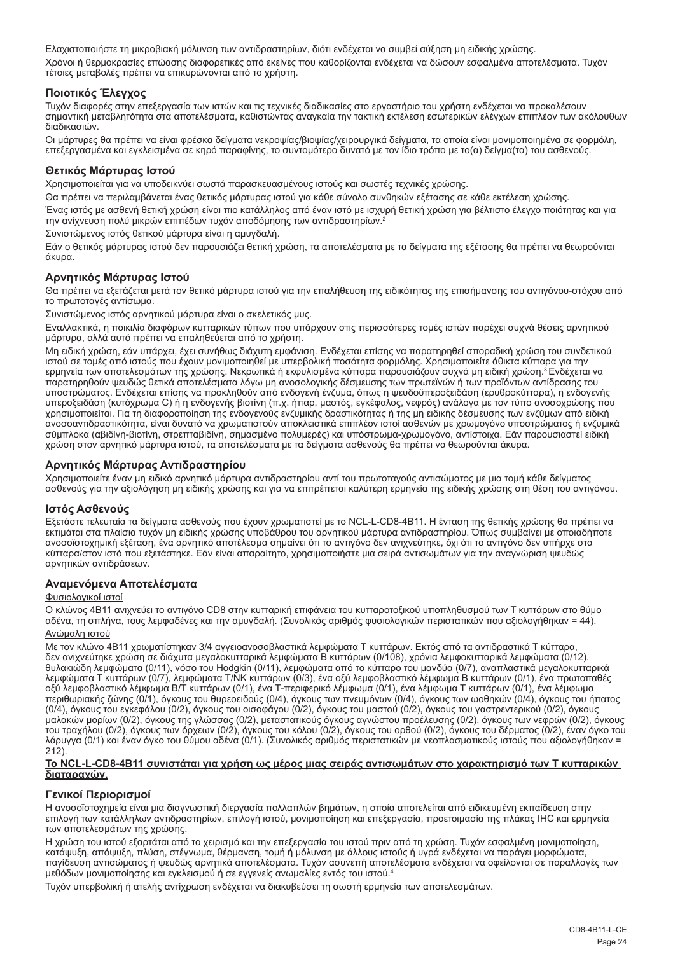Ελαχιστοποιήστε τη μικροβιακή μόλυνση των αντιδραστηρίων, διότι ενδέχεται να συμβεί αύξηση μη ειδικής χρώσης. Χρόνοι ή θερμοκρασίες επώασης διαφορετικές από εκείνες που καθορίζονται ενδέχεται να δώσουν εσφαλμένα αποτελέσματα. Τυχόν τέτοιες μεταβολές πρέπει να επικυρώνονται από το χρήστη.

# **Ποιοτικός Έλεγχος**

Τυχόν διαφορές στην επεξεργασία των ιστών και τις τεχνικές διαδικασίες στο εργαστήριο του χρήστη ενδέχεται να προκαλέσουν σημαντική μεταβλητότητα στα αποτελέσματα, καθιστώντας αναγκαία την τακτική εκτέλεση εσωτερικών ελέγχων επιπλέον των ακόλουθων διαδικασιών.

Οι μάρτυρες θα πρέπει να είναι φρέσκα δείγματα νεκροψίας/βιοψίας/χειρουργικά δείγματα, τα οποία είναι μονιμοποιημένα σε φορμόλη, επεξεργασμένα και εγκλεισμένα σε κηρό παραφίνης, το συντομότερο δυνατό με τον ίδιο τρόπο με το(α) δείγμα(τα) του ασθενούς.

# **Θετικός Μάρτυρας Ιστού**

Χρησιμοποιείται για να υποδεικνύει σωστά παρασκευασμένους ιστούς και σωστές τεχνικές χρώσης.

Θα πρέπει να περιλαμβάνεται ένας θετικός μάρτυρας ιστού για κάθε σύνολο συνθηκών εξέτασης σε κάθε εκτέλεση χρώσης.

Ένας ιστός με ασθενή θετική χρώση είναι πιο κατάλληλος από έναν ιστό με ισχυρή θετική χρώση για βέλτιστο έλεγχο ποιότητας και για την ανίχνευση πολύ μικρών επιπέδων τυχόν αποδόμησης των αντιδραστηρίων.<sup>2</sup>

Συνιστώμενος ιστός θετικού μάρτυρα είναι η αμυγδαλή.

Εάν ο θετικός μάρτυρας ιστού δεν παρουσιάζει θετική χρώση, τα αποτελέσματα με τα δείγματα της εξέτασης θα πρέπει να θεωρούνται άκυρα.

# **Αρνητικός Μάρτυρας Ιστού**

Θα πρέπει να εξετάζεται μετά τον θετικό μάρτυρα ιστού για την επαλήθευση της ειδικότητας της επισήμανσης του αντιγόνου-στόχου από το πρωτοταγές αντίσωμα.

Συνιστώμενος ιστός αρνητικού μάρτυρα είναι ο σκελετικός μυς.

Εναλλακτικά, η ποικιλία διαφόρων κυτταρικών τύπων που υπάρχουν στις περισσότερες τομές ιστών παρέχει συχνά θέσεις αρνητικού μάρτυρα, αλλά αυτό πρέπει να επαληθεύεται από το χρήστη.

Μη ειδική χρώση, εάν υπάρχει, έχει συνήθως διάχυτη εμφάνιση. Ενδέχεται επίσης να παρατηρηθεί σποραδική χρώση του συνδετικού ιστού σε τομές από ιστούς που έχουν μονιμοποιηθεί με υπερβολική ποσότητα φορμόλης. Χρησιμοποιείτε άθικτα κύτταρα για την<br>ερμηνεία των αποτελεσμάτων της χρώσης. Νεκρωτικά ή εκφυλισμένα κύτταρα παρουσιάζουν συχνά μη ειδική παρατηρηθούν ψευδώς θετικά αποτελέσματα λόγω μη ανοσολογικής δέσμευσης των πρωτεϊνών ή των προϊόντων αντίδρασης του υποστρώματος. Ενδέχεται επίσης να προκληθούν από ενδογενή ένζυμα, όπως η ψευδοϋπεροξειδάση (ερυθροκύτταρα), η ενδογενής<br>υπεροξειδάση (κυτόχρωμα C) ή η ενδογενής βιοτίνη (π.χ. ήπαρ, μαστός, εγκέφαλος, νεφρός) ανάλογα με το χρησιμοποιείται. Για τη διαφοροποίηση της ενδογενούς ενζυμικής δραστικότητας ή της μη ειδικής δέσμευσης των ενζύμων από ειδική ανοσοαντιδραστικότητα, είναι δυνατό να χρωματιστούν αποκλειστικά επιπλέον ιστοί ασθενών με χρωμογόνο υποστρώματος ή ενζυμικά σύμπλοκα (αβιδίνη-βιοτίνη, στρεπταβιδίνη, σημασμένο πολυμερές) και υπόστρωμα-χρωμογόνο, αντίστοιχα. Εάν παρουσιαστεί ειδική χρώση στον αρνητικό μάρτυρα ιστού, τα αποτελέσματα με τα δείγματα ασθενούς θα πρέπει να θεωρούνται άκυρα.

# **Αρνητικός Μάρτυρας Αντιδραστηρίου**

Χρησιμοποιείτε έναν μη ειδικό αρνητικό μάρτυρα αντιδραστηρίου αντί του πρωτοταγούς αντισώματος με μια τομή κάθε δείγματος<br>ασθενούς για την αξιολόγηση μη ειδικής χρώσης και για να επιτρέπεται καλύτερη ερμηνεία της ειδικής

# **Ιστός Ασθενούς**

Εξετάστε τελευταία τα δείγματα ασθενούς που έχουν χρωματιστεί με το NCL-L-CD8-4B11. Η ένταση της θετικής χρώσης θα πρέπει να εκτιμάται στα πλαίσια τυχόν μη ειδικής χρώσης υποβάθρου του αρνητικού μάρτυρα αντιδραστηρίου. Όπως συμβαίνει με οποιαδήποτε ανοσοϊστοχημική εξέταση, ένα αρνητικό αποτέλεσμα σημαίνει ότι το αντιγόνο δεν ανιχνεύτηκε, όχι ότι το αντιγόνο δεν υπήρχε στα κύτταρα/στον ιστό που εξετάστηκε. Εάν είναι απαραίτητο, χρησιμοποιήστε μια σειρά αντισωμάτων για την αναγνώριση ψευδώς αρνητικών αντιδράσεων.

# **Αναμενόμενα Αποτελέσματα**

#### Φυσιολογικοί ιστοί

Ο κλώνος 4B11 ανιχνεύει το αντιγόνο CD8 στην κυτταρική επιφάνεια του κυτταροτοξικού υποπληθυσμού των Τ κυττάρων στο θύμο αδένα, τη σπλήνα, τους λεμφαδένες και την αμυγδαλή. (Συνολικός αριθμός φυσιολογικών περιστατικών που αξιολογήθηκαν = 44). Ανώμαλη ιστού

Με τον κλώνο 4B11 χρωματίστηκαν 3/4 αγγειοανοσοβλαστικά λεμφώματα Τ κυττάρων. Εκτός από τα αντιδραστικά Τ κύτταρα, δεν ανιχνεύτηκε χρώση σε διάχυτα μεγαλοκυτταρικά λεμφώματα Β κυττάρων (0/108), χρόνια λεμφοκυτταρικά λεμφώματα (0/12), θυλακιώδη λεμφώματα (0/11), νόσο του Hodgkin (0/11), λεμφώματα από το κύτταρο του μανδύα (0/7), αναπλαστικά μεγαλοκυτταρικά<br>λεμφώματα Τ κυττάρων (0/7), λεμφώματα Τ/ΝΚ κυττάρων (0/3), ένα οξύ λεμφοβλαστικό λέμφωμα Β κυττάρ οξύ λεμφοβλαστικό λέμφωμα Β/Τ κυττάρων (0/1), ένα Τ-περιφερικό λέμφωμα (0/1), ένα λέμφωμα Τ κυττάρων (0/1), ένα λέμφωμα περιθωριακής ζώνης (0/1), όγκους του θυρεοειδούς (0/4), όγκους των πνευμόνων (0/4), όγκους των ωοθηκών (0/4), όγκους του ήπατος<br>(0/4), όγκους του εγκεφάλου (0/2), όγκους του οισοφάγου (0/2), όγκους του μαστού (0/2), όγκου μαλακών μορίων (0/2), όγκους της γλώσσας (0/2), μεταστατικούς όγκους αγνώστου προέλευσης (0/2), όγκους των νεφρών (0/2), όγκους του τραχήλου (0/2), όγκους των όρχεων (0/2), όγκους του κόλου (0/2), όγκους του ορθού (0/2), όγκους του δέρματος (0/2), έναν όγκο του<br>λάρυγγα (0/1) και έναν όγκο του θύμου αδένα (0/1). (Συνολικός αριθμός περιστατικών με ν 212).

#### **Το NCL-L-CD8-4B11 συνιστάται για χρήση ως μέρος μιας σειράς αντισωμάτων στο χαρακτηρισμό των Τ κυτταρικών διαταραχών.**

# **Γενικοί Περιορισμοί**

Η ανοσοϊστοχημεία είναι μια διαγνωστική διεργασία πολλαπλών βημάτων, η οποία αποτελείται από ειδικευμένη εκπαίδευση στην επιλογή των κατάλληλων αντιδραστηρίων, επιλογή ιστού, μονιμοποίηση και επεξεργασία, προετοιμασία της πλάκας IHC και ερμηνεία των αποτελεσμάτων της χρώσης.

Η χρώση του ιστού εξαρτάται από το χειρισμό και την επεξεργασία του ιστού πριν από τη χρώση. Τυχόν εσφαλμένη μονιμοποίηση, κατάψυξη, απόψυξη, πλύση, στέγνωμα, θέρμανση, τομή ή μόλυνση με άλλους ιστούς ή υγρά ενδέχεται να παράγει μορφώματα, παγίδευση αντισώματος ή ψευδώς αρνητικά αποτελέσματα. Τυχόν ασυνεπή αποτελέσματα ενδέχεται να οφείλονται σε παραλλαγές των μεθόδων μονιμοποίησης και εγκλεισμού ή σε εγγενείς ανωμαλίες εντός του ιστού.<sup>4</sup>

Τυχόν υπερβολική ή ατελής αντίχρωση ενδέχεται να διακυβεύσει τη σωστή ερμηνεία των αποτελεσμάτων.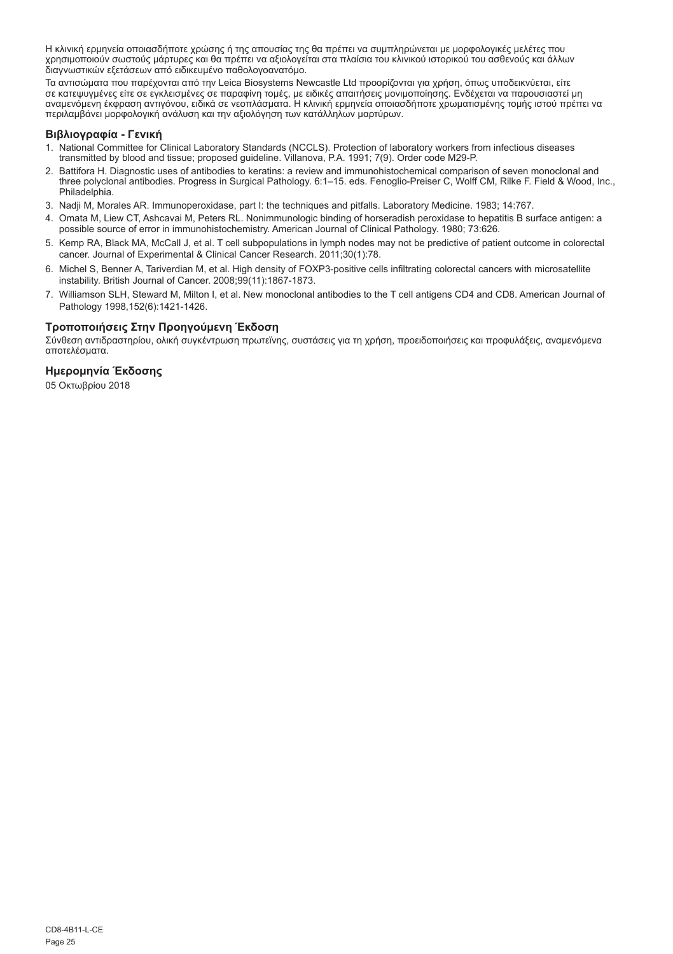Η κλινική ερμηνεία οποιασδήποτε χρώσης ή της απουσίας της θα πρέπει να συμπληρώνεται με μορφολογικές μελέτες που χρησιμοποιούν σωστούς μάρτυρες και θα πρέπει να αξιολογείται στα πλαίσια του κλινικού ιστορικού του ασθενούς και άλλων διαγνωστικών εξετάσεων από ειδικευμένο παθολογοανατόμο.

Τα αντισώματα που παρέχονται από την Leica Biosystems Newcastle Ltd προορίζονται για χρήση, όπως υποδεικνύεται, είτε σε κατεψυγμένες είτε σε εγκλεισμένες σε παραφίνη τομές, με ειδικές απαιτήσεις μονιμοποίησης. Ενδέχεται να παρουσιαστεί μη<br>αναμενόμενη έκφραση αντιγόνου, ειδικά σε νεοπλάσματα. Η κλινική ερμηνεία οποιασδήποτε χρωματισμένης περιλαμβάνει μορφολογική ανάλυση και την αξιολόγηση των κατάλληλων μαρτύρων.

# **Βιβλιογραφία - Γενική**

- 1. National Committee for Clinical Laboratory Standards (NCCLS). Protection of laboratory workers from infectious diseases transmitted by blood and tissue; proposed guideline. Villanova, P.A. 1991; 7(9). Order code M29-P.
- 2. Battifora H. Diagnostic uses of antibodies to keratins: a review and immunohistochemical comparison of seven monoclonal and three polyclonal antibodies. Progress in Surgical Pathology. 6:1–15. eds. Fenoglio-Preiser C, Wolff CM, Rilke F. Field & Wood, Inc., Philadelphia.
- 3. Nadji M, Morales AR. Immunoperoxidase, part I: the techniques and pitfalls. Laboratory Medicine. 1983; 14:767.
- 4. Omata M, Liew CT, Ashcavai M, Peters RL. Nonimmunologic binding of horseradish peroxidase to hepatitis B surface antigen: a possible source of error in immunohistochemistry. American Journal of Clinical Pathology. 1980; 73:626.
- 5. Kemp RA, Black MA, McCall J, et al. T cell subpopulations in lymph nodes may not be predictive of patient outcome in colorectal cancer. Journal of Experimental & Clinical Cancer Research. 2011;30(1):78.
- 6. Michel S, Benner A, Tariverdian M, et al. High density of FOXP3-positive cells infiltrating colorectal cancers with microsatellite instability. British Journal of Cancer. 2008;99(11):1867-1873.
- 7. Williamson SLH, Steward M, Milton I, et al. New monoclonal antibodies to the T cell antigens CD4 and CD8. American Journal of Pathology 1998,152(6):1421-1426.

### **Τροποποιήσεις Στην Προηγούμενη Έκδοση**

Σύνθεση αντιδραστηρίου, ολική συγκέντρωση πρωτεϊνης, συστάσεις για τη χρήση, προειδοποιήσεις και προφυλάξεις, αναμενόμενα αποτελέσματα.

# **Ημερομηνία Έκδοσης**

05 Οκτωβρίου 2018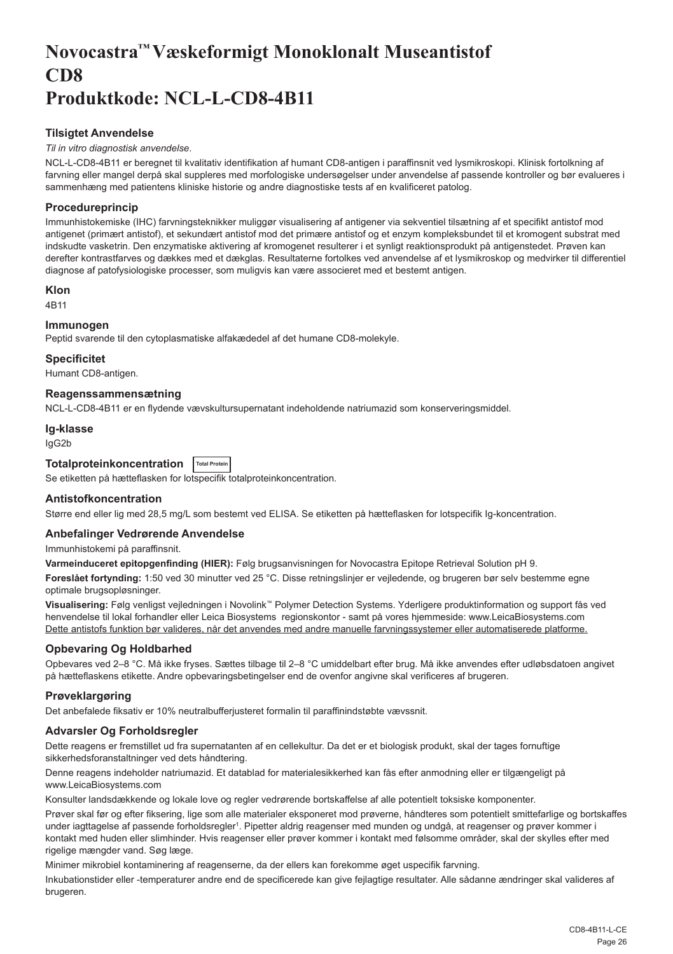# <span id="page-26-0"></span>**Novocastra™ Væskeformigt Monoklonalt Museantistof CD8 Produktkode: NCL-L-CD8-4B11**

# **Tilsigtet Anvendelse**

# *Til in vitro diagnostisk anvendelse*.

NCL-L-CD8-4B11 er beregnet til kvalitativ identifikation af humant CD8-antigen i paraffinsnit ved lysmikroskopi. Klinisk fortolkning af farvning eller mangel derpå skal suppleres med morfologiske undersøgelser under anvendelse af passende kontroller og bør evalueres i sammenhæng med patientens kliniske historie og andre diagnostiske tests af en kvalificeret patolog.

# **Procedureprincip**

Immunhistokemiske (IHC) farvningsteknikker muliggør visualisering af antigener via sekventiel tilsætning af et specifikt antistof mod antigenet (primært antistof), et sekundært antistof mod det primære antistof og et enzym kompleksbundet til et kromogent substrat med indskudte vasketrin. Den enzymatiske aktivering af kromogenet resulterer i et synligt reaktionsprodukt på antigenstedet. Prøven kan derefter kontrastfarves og dækkes med et dækglas. Resultaterne fortolkes ved anvendelse af et lysmikroskop og medvirker til differentiel diagnose af patofysiologiske processer, som muligvis kan være associeret med et bestemt antigen.

### **Klon**

4B11

# **Immunogen**

Peptid svarende til den cytoplasmatiske alfakædedel af det humane CD8-molekyle.

### **Specificitet**

Humant CD8-antigen.

### **Reagenssammensætning**

NCL-L-CD8-4B11 er en flydende vævskultursupernatant indeholdende natriumazid som konserveringsmiddel.

#### **Ig-klasse**

IgG2b

# **Totalproteinkoncentration Total Protein**

Se etiketten på hætteflasken for lotspecifik totalproteinkoncentration.

# **Antistofkoncentration**

Større end eller lig med 28,5 mg/L som bestemt ved ELISA. Se etiketten på hætteflasken for lotspecifik Ig-koncentration.

# **Anbefalinger Vedrørende Anvendelse**

Immunhistokemi på paraffinsnit.

**Varmeinduceret epitopgenfinding (HIER):** Følg brugsanvisningen for Novocastra Epitope Retrieval Solution pH 9.

**Foreslået fortynding:** 1:50 ved 30 minutter ved 25 °C. Disse retningslinjer er vejledende, og brugeren bør selv bestemme egne optimale brugsopløsninger.

**Visualisering:** Følg venligst vejledningen i Novolink™ Polymer Detection Systems. Yderligere produktinformation og support fås ved henvendelse til lokal forhandler eller Leica Biosystems regionskontor - samt på vores hjemmeside: www.LeicaBiosystems.com Dette antistofs funktion bør valideres, når det anvendes med andre manuelle farvningssystemer eller automatiserede platforme.

# **Opbevaring Og Holdbarhed**

Opbevares ved 2–8 °C. Må ikke fryses. Sættes tilbage til 2–8 °C umiddelbart efter brug. Må ikke anvendes efter udløbsdatoen angivet på hætteflaskens etikette. Andre opbevaringsbetingelser end de ovenfor angivne skal verificeres af brugeren.

# **Prøveklargøring**

Det anbefalede fiksativ er 10% neutralbufferjusteret formalin til paraffinindstøbte vævssnit.

# **Advarsler Og Forholdsregler**

Dette reagens er fremstillet ud fra supernatanten af en cellekultur. Da det er et biologisk produkt, skal der tages fornuftige sikkerhedsforanstaltninger ved dets håndtering.

Denne reagens indeholder natriumazid. Et datablad for materialesikkerhed kan fås efter anmodning eller er tilgængeligt på www.LeicaBiosystems.com

Konsulter landsdækkende og lokale love og regler vedrørende bortskaffelse af alle potentielt toksiske komponenter.

Prøver skal før og efter fiksering, lige som alle materialer eksponeret mod prøverne, håndteres som potentielt smittefarlige og bortskaffes under iagttagelse af passende forholdsregler<sup>ı</sup>. Pipetter aldrig reagenser med munden og undgå, at reagenser og prøver kommer i kontakt med huden eller slimhinder. Hvis reagenser eller prøver kommer i kontakt med følsomme områder, skal der skylles efter med rigelige mængder vand. Søg læge.

Minimer mikrobiel kontaminering af reagenserne, da der ellers kan forekomme øget uspecifik farvning.

Inkubationstider eller -temperaturer andre end de specificerede kan give fejlagtige resultater. Alle sådanne ændringer skal valideres af brugeren.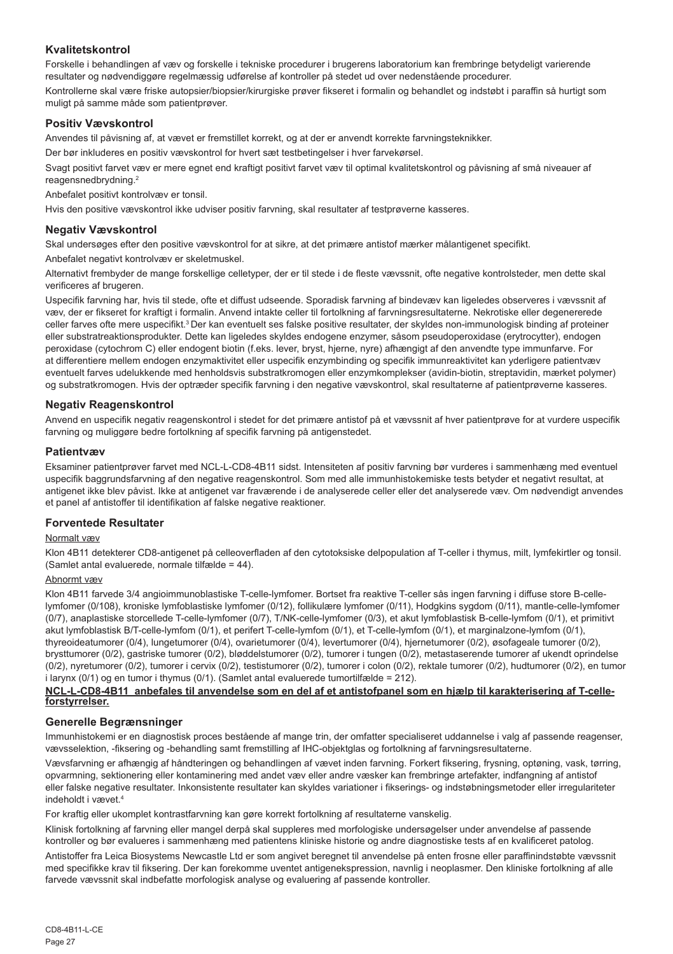# **Kvalitetskontrol**

Forskelle i behandlingen af væv og forskelle i tekniske procedurer i brugerens laboratorium kan frembringe betydeligt varierende resultater og nødvendiggøre regelmæssig udførelse af kontroller på stedet ud over nedenstående procedurer. Kontrollerne skal være friske autopsier/biopsier/kirurgiske prøver fikseret i formalin og behandlet og indstøbt i paraffin så hurtigt som muligt på samme måde som patientprøver.

# **Positiv Vævskontrol**

Anvendes til påvisning af, at vævet er fremstillet korrekt, og at der er anvendt korrekte farvningsteknikker.

Der bør inkluderes en positiv vævskontrol for hvert sæt testbetingelser i hver farvekørsel.

Svagt positivt farvet væv er mere egnet end kraftigt positivt farvet væv til optimal kvalitetskontrol og påvisning af små niveauer af reagensnedbrydning.<sup>2</sup>

Anbefalet positivt kontrolvæv er tonsil.

Hvis den positive vævskontrol ikke udviser positiv farvning, skal resultater af testprøverne kasseres.

# **Negativ Vævskontrol**

Skal undersøges efter den positive vævskontrol for at sikre, at det primære antistof mærker målantigenet specifikt.

Anbefalet negativt kontrolvæv er skeletmuskel.

Alternativt frembyder de mange forskellige celletyper, der er til stede i de fleste vævssnit, ofte negative kontrolsteder, men dette skal verificeres af brugeren.

Uspecifik farvning har, hvis til stede, ofte et diffust udseende. Sporadisk farvning af bindevæv kan ligeledes observeres i vævssnit af væv, der er fikseret for kraftigt i formalin. Anvend intakte celler til fortolkning af farvningsresultaterne. Nekrotiske eller degenererede celler farves ofte mere uspecifikt.<sup>3</sup> Der kan eventuelt ses falske positive resultater, der skyldes non-immunologisk binding af proteiner eller substratreaktionsprodukter. Dette kan ligeledes skyldes endogene enzymer, såsom pseudoperoxidase (erytrocytter), endogen peroxidase (cytochrom C) eller endogent biotin (f.eks. lever, bryst, hjerne, nyre) afhængigt af den anvendte type immunfarve. For at differentiere mellem endogen enzymaktivitet eller uspecifik enzymbinding og specifik immunreaktivitet kan yderligere patientvæv eventuelt farves udelukkende med henholdsvis substratkromogen eller enzymkomplekser (avidin-biotin, streptavidin, mærket polymer) og substratkromogen. Hvis der optræder specifik farvning i den negative vævskontrol, skal resultaterne af patientprøverne kasseres.

# **Negativ Reagenskontrol**

Anvend en uspecifik negativ reagenskontrol i stedet for det primære antistof på et vævssnit af hver patientprøve for at vurdere uspecifik farvning og muliggøre bedre fortolkning af specifik farvning på antigenstedet.

# **Patientvæv**

Eksaminer patientprøver farvet med NCL-L-CD8-4B11 sidst. Intensiteten af positiv farvning bør vurderes i sammenhæng med eventuel uspecifik baggrundsfarvning af den negative reagenskontrol. Som med alle immunhistokemiske tests betyder et negativt resultat, at antigenet ikke blev påvist. Ikke at antigenet var fraværende i de analyserede celler eller det analyserede væv. Om nødvendigt anvendes et panel af antistoffer til identifikation af falske negative reaktioner.

# **Forventede Resultater**

# Normalt væv

Klon 4B11 detekterer CD8-antigenet på celleoverfladen af den cytotoksiske delpopulation af T-celler i thymus, milt, lymfekirtler og tonsil. (Samlet antal evaluerede, normale tilfælde = 44).

# Abnormt væv

Klon 4B11 farvede 3/4 angioimmunoblastiske T-celle-lymfomer. Bortset fra reaktive T-celler sås ingen farvning i diffuse store B-cellelymfomer (0/108), kroniske lymfoblastiske lymfomer (0/12), follikulære lymfomer (0/11), Hodgkins sygdom (0/11), mantle-celle-lymfomer (0/7), anaplastiske storcellede T-celle-lymfomer (0/7), T/NK-celle-lymfomer (0/3), et akut lymfoblastisk B-celle-lymfom (0/1), et primitivt akut lymfoblastisk B/T-celle-lymfom (0/1), et perifert T-celle-lymfom (0/1), et T-celle-lymfom (0/1), et marginalzone-lymfom (0/1), thyreoideatumorer (0/4), lungetumorer (0/4), ovarietumorer (0/4), levertumorer (0/4), hjernetumorer (0/2), øsofageale tumorer (0/2), brysttumorer (0/2), gastriske tumorer (0/2), bløddelstumorer (0/2), tumorer i tungen (0/2), metastaserende tumorer af ukendt oprindelse (0/2), nyretumorer (0/2), tumorer i cervix (0/2), testistumorer (0/2), tumorer i colon (0/2), rektale tumorer (0/2), hudtumorer (0/2), en tumor i larynx (0/1) og en tumor i thymus (0/1). (Samlet antal evaluerede tumortilfælde = 212).

# **NCL-L-CD8-4B11 anbefales til anvendelse som en del af et antistofpanel som en hjælp til karakterisering af T-celleforstyrrelser.**

# **Generelle Begrænsninger**

Immunhistokemi er en diagnostisk proces bestående af mange trin, der omfatter specialiseret uddannelse i valg af passende reagenser, vævsselektion, -fiksering og -behandling samt fremstilling af IHC-objektglas og fortolkning af farvningsresultaterne.

Vævsfarvning er afhængig af håndteringen og behandlingen af vævet inden farvning. Forkert fiksering, frysning, optøning, vask, tørring, opvarmning, sektionering eller kontaminering med andet væv eller andre væsker kan frembringe artefakter, indfangning af antistof eller falske negative resultater. Inkonsistente resultater kan skyldes variationer i fikserings- og indstøbningsmetoder eller irregulariteter indeholdt i vævet.<sup>4</sup>

For kraftig eller ukomplet kontrastfarvning kan gøre korrekt fortolkning af resultaterne vanskelig.

Klinisk fortolkning af farvning eller mangel derpå skal suppleres med morfologiske undersøgelser under anvendelse af passende kontroller og bør evalueres i sammenhæng med patientens kliniske historie og andre diagnostiske tests af en kvalificeret patolog.

Antistoffer fra Leica Biosystems Newcastle Ltd er som angivet beregnet til anvendelse på enten frosne eller paraffinindstøbte vævssnit med specifikke krav til fiksering. Der kan forekomme uventet antigenekspression, navnlig i neoplasmer. Den kliniske fortolkning af alle farvede vævssnit skal indbefatte morfologisk analyse og evaluering af passende kontroller.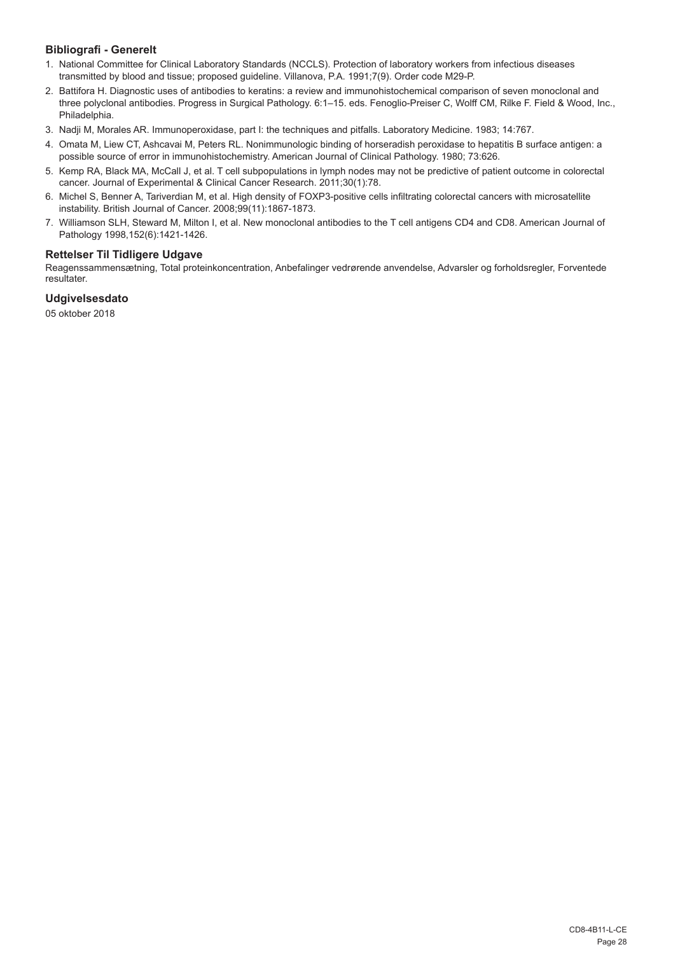# **Bibliografi - Generelt**

- 1. National Committee for Clinical Laboratory Standards (NCCLS). Protection of laboratory workers from infectious diseases transmitted by blood and tissue; proposed guideline. Villanova, P.A. 1991;7(9). Order code M29-P.
- 2. Battifora H. Diagnostic uses of antibodies to keratins: a review and immunohistochemical comparison of seven monoclonal and three polyclonal antibodies. Progress in Surgical Pathology. 6:1–15. eds. Fenoglio-Preiser C, Wolff CM, Rilke F. Field & Wood, Inc., Philadelphia.
- 3. Nadji M, Morales AR. Immunoperoxidase, part I: the techniques and pitfalls. Laboratory Medicine. 1983; 14:767.
- 4. Omata M, Liew CT, Ashcavai M, Peters RL. Nonimmunologic binding of horseradish peroxidase to hepatitis B surface antigen: a possible source of error in immunohistochemistry. American Journal of Clinical Pathology. 1980; 73:626.
- 5. Kemp RA, Black MA, McCall J, et al. T cell subpopulations in lymph nodes may not be predictive of patient outcome in colorectal cancer. Journal of Experimental & Clinical Cancer Research. 2011;30(1):78.
- 6. Michel S, Benner A, Tariverdian M, et al. High density of FOXP3-positive cells infiltrating colorectal cancers with microsatellite instability. British Journal of Cancer. 2008;99(11):1867-1873.
- 7. Williamson SLH, Steward M, Milton I, et al. New monoclonal antibodies to the T cell antigens CD4 and CD8. American Journal of Pathology 1998,152(6):1421-1426.

# **Rettelser Til Tidligere Udgave**

Reagenssammensætning, Total proteinkoncentration, Anbefalinger vedrørende anvendelse, Advarsler og forholdsregler, Forventede resultater.

# **Udgivelsesdato**

05 oktober 2018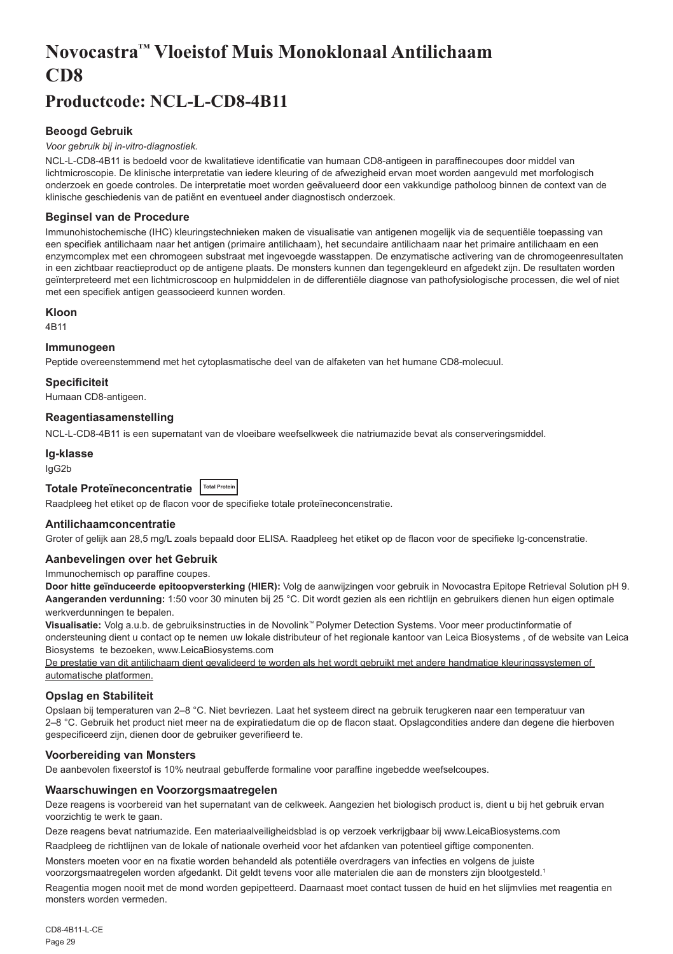# <span id="page-29-0"></span>**Novocastra™ Vloeistof Muis Monoklonaal Antilichaam CD8**

# **Productcode: NCL-L-CD8-4B11**

# **Beoogd Gebruik**

#### *Voor gebruik bij in-vitro-diagnostiek.*

NCL-L-CD8-4B11 is bedoeld voor de kwalitatieve identificatie van humaan CD8-antigeen in paraffinecoupes door middel van lichtmicroscopie. De klinische interpretatie van iedere kleuring of de afwezigheid ervan moet worden aangevuld met morfologisch onderzoek en goede controles. De interpretatie moet worden geëvalueerd door een vakkundige patholoog binnen de context van de klinische geschiedenis van de patiënt en eventueel ander diagnostisch onderzoek.

## **Beginsel van de Procedure**

Immunohistochemische (IHC) kleuringstechnieken maken de visualisatie van antigenen mogelijk via de sequentiële toepassing van een specifiek antilichaam naar het antigen (primaire antilichaam), het secundaire antilichaam naar het primaire antilichaam en een enzymcomplex met een chromogeen substraat met ingevoegde wasstappen. De enzymatische activering van de chromogeenresultaten in een zichtbaar reactieproduct op de antigene plaats. De monsters kunnen dan tegengekleurd en afgedekt zijn. De resultaten worden geïnterpreteerd met een lichtmicroscoop en hulpmiddelen in de differentiële diagnose van pathofysiologische processen, die wel of niet met een specifiek antigen geassocieerd kunnen worden.

### **Kloon**

4B11

# **Immunogeen**

Peptide overeenstemmend met het cytoplasmatische deel van de alfaketen van het humane CD8-molecuul.

### **Specificiteit**

Humaan CD8-antigeen.

### **Reagentiasamenstelling**

NCL-L-CD8-4B11 is een supernatant van de vloeibare weefselkweek die natriumazide bevat als conserveringsmiddel.

# **Ig-klasse**

IgG2b

# **Totale Proteïneconcentratie Total Protein**

Raadpleeg het etiket op de flacon voor de specifieke totale proteïneconcenstratie.

# **Antilichaamconcentratie**

Groter of gelijk aan 28,5 mg/L zoals bepaald door ELISA. Raadpleeg het etiket op de flacon voor de specifieke lg-concenstratie.

#### **Aanbevelingen over het Gebruik**

Immunochemisch op paraffine coupes.

**Door hitte geïnduceerde epitoopversterking (HIER):** Volg de aanwijzingen voor gebruik in Novocastra Epitope Retrieval Solution pH 9. **Aangeranden verdunning:** 1:50 voor 30 minuten bij 25 °C. Dit wordt gezien als een richtlijn en gebruikers dienen hun eigen optimale werkverdunningen te bepalen.

**Visualisatie:** Volg a.u.b. de gebruiksinstructies in de Novolink™ Polymer Detection Systems. Voor meer productinformatie of ondersteuning dient u contact op te nemen uw lokale distributeur of het regionale kantoor van Leica Biosystems , of de website van Leica Biosystems te bezoeken, www.LeicaBiosystems.com

De prestatie van dit antilichaam dient gevalideerd te worden als het wordt gebruikt met andere handmatige kleuringssystemen of automatische platformen.

# **Opslag en Stabiliteit**

Opslaan bij temperaturen van 2–8 °C. Niet bevriezen. Laat het systeem direct na gebruik terugkeren naar een temperatuur van 2–8 °C. Gebruik het product niet meer na de expiratiedatum die op de flacon staat. Opslagcondities andere dan degene die hierboven gespecificeerd zijn, dienen door de gebruiker geverifieerd te.

#### **Voorbereiding van Monsters**

De aanbevolen fixeerstof is 10% neutraal gebufferde formaline voor paraffine ingebedde weefselcoupes.

#### **Waarschuwingen en Voorzorgsmaatregelen**

Deze reagens is voorbereid van het supernatant van de celkweek. Aangezien het biologisch product is, dient u bij het gebruik ervan voorzichtig te werk te gaan.

Deze reagens bevat natriumazide. Een materiaalveiligheidsblad is op verzoek verkrijgbaar bij www.LeicaBiosystems.com

Raadpleeg de richtlijnen van de lokale of nationale overheid voor het afdanken van potentieel giftige componenten.

Monsters moeten voor en na fixatie worden behandeld als potentiële overdragers van infecties en volgens de juiste voorzorgsmaatregelen worden afgedankt. Dit geldt tevens voor alle materialen die aan de monsters zijn blootgesteld.<sup>1</sup>

Reagentia mogen nooit met de mond worden gepipetteerd. Daarnaast moet contact tussen de huid en het slijmvlies met reagentia en monsters worden vermeden.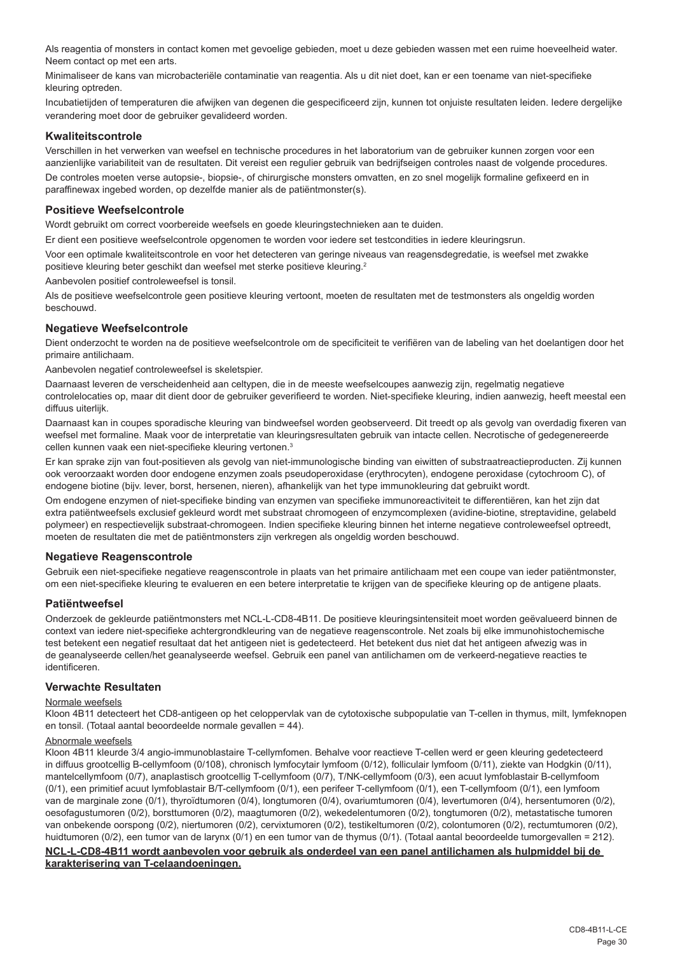Als reagentia of monsters in contact komen met gevoelige gebieden, moet u deze gebieden wassen met een ruime hoeveelheid water. Neem contact op met een arts.

Minimaliseer de kans van microbacteriële contaminatie van reagentia. Als u dit niet doet, kan er een toename van niet-specifieke kleuring optreden.

Incubatietijden of temperaturen die afwijken van degenen die gespecificeerd zijn, kunnen tot onjuiste resultaten leiden. Iedere dergelijke verandering moet door de gebruiker gevalideerd worden.

## **Kwaliteitscontrole**

Verschillen in het verwerken van weefsel en technische procedures in het laboratorium van de gebruiker kunnen zorgen voor een aanzienlijke variabiliteit van de resultaten. Dit vereist een regulier gebruik van bedrijfseigen controles naast de volgende procedures. De controles moeten verse autopsie-, biopsie-, of chirurgische monsters omvatten, en zo snel mogelijk formaline gefixeerd en in paraffinewax ingebed worden, op dezelfde manier als de patiëntmonster(s).

# **Positieve Weefselcontrole**

Wordt gebruikt om correct voorbereide weefsels en goede kleuringstechnieken aan te duiden.

Er dient een positieve weefselcontrole opgenomen te worden voor iedere set testcondities in iedere kleuringsrun.

Voor een optimale kwaliteitscontrole en voor het detecteren van geringe niveaus van reagensdegredatie, is weefsel met zwakke positieve kleuring beter geschikt dan weefsel met sterke positieve kleuring.<sup>2</sup>

Aanbevolen positief controleweefsel is tonsil.

Als de positieve weefselcontrole geen positieve kleuring vertoont, moeten de resultaten met de testmonsters als ongeldig worden beschouwd.

# **Negatieve Weefselcontrole**

Dient onderzocht te worden na de positieve weefselcontrole om de specificiteit te verifiëren van de labeling van het doelantigen door het primaire antilichaam.

Aanbevolen negatief controleweefsel is skeletspier.

Daarnaast leveren de verscheidenheid aan celtypen, die in de meeste weefselcoupes aanwezig zijn, regelmatig negatieve controlelocaties op, maar dit dient door de gebruiker geverifieerd te worden. Niet-specifieke kleuring, indien aanwezig, heeft meestal een diffuus uiterlijk.

Daarnaast kan in coupes sporadische kleuring van bindweefsel worden geobserveerd. Dit treedt op als gevolg van overdadig fixeren van weefsel met formaline. Maak voor de interpretatie van kleuringsresultaten gebruik van intacte cellen. Necrotische of gedegenereerde cellen kunnen vaak een niet-specifieke kleuring vertonen.3

Er kan sprake zijn van fout-positieven als gevolg van niet-immunologische binding van eiwitten of substraatreactieproducten. Zij kunnen ook veroorzaakt worden door endogene enzymen zoals pseudoperoxidase (erythrocyten), endogene peroxidase (cytochroom C), of endogene biotine (bijv. lever, borst, hersenen, nieren), afhankelijk van het type immunokleuring dat gebruikt wordt.

Om endogene enzymen of niet-specifieke binding van enzymen van specifieke immunoreactiviteit te differentiëren, kan het zijn dat extra patiëntweefsels exclusief gekleurd wordt met substraat chromogeen of enzymcomplexen (avidine-biotine, streptavidine, gelabeld polymeer) en respectievelijk substraat-chromogeen. Indien specifieke kleuring binnen het interne negatieve controleweefsel optreedt, moeten de resultaten die met de patiëntmonsters zijn verkregen als ongeldig worden beschouwd.

#### **Negatieve Reagenscontrole**

Gebruik een niet-specifieke negatieve reagenscontrole in plaats van het primaire antilichaam met een coupe van ieder patiëntmonster, om een niet-specifieke kleuring te evalueren en een betere interpretatie te krijgen van de specifieke kleuring op de antigene plaats.

# **Patiëntweefsel**

Onderzoek de gekleurde patiëntmonsters met NCL-L-CD8-4B11. De positieve kleuringsintensiteit moet worden geëvalueerd binnen de context van iedere niet-specifieke achtergrondkleuring van de negatieve reagenscontrole. Net zoals bij elke immunohistochemische test betekent een negatief resultaat dat het antigeen niet is gedetecteerd. Het betekent dus niet dat het antigeen afwezig was in de geanalyseerde cellen/het geanalyseerde weefsel. Gebruik een panel van antilichamen om de verkeerd-negatieve reacties te identificeren.

# **Verwachte Resultaten**

## Normale weefsels

Kloon 4B11 detecteert het CD8-antigeen op het celoppervlak van de cytotoxische subpopulatie van T-cellen in thymus, milt, lymfeknopen en tonsil. (Totaal aantal beoordeelde normale gevallen = 44).

# Abnormale weefsels

Kloon 4B11 kleurde 3/4 angio-immunoblastaire T-cellymfomen. Behalve voor reactieve T-cellen werd er geen kleuring gedetecteerd in diffuus grootcellig B-cellymfoom (0/108), chronisch lymfocytair lymfoom (0/12), folliculair lymfoom (0/11), ziekte van Hodgkin (0/11), mantelcellymfoom (0/7), anaplastisch grootcellig T-cellymfoom (0/7), T/NK-cellymfoom (0/3), een acuut lymfoblastair B-cellymfoom (0/1), een primitief acuut lymfoblastair B/T-cellymfoom (0/1), een perifeer T-cellymfoom (0/1), een T-cellymfoom (0/1), een lymfoom van de marginale zone (0/1), thyroïdtumoren (0/4), longtumoren (0/4), ovariumtumoren (0/4), levertumoren (0/4), hersentumoren (0/2), oesofagustumoren (0/2), borsttumoren (0/2), maagtumoren (0/2), wekedelentumoren (0/2), tongtumoren (0/2), metastatische tumoren van onbekende oorspong (0/2), niertumoren (0/2), cervixtumoren (0/2), testikeltumoren (0/2), colontumoren (0/2), rectumtumoren (0/2), huidtumoren (0/2), een tumor van de larynx (0/1) en een tumor van de thymus (0/1). (Totaal aantal beoordeelde tumorgevallen = 212).

#### **NCL-L-CD8-4B11 wordt aanbevolen voor gebruik als onderdeel van een panel antilichamen als hulpmiddel bij de karakterisering van T-celaandoeningen.**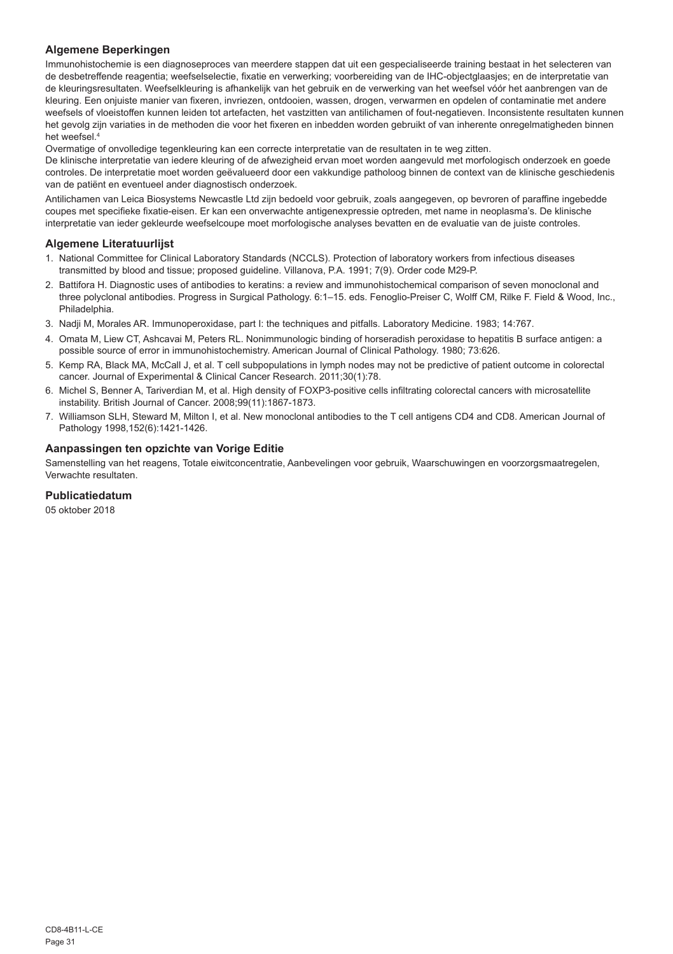# **Algemene Beperkingen**

Immunohistochemie is een diagnoseproces van meerdere stappen dat uit een gespecialiseerde training bestaat in het selecteren van de desbetreffende reagentia; weefselselectie, fixatie en verwerking; voorbereiding van de IHC-objectglaasjes; en de interpretatie van de kleuringsresultaten. Weefselkleuring is afhankelijk van het gebruik en de verwerking van het weefsel vóór het aanbrengen van de kleuring. Een onjuiste manier van fixeren, invriezen, ontdooien, wassen, drogen, verwarmen en opdelen of contaminatie met andere weefsels of vloeistoffen kunnen leiden tot artefacten, het vastzitten van antilichamen of fout-negatieven. Inconsistente resultaten kunnen het gevolg zijn variaties in de methoden die voor het fixeren en inbedden worden gebruikt of van inherente onregelmatigheden binnen het weefsel.<sup>4</sup>

Overmatige of onvolledige tegenkleuring kan een correcte interpretatie van de resultaten in te weg zitten.

De klinische interpretatie van iedere kleuring of de afwezigheid ervan moet worden aangevuld met morfologisch onderzoek en goede controles. De interpretatie moet worden geëvalueerd door een vakkundige patholoog binnen de context van de klinische geschiedenis van de patiënt en eventueel ander diagnostisch onderzoek.

Antilichamen van Leica Biosystems Newcastle Ltd zijn bedoeld voor gebruik, zoals aangegeven, op bevroren of paraffine ingebedde coupes met specifieke fixatie-eisen. Er kan een onverwachte antigenexpressie optreden, met name in neoplasma's. De klinische interpretatie van ieder gekleurde weefselcoupe moet morfologische analyses bevatten en de evaluatie van de juiste controles.

# **Algemene Literatuurlijst**

- 1. National Committee for Clinical Laboratory Standards (NCCLS). Protection of laboratory workers from infectious diseases transmitted by blood and tissue; proposed guideline. Villanova, P.A. 1991; 7(9). Order code M29-P.
- 2. Battifora H. Diagnostic uses of antibodies to keratins: a review and immunohistochemical comparison of seven monoclonal and three polyclonal antibodies. Progress in Surgical Pathology. 6:1–15. eds. Fenoglio-Preiser C, Wolff CM, Rilke F. Field & Wood, Inc., **Philadelphia**
- 3. Nadji M, Morales AR. Immunoperoxidase, part I: the techniques and pitfalls. Laboratory Medicine. 1983; 14:767.
- 4. Omata M, Liew CT, Ashcavai M, Peters RL. Nonimmunologic binding of horseradish peroxidase to hepatitis B surface antigen: a possible source of error in immunohistochemistry. American Journal of Clinical Pathology. 1980; 73:626.
- 5. Kemp RA, Black MA, McCall J, et al. T cell subpopulations in lymph nodes may not be predictive of patient outcome in colorectal cancer. Journal of Experimental & Clinical Cancer Research. 2011;30(1):78.
- 6. Michel S, Benner A, Tariverdian M, et al. High density of FOXP3-positive cells infiltrating colorectal cancers with microsatellite instability. British Journal of Cancer. 2008;99(11):1867-1873.
- 7. Williamson SLH, Steward M, Milton I, et al. New monoclonal antibodies to the T cell antigens CD4 and CD8. American Journal of Pathology 1998,152(6):1421-1426.

# **Aanpassingen ten opzichte van Vorige Editie**

Samenstelling van het reagens, Totale eiwitconcentratie, Aanbevelingen voor gebruik, Waarschuwingen en voorzorgsmaatregelen, Verwachte resultaten.

### **Publicatiedatum**

05 oktober 2018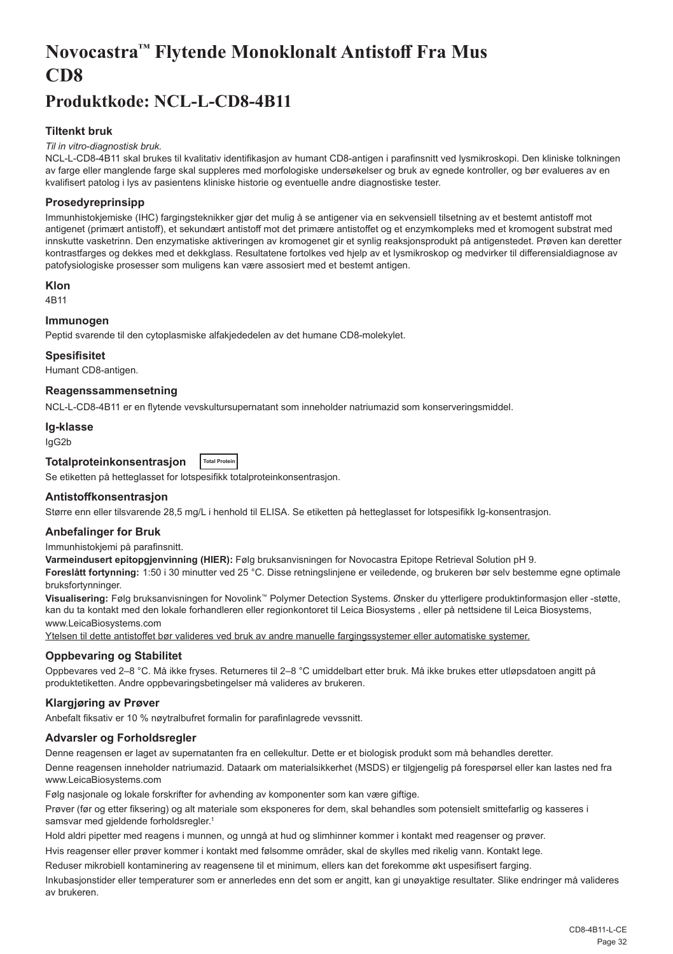# <span id="page-32-0"></span>**Novocastra™ Flytende Monoklonalt Antistoff Fra Mus CD8**

# **Produktkode: NCL-L-CD8-4B11**

# **Tiltenkt bruk**

#### *Til in vitro-diagnostisk bruk.*

NCL-L-CD8-4B11 skal brukes til kvalitativ identifikasjon av humant CD8-antigen i parafinsnitt ved lysmikroskopi. Den kliniske tolkningen av farge eller manglende farge skal suppleres med morfologiske undersøkelser og bruk av egnede kontroller, og bør evalueres av en kvalifisert patolog i lys av pasientens kliniske historie og eventuelle andre diagnostiske tester.

# **Prosedyreprinsipp**

Immunhistokjemiske (IHC) fargingsteknikker gjør det mulig å se antigener via en sekvensiell tilsetning av et bestemt antistoff mot antigenet (primært antistoff), et sekundært antistoff mot det primære antistoffet og et enzymkompleks med et kromogent substrat med innskutte vasketrinn. Den enzymatiske aktiveringen av kromogenet gir et synlig reaksjonsprodukt på antigenstedet. Prøven kan deretter kontrastfarges og dekkes med et dekkglass. Resultatene fortolkes ved hjelp av et lysmikroskop og medvirker til differensialdiagnose av patofysiologiske prosesser som muligens kan være assosiert med et bestemt antigen.

#### **Klon**

4B11

# **Immunogen**

Peptid svarende til den cytoplasmiske alfakjededelen av det humane CD8-molekylet.

#### **Spesifisitet**

Humant CD8-antigen.

#### **Reagenssammensetning**

NCL-L-CD8-4B11 er en flytende vevskultursupernatant som inneholder natriumazid som konserveringsmiddel.

#### **Ig-klasse**

IgG2b

#### **Totalproteinkonsentrasjon Total Protein**

Se etiketten på hetteglasset for lotspesifikk totalproteinkonsentrasjon.

#### **Antistoffkonsentrasjon**

Større enn eller tilsvarende 28,5 mg/L i henhold til ELISA. Se etiketten på hetteglasset for lotspesifikk Ig-konsentrasjon.

#### **Anbefalinger for Bruk**

Immunhistokjemi på parafinsnitt.

**Varmeindusert epitopgjenvinning (HIER):** Følg bruksanvisningen for Novocastra Epitope Retrieval Solution pH 9.

**Foreslått fortynning:** 1:50 i 30 minutter ved 25 °C. Disse retningslinjene er veiledende, og brukeren bør selv bestemme egne optimale bruksfortynninger.

**Visualisering:** Følg bruksanvisningen for Novolink™ Polymer Detection Systems. Ønsker du ytterligere produktinformasjon eller -støtte, kan du ta kontakt med den lokale forhandleren eller regionkontoret til Leica Biosystems , eller på nettsidene til Leica Biosystems, www.LeicaBiosystems.com

Ytelsen til dette antistoffet bør valideres ved bruk av andre manuelle fargingssystemer eller automatiske systemer.

# **Oppbevaring og Stabilitet**

Oppbevares ved 2–8 °C. Må ikke fryses. Returneres til 2–8 °C umiddelbart etter bruk. Må ikke brukes etter utløpsdatoen angitt på produktetiketten. Andre oppbevaringsbetingelser må valideres av brukeren.

#### **Klargjøring av Prøver**

Anbefalt fiksativ er 10 % nøytralbufret formalin for parafinlagrede vevssnitt.

# **Advarsler og Forholdsregler**

Denne reagensen er laget av supernatanten fra en cellekultur. Dette er et biologisk produkt som må behandles deretter. Denne reagensen inneholder natriumazid. Dataark om materialsikkerhet (MSDS) er tilgjengelig på forespørsel eller kan lastes ned fra www.LeicaBiosystems.com

Følg nasjonale og lokale forskrifter for avhending av komponenter som kan være giftige.

Prøver (før og etter fiksering) og alt materiale som eksponeres for dem, skal behandles som potensielt smittefarlig og kasseres i samsvar med gjeldende forholdsregler.<sup>1</sup>

Hold aldri pipetter med reagens i munnen, og unngå at hud og slimhinner kommer i kontakt med reagenser og prøver.

Hvis reagenser eller prøver kommer i kontakt med følsomme områder, skal de skylles med rikelig vann. Kontakt lege.

Reduser mikrobiell kontaminering av reagensene til et minimum, ellers kan det forekomme økt uspesifisert farging.

Inkubasjonstider eller temperaturer som er annerledes enn det som er angitt, kan gi unøyaktige resultater. Slike endringer må valideres av brukeren.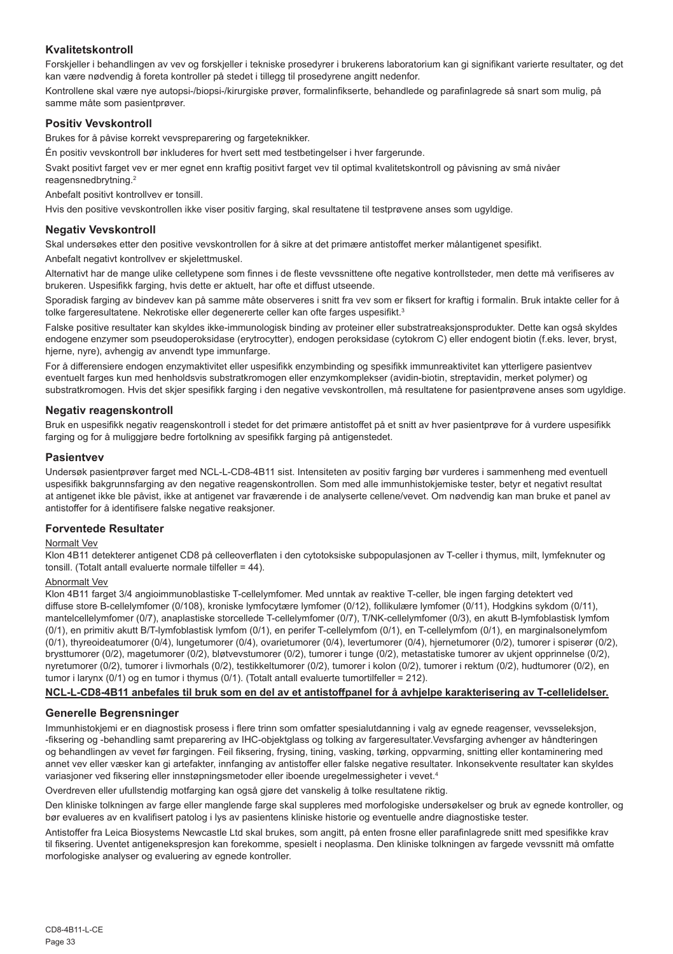# **Kvalitetskontroll**

Forskjeller i behandlingen av vev og forskjeller i tekniske prosedyrer i brukerens laboratorium kan gi signifikant varierte resultater, og det kan være nødvendig å foreta kontroller på stedet i tillegg til prosedyrene angitt nedenfor.

Kontrollene skal være nye autopsi-/biopsi-/kirurgiske prøver, formalinfikserte, behandlede og parafinlagrede så snart som mulig, på samme måte som pasientprøver.

## **Positiv Vevskontroll**

Brukes for å påvise korrekt vevspreparering og fargeteknikker.

Én positiv vevskontroll bør inkluderes for hvert sett med testbetingelser i hver fargerunde.

Svakt positivt farget vev er mer egnet enn kraftig positivt farget vev til optimal kvalitetskontroll og påvisning av små nivåer reagensnedbrytning.<sup>2</sup>

Anbefalt positivt kontrollvev er tonsill.

Hvis den positive vevskontrollen ikke viser positiv farging, skal resultatene til testprøvene anses som ugyldige.

## **Negativ Vevskontroll**

Skal undersøkes etter den positive vevskontrollen for å sikre at det primære antistoffet merker målantigenet spesifikt.

Anbefalt negativt kontrollvev er skjelettmuskel.

Alternativt har de mange ulike celletypene som finnes i de fleste vevssnittene ofte negative kontrollsteder, men dette må verifiseres av brukeren. Uspesifikk farging, hvis dette er aktuelt, har ofte et diffust utseende.

Sporadisk farging av bindevev kan på samme måte observeres i snitt fra vev som er fiksert for kraftig i formalin. Bruk intakte celler for å tolke fargeresultatene. Nekrotiske eller degenererte celler kan ofte farges uspesifikt.<sup>3</sup>

Falske positive resultater kan skyldes ikke-immunologisk binding av proteiner eller substratreaksjonsprodukter. Dette kan også skyldes endogene enzymer som pseudoperoksidase (erytrocytter), endogen peroksidase (cytokrom C) eller endogent biotin (f.eks. lever, bryst, hjerne, nyre), avhengig av anvendt type immunfarge.

For å differensiere endogen enzymaktivitet eller uspesifikk enzymbinding og spesifikk immunreaktivitet kan ytterligere pasientvev eventuelt farges kun med henholdsvis substratkromogen eller enzymkomplekser (avidin-biotin, streptavidin, merket polymer) og substratkromogen. Hvis det skjer spesifikk farging i den negative vevskontrollen, må resultatene for pasientprøvene anses som ugyldige.

### **Negativ reagenskontroll**

Bruk en uspesifikk negativ reagenskontroll i stedet for det primære antistoffet på et snitt av hver pasientprøve for å vurdere uspesifikk farging og for å muliggjøre bedre fortolkning av spesifikk farging på antigenstedet.

#### **Pasientvev**

Undersøk pasientprøver farget med NCL-L-CD8-4B11 sist. Intensiteten av positiv farging bør vurderes i sammenheng med eventuell uspesifikk bakgrunnsfarging av den negative reagenskontrollen. Som med alle immunhistokjemiske tester, betyr et negativt resultat at antigenet ikke ble påvist, ikke at antigenet var fraværende i de analyserte cellene/vevet. Om nødvendig kan man bruke et panel av antistoffer for å identifisere falske negative reaksjoner.

#### **Forventede Resultater**

#### Normalt Vev

Klon 4B11 detekterer antigenet CD8 på celleoverflaten i den cytotoksiske subpopulasjonen av T-celler i thymus, milt, lymfeknuter og tonsill. (Totalt antall evaluerte normale tilfeller = 44).

#### Abnormalt Vev

Klon 4B11 farget 3/4 angioimmunoblastiske T-cellelymfomer. Med unntak av reaktive T-celler, ble ingen farging detektert ved diffuse store B-cellelymfomer (0/108), kroniske lymfocytære lymfomer (0/12), follikulære lymfomer (0/11), Hodgkins sykdom (0/11), mantelcellelymfomer (0/7), anaplastiske storcellede T-cellelymfomer (0/7), T/NK-cellelymfomer (0/3), en akutt B-lymfoblastisk lymfom (0/1), en primitiv akutt B/T-lymfoblastisk lymfom (0/1), en perifer T-cellelymfom (0/1), en T-cellelymfom (0/1), en marginalsonelymfom (0/1), thyreoideatumorer (0/4), lungetumorer (0/4), ovarietumorer (0/4), levertumorer (0/4), hjernetumorer (0/2), tumorer i spiserør (0/2), brysttumorer (0/2), magetumorer (0/2), bløtvevstumorer (0/2), tumorer i tunge (0/2), metastatiske tumorer av ukjent opprinnelse (0/2), nyretumorer (0/2), tumorer i livmorhals (0/2), testikkeltumorer (0/2), tumorer i kolon (0/2), tumorer i rektum (0/2), hudtumorer (0/2), en tumor i larynx (0/1) og en tumor i thymus (0/1). (Totalt antall evaluerte tumortilfeller = 212).

# **NCL-L-CD8-4B11 anbefales til bruk som en del av et antistoffpanel for å avhjelpe karakterisering av T-cellelidelser.**

#### **Generelle Begrensninger**

Immunhistokjemi er en diagnostisk prosess i flere trinn som omfatter spesialutdanning i valg av egnede reagenser, vevsseleksjon, -fiksering og -behandling samt preparering av IHC-objektglass og tolking av fargeresultater.Vevsfarging avhenger av håndteringen og behandlingen av vevet før fargingen. Feil fiksering, frysing, tining, vasking, tørking, oppvarming, snitting eller kontaminering med annet vev eller væsker kan gi artefakter, innfanging av antistoffer eller falske negative resultater. Inkonsekvente resultater kan skyldes variasjoner ved fiksering eller innstøpningsmetoder eller iboende uregelmessigheter i vevet.<sup>4</sup>

Overdreven eller ufullstendig motfarging kan også gjøre det vanskelig å tolke resultatene riktig.

Den kliniske tolkningen av farge eller manglende farge skal suppleres med morfologiske undersøkelser og bruk av egnede kontroller, og bør evalueres av en kvalifisert patolog i lys av pasientens kliniske historie og eventuelle andre diagnostiske tester.

Antistoffer fra Leica Biosystems Newcastle Ltd skal brukes, som angitt, på enten frosne eller parafinlagrede snitt med spesifikke krav til fiksering. Uventet antigenekspresjon kan forekomme, spesielt i neoplasma. Den kliniske tolkningen av fargede vevssnitt må omfatte morfologiske analyser og evaluering av egnede kontroller.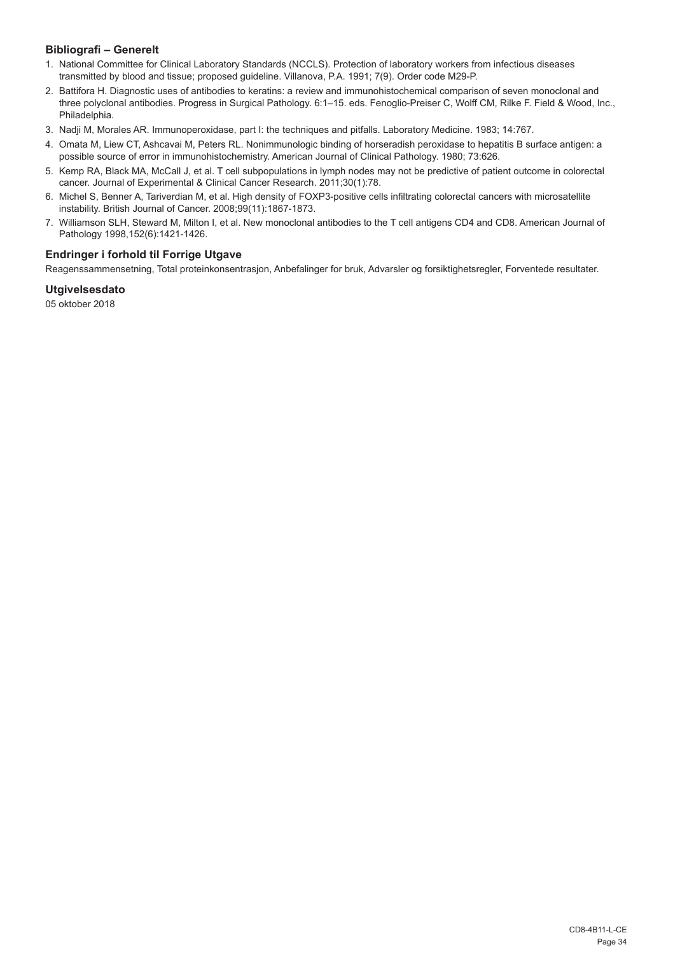# **Bibliografi – Generelt**

- 1. National Committee for Clinical Laboratory Standards (NCCLS). Protection of laboratory workers from infectious diseases transmitted by blood and tissue; proposed guideline. Villanova, P.A. 1991; 7(9). Order code M29-P.
- 2. Battifora H. Diagnostic uses of antibodies to keratins: a review and immunohistochemical comparison of seven monoclonal and three polyclonal antibodies. Progress in Surgical Pathology. 6:1–15. eds. Fenoglio-Preiser C, Wolff CM, Rilke F. Field & Wood, Inc., Philadelphia.
- 3. Nadji M, Morales AR. Immunoperoxidase, part I: the techniques and pitfalls. Laboratory Medicine. 1983; 14:767.
- 4. Omata M, Liew CT, Ashcavai M, Peters RL. Nonimmunologic binding of horseradish peroxidase to hepatitis B surface antigen: a possible source of error in immunohistochemistry. American Journal of Clinical Pathology. 1980; 73:626.
- 5. Kemp RA, Black MA, McCall J, et al. T cell subpopulations in lymph nodes may not be predictive of patient outcome in colorectal cancer. Journal of Experimental & Clinical Cancer Research. 2011;30(1):78.
- 6. Michel S, Benner A, Tariverdian M, et al. High density of FOXP3-positive cells infiltrating colorectal cancers with microsatellite instability. British Journal of Cancer. 2008;99(11):1867-1873.
- 7. Williamson SLH, Steward M, Milton I, et al. New monoclonal antibodies to the T cell antigens CD4 and CD8. American Journal of Pathology 1998,152(6):1421-1426.

# **Endringer i forhold til Forrige Utgave**

Reagenssammensetning, Total proteinkonsentrasjon, Anbefalinger for bruk, Advarsler og forsiktighetsregler, Forventede resultater.

# **Utgivelsesdato**

05 oktober 2018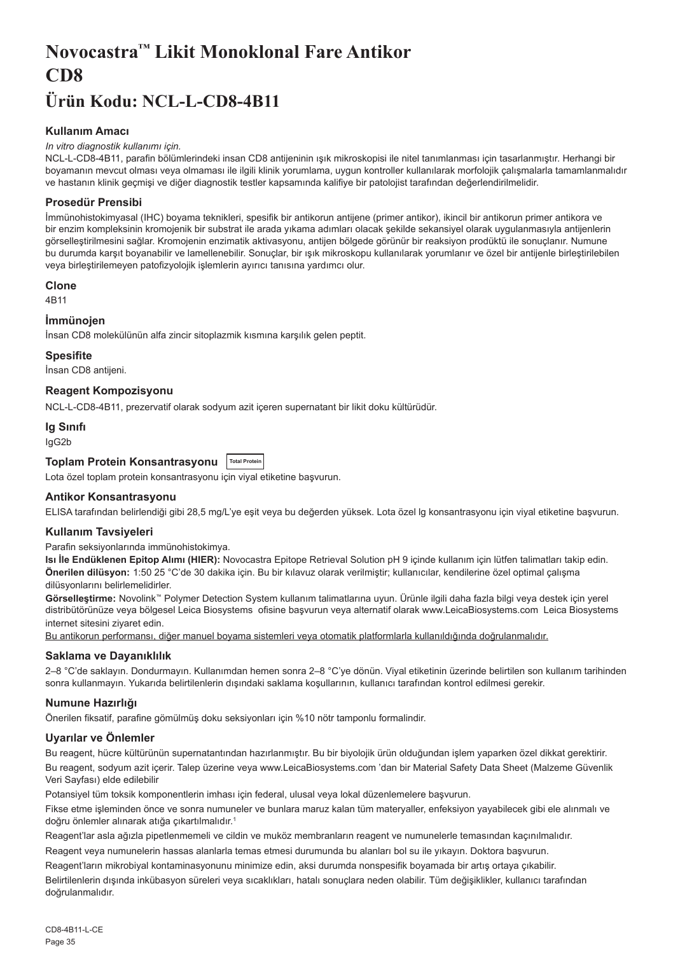# <span id="page-35-0"></span>**Novocastra™ Likit Monoklonal Fare Antikor CD8 Ürün Kodu: NCL-L-CD8-4B11**

# **Kullanım Amacı**

#### *In vitro diagnostik kullanımı için.*

NCL-L-CD8-4B11, parafin bölümlerindeki insan CD8 antijeninin ışık mikroskopisi ile nitel tanımlanması için tasarlanmıştır. Herhangi bir boyamanın mevcut olması veya olmaması ile ilgili klinik yorumlama, uygun kontroller kullanılarak morfolojik çalışmalarla tamamlanmalıdır ve hastanın klinik geçmişi ve diğer diagnostik testler kapsamında kalifiye bir patolojist tarafından değerlendirilmelidir.

### **Prosedür Prensibi**

İmmünohistokimyasal (IHC) boyama teknikleri, spesifik bir antikorun antijene (primer antikor), ikincil bir antikorun primer antikora ve bir enzim kompleksinin kromojenik bir substrat ile arada yıkama adımları olacak şekilde sekansiyel olarak uygulanmasıyla antijenlerin görselleştirilmesini sağlar. Kromojenin enzimatik aktivasyonu, antijen bölgede görünür bir reaksiyon prodüktü ile sonuçlanır. Numune bu durumda karşıt boyanabilir ve lamellenebilir. Sonuçlar, bir ışık mikroskopu kullanılarak yorumlanır ve özel bir antijenle birleştirilebilen veya birleştirilemeyen patofizyolojik işlemlerin ayırıcı tanısına yardımcı olur.

#### **Clone**

4B11

### **İmmünojen**

İnsan CD8 molekülünün alfa zincir sitoplazmik kısmına karşılık gelen peptit.

#### **Spesifite**

İnsan CD8 antijeni.

# **Reagent Kompozisyonu**

NCL-L-CD8-4B11, prezervatif olarak sodyum azit içeren supernatant bir likit doku kültürüdür.

### **Ig Sınıfı**

IgG2b

# **Toplam Protein Konsantrasyonu Total Protein**

Lota özel toplam protein konsantrasyonu için viyal etiketine başvurun.

#### **Antikor Konsantrasyonu**

ELISA tarafından belirlendiği gibi 28,5 mg/L'ye eşit veya bu değerden yüksek. Lota özel lg konsantrasyonu için viyal etiketine başvurun.

#### **Kullanım Tavsiyeleri**

Parafin seksiyonlarında immünohistokimya.

**Isı İle Endüklenen Epitop Alımı (HIER):** Novocastra Epitope Retrieval Solution pH 9 içinde kullanım için lütfen talimatları takip edin. **Önerilen dilüsyon:** 1:50 25 °C'de 30 dakika için. Bu bir kılavuz olarak verilmiştir; kullanıcılar, kendilerine özel optimal çalışma dilüsyonlarını belirlemelidirler.

**Görselleştirme:** Novolink™ Polymer Detection System kullanım talimatlarına uyun. Ürünle ilgili daha fazla bilgi veya destek için yerel distribütörünüze veya bölgesel Leica Biosystems ofisine başvurun veya alternatif olarak www.LeicaBiosystems.com Leica Biosystems internet sitesini ziyaret edin.

Bu antikorun performansı, diğer manuel boyama sistemleri veya otomatik platformlarla kullanıldığında doğrulanmalıdır.

# **Saklama ve Dayanıklılık**

2–8 °C'de saklayın. Dondurmayın. Kullanımdan hemen sonra 2–8 °C'ye dönün. Viyal etiketinin üzerinde belirtilen son kullanım tarihinden sonra kullanmayın. Yukarıda belirtilenlerin dışındaki saklama koşullarının, kullanıcı tarafından kontrol edilmesi gerekir.

# **Numune Hazırlığı**

Önerilen fiksatif, parafine gömülmüş doku seksiyonları için %10 nötr tamponlu formalindir.

# **Uyarılar ve Önlemler**

Bu reagent, hücre kültürünün supernatantından hazırlanmıştır. Bu bir biyolojik ürün olduğundan işlem yaparken özel dikkat gerektirir. Bu reagent, sodyum azit içerir. Talep üzerine veya www.LeicaBiosystems.com 'dan bir Material Safety Data Sheet (Malzeme Güvenlik Veri Sayfası) elde edilebilir

Potansiyel tüm toksik komponentlerin imhası için federal, ulusal veya lokal düzenlemelere başvurun.

Fikse etme işleminden önce ve sonra numuneler ve bunlara maruz kalan tüm materyaller, enfeksiyon yayabilecek gibi ele alınmalı ve doğru önlemler alınarak atığa çıkartılmalıdır.<sup>1</sup>

Reagent'lar asla ağızla pipetlenmemeli ve cildin ve muköz membranların reagent ve numunelerle temasından kaçınılmalıdır.

Reagent veya numunelerin hassas alanlarla temas etmesi durumunda bu alanları bol su ile yıkayın. Doktora başvurun. Reagent'ların mikrobiyal kontaminasyonunu minimize edin, aksi durumda nonspesifik boyamada bir artış ortaya çıkabilir.

Belirtilenlerin dışında inkübasyon süreleri veya sıcaklıkları, hatalı sonuçlara neden olabilir. Tüm değişiklikler, kullanıcı tarafından doğrulanmalıdır.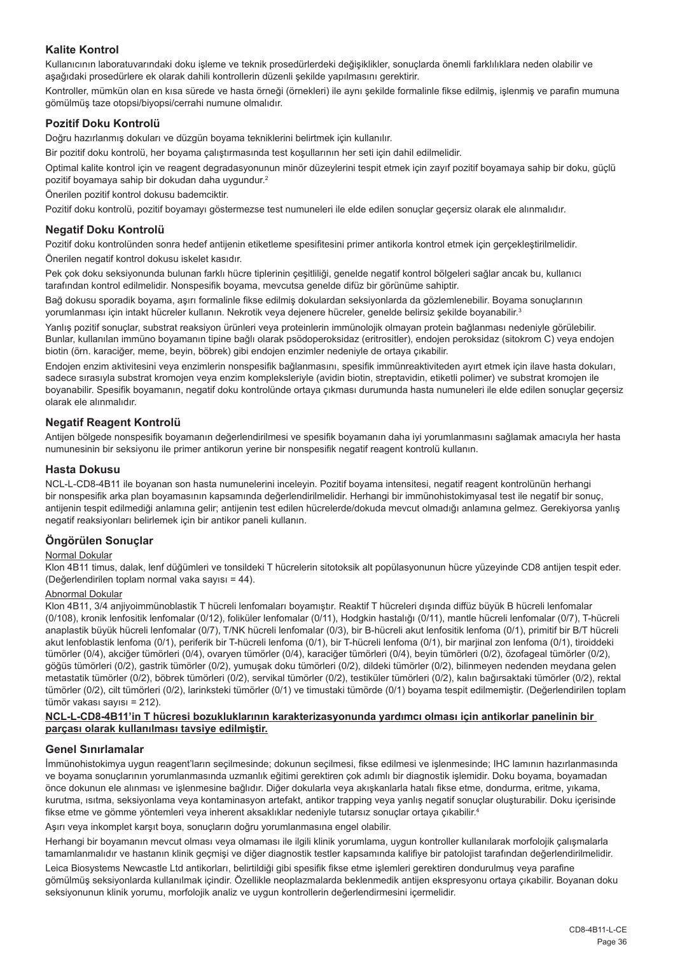# **Kalite Kontrol**

Kullanıcının laboratuvarındaki doku işleme ve teknik prosedürlerdeki değişiklikler, sonuçlarda önemli farklılıklara neden olabilir ve aşağıdaki prosedürlere ek olarak dahili kontrollerin düzenli şekilde yapılmasını gerektirir.

Kontroller, mümkün olan en kısa sürede ve hasta örneği (örnekleri) ile aynı şekilde formalinle fikse edilmiş, işlenmiş ve parafin mumuna gömülmüş taze otopsi/biyopsi/cerrahi numune olmalıdır.

# **Pozitif Doku Kontrolü**

Doğru hazırlanmış dokuları ve düzgün boyama tekniklerini belirtmek için kullanılır.

Bir pozitif doku kontrolü, her boyama çalıştırmasında test koşullarının her seti için dahil edilmelidir.

Optimal kalite kontrol için ve reagent degradasyonunun minör düzeylerini tespit etmek için zayıf pozitif boyamaya sahip bir doku, güçlü pozitif boyamaya sahip bir dokudan daha uygundur.<sup>2</sup>

Önerilen pozitif kontrol dokusu bademciktir.

Pozitif doku kontrolü, pozitif boyamayı göstermezse test numuneleri ile elde edilen sonuçlar geçersiz olarak ele alınmalıdır.

## **Negatif Doku Kontrolü**

Pozitif doku kontrolünden sonra hedef antijenin etiketleme spesifitesini primer antikorla kontrol etmek için gerçekleştirilmelidir. Önerilen negatif kontrol dokusu iskelet kasıdır.

Pek çok doku seksiyonunda bulunan farklı hücre tiplerinin çeşitliliği, genelde negatif kontrol bölgeleri sağlar ancak bu, kullanıcı tarafından kontrol edilmelidir. Nonspesifik boyama, mevcutsa genelde difüz bir görünüme sahiptir.

Bağ dokusu sporadik boyama, aşırı formalinle fikse edilmiş dokulardan seksiyonlarda da gözlemlenebilir. Boyama sonuçlarının yorumlanması için intakt hücreler kullanın. Nekrotik veya dejenere hücreler, genelde belirsiz şekilde boyanabilir.3

Yanlış pozitif sonuçlar, substrat reaksiyon ürünleri veya proteinlerin immünolojik olmayan protein bağlanması nedeniyle görülebilir. Bunlar, kullanılan immüno boyamanın tipine bağlı olarak psödoperoksidaz (eritrositler), endojen peroksidaz (sitokrom C) veya endojen biotin (örn. karaciğer, meme, beyin, böbrek) gibi endojen enzimler nedeniyle de ortaya çıkabilir.

Endojen enzim aktivitesini veya enzimlerin nonspesifik bağlanmasını, spesifik immünreaktiviteden ayırt etmek için ilave hasta dokuları, sadece sırasıyla substrat kromojen veya enzim kompleksleriyle (avidin biotin, streptavidin, etiketli polimer) ve substrat kromojen ile boyanabilir. Spesifik boyamanın, negatif doku kontrolünde ortaya çıkması durumunda hasta numuneleri ile elde edilen sonuçlar geçersiz olarak ele alınmalıdır.

### **Negatif Reagent Kontrolü**

Antijen bölgede nonspesifik boyamanın değerlendirilmesi ve spesifik boyamanın daha iyi yorumlanmasını sağlamak amacıyla her hasta numunesinin bir seksiyonu ile primer antikorun yerine bir nonspesifik negatif reagent kontrolü kullanın.

### **Hasta Dokusu**

NCL-L-CD8-4B11 ile boyanan son hasta numunelerini inceleyin. Pozitif boyama intensitesi, negatif reagent kontrolünün herhangi bir nonspesifik arka plan boyamasının kapsamında değerlendirilmelidir. Herhangi bir immünohistokimyasal test ile negatif bir sonuç, antijenin tespit edilmediği anlamına gelir; antijenin test edilen hücrelerde/dokuda mevcut olmadığı anlamına gelmez. Gerekiyorsa yanlış negatif reaksiyonları belirlemek için bir antikor paneli kullanın.

# **Öngörülen Sonuçlar**

#### Normal Dokular

Klon 4B11 timus, dalak, lenf düğümleri ve tonsildeki T hücrelerin sitotoksik alt popülasyonunun hücre yüzeyinde CD8 antijen tespit eder. (Değerlendirilen toplam normal vaka sayısı = 44).

#### Abnormal Dokular

Klon 4B11, 3/4 anjiyoimmünoblastik T hücreli lenfomaları boyamıştır. Reaktif T hücreleri dışında diffüz büyük B hücreli lenfomalar (0/108), kronik lenfositik lenfomalar (0/12), foliküler lenfomalar (0/11), Hodgkin hastalığı (0/11), mantle hücreli lenfomalar (0/7), T-hücreli anaplastik büyük hücreli lenfomalar (0/7), T/NK hücreli lenfomalar (0/3), bir B-hücreli akut lenfositik lenfoma (0/1), primitif bir B/T hücreli akut lenfoblastik lenfoma (0/1), periferik bir T-hücreli lenfoma (0/1), bir T-hücreli lenfoma (0/1), bir marjinal zon lenfoma (0/1), tiroiddeki tümörler (0/4), akciğer tümörleri (0/4), ovaryen tümörler (0/4), karaciğer tümörleri (0/4), beyin tümörleri (0/2), özofageal tümörler (0/2), göğüs tümörleri (0/2), gastrik tümörler (0/2), yumuşak doku tümörleri (0/2), dildeki tümörler (0/2), bilinmeyen nedenden meydana gelen metastatik tümörler (0/2), böbrek tümörleri (0/2), servikal tümörler (0/2), testiküler tümörleri (0/2), kalın bağırsaktaki tümörler (0/2), rektal tümörler (0/2), cilt tümörleri (0/2), larinksteki tümörler (0/1) ve timustaki tümörde (0/1) boyama tespit edilmemiştir. (Değerlendirilen toplam tümör vakası sayısı = 212).

## **NCL-L-CD8-4B11'in T hücresi bozukluklarının karakterizasyonunda yardımcı olması için antikorlar panelinin bir parçası olarak kullanılması tavsiye edilmiştir.**

### **Genel Sınırlamalar**

İmmünohistokimya uygun reagent'ların seçilmesinde; dokunun seçilmesi, fikse edilmesi ve işlenmesinde; IHC lamının hazırlanmasında ve boyama sonuçlarının yorumlanmasında uzmanlık eğitimi gerektiren çok adımlı bir diagnostik işlemidir. Doku boyama, boyamadan önce dokunun ele alınması ve işlenmesine bağlıdır. Diğer dokularla veya akışkanlarla hatalı fikse etme, dondurma, eritme, yıkama, kurutma, ısıtma, seksiyonlama veya kontaminasyon artefakt, antikor trapping veya yanlış negatif sonuçlar oluşturabilir. Doku içerisinde fikse etme ve gömme yöntemleri veya inherent aksaklıklar nedeniyle tutarsız sonuçlar ortaya çıkabilir. 4

Aşırı veya inkomplet karşıt boya, sonuçların doğru yorumlanmasına engel olabilir.

Herhangi bir boyamanın mevcut olması veya olmaması ile ilgili klinik yorumlama, uygun kontroller kullanılarak morfolojik çalışmalarla tamamlanmalıdır ve hastanın klinik geçmişi ve diğer diagnostik testler kapsamında kalifiye bir patolojist tarafından değerlendirilmelidir.

Leica Biosystems Newcastle Ltd antikorları, belirtildiği gibi spesifik fikse etme işlemleri gerektiren dondurulmuş veya parafine gömülmüş seksiyonlarda kullanılmak içindir. Özellikle neoplazmalarda beklenmedik antijen ekspresyonu ortaya çıkabilir. Boyanan doku seksiyonunun klinik yorumu, morfolojik analiz ve uygun kontrollerin değerlendirmesini içermelidir.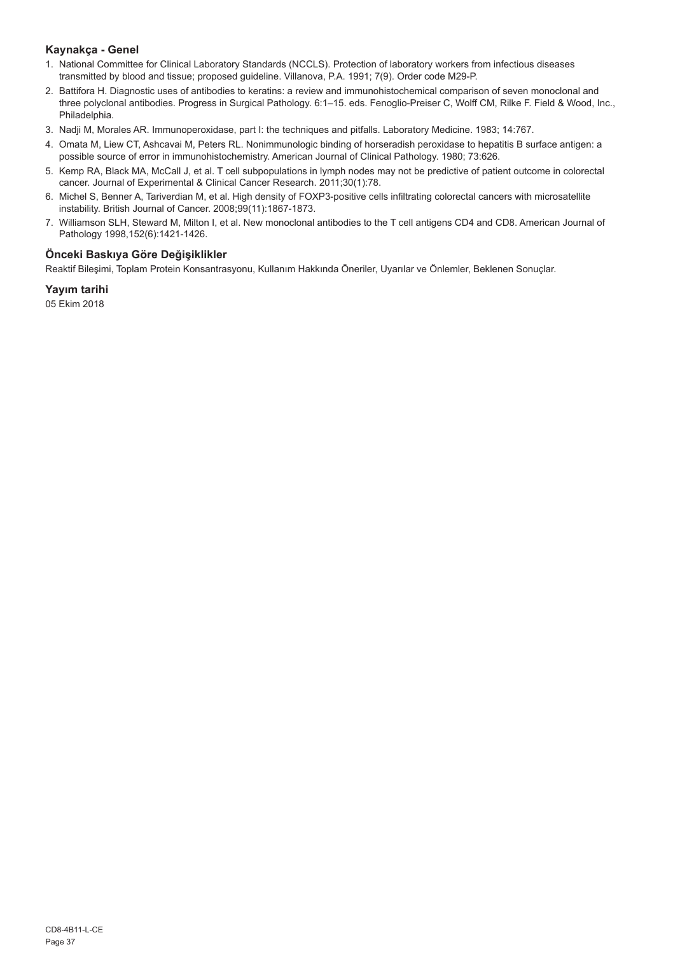# **Kaynakça - Genel**

- 1. National Committee for Clinical Laboratory Standards (NCCLS). Protection of laboratory workers from infectious diseases transmitted by blood and tissue; proposed guideline. Villanova, P.A. 1991; 7(9). Order code M29-P.
- 2. Battifora H. Diagnostic uses of antibodies to keratins: a review and immunohistochemical comparison of seven monoclonal and three polyclonal antibodies. Progress in Surgical Pathology. 6:1–15. eds. Fenoglio-Preiser C, Wolff CM, Rilke F. Field & Wood, Inc., Philadelphia.
- 3. Nadji M, Morales AR. Immunoperoxidase, part I: the techniques and pitfalls. Laboratory Medicine. 1983; 14:767.
- 4. Omata M, Liew CT, Ashcavai M, Peters RL. Nonimmunologic binding of horseradish peroxidase to hepatitis B surface antigen: a possible source of error in immunohistochemistry. American Journal of Clinical Pathology. 1980; 73:626.
- 5. Kemp RA, Black MA, McCall J, et al. T cell subpopulations in lymph nodes may not be predictive of patient outcome in colorectal cancer. Journal of Experimental & Clinical Cancer Research. 2011;30(1):78.
- 6. Michel S, Benner A, Tariverdian M, et al. High density of FOXP3-positive cells infiltrating colorectal cancers with microsatellite instability. British Journal of Cancer. 2008;99(11):1867-1873.
- 7. Williamson SLH, Steward M, Milton I, et al. New monoclonal antibodies to the T cell antigens CD4 and CD8. American Journal of Pathology 1998,152(6):1421-1426.

# **Önceki Baskıya Göre Değişiklikler**

Reaktif Bileşimi, Toplam Protein Konsantrasyonu, Kullanım Hakkında Öneriler, Uyarılar ve Önlemler, Beklenen Sonuçlar.

# **Yayım tarihi**

05 Ekim 2018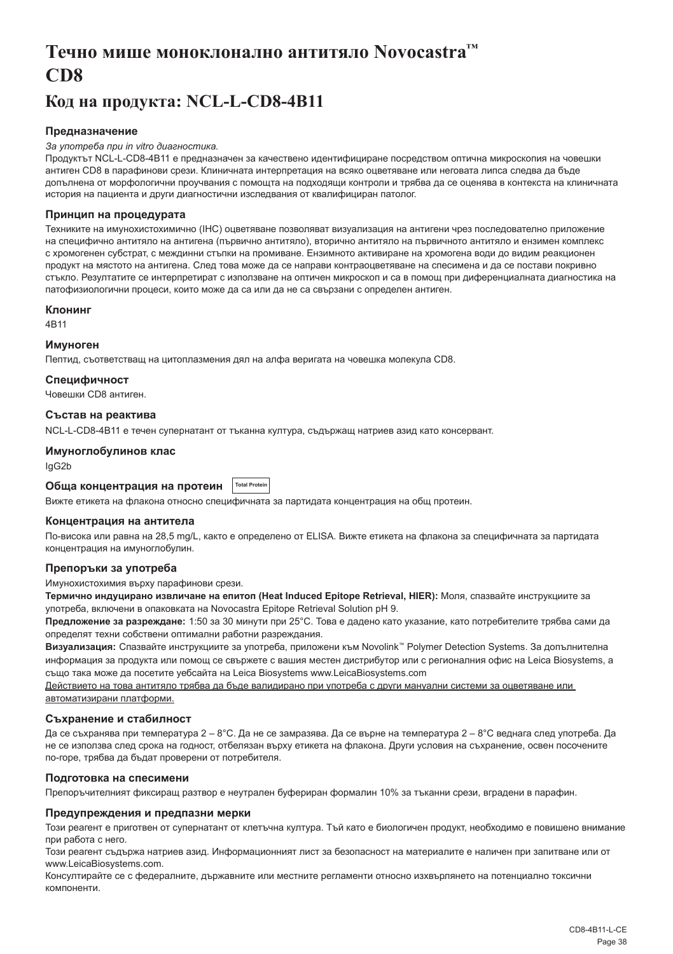# <span id="page-38-0"></span>**Течно мише моноклонално антитяло Novocastra™ CD8**

# **Код на продукта: NCL-L-CD8-4B11**

# **Предназначение**

#### *За употреба при in vitro диагностика.*

Продуктът NCL-L-CD8-4B11 е предназначен за качествено идентифициране посредством оптична микроскопия на човешки антиген CD8 в парафинови срези. Клиничната интерпретация на всяко оцветяване или неговата липса следва да бъде допълнена от морфологични проучвания с помощта на подходящи контроли и трябва да се оценява в контекста на клиничната история на пациента и други диагностични изследвания от квалифициран патолог.

## **Принцип на процедурата**

Техниките на имунохистохимично (IHC) оцветяване позволяват визуализация на антигени чрез последователно приложение на специфично антитяло на антигена (първично антитяло), вторично антитяло на първичното антитяло и ензимен комплекс с хромогенен субстрат, с междинни стъпки на промиване. Ензимното активиране на хромогена води до видим реакционен продукт на мястото на антигена. След това може да се направи контраоцветяване на спесимена и да се постави покривно стъкло. Резултатите се интерпретират с използване на оптичен микроскоп и са в помощ при диференциалната диагностика на патофизиологични процеси, които може да са или да не са свързани с определен антиген.

### **Клонинг**

4B11

## **Имуноген**

Пептид, съответстващ на цитоплазмения дял на алфа веригата на човешка молекула CD8.

### **Специфичност**

Човешки CD8 антиген.

### **Състав на реактива**

NCL-L-CD8-4B11 е течен супернатант от тъканна култура, съдържащ натриев азид като консервант.

### **Имуноглобулинов клас**

IgG2b

#### **Обща концентрация на протеин Total Protei**

Вижте етикета на флакона относно специфичната за партидата концентрация на общ протеин.

#### **Концентрация на антитела**

По-висока или равна на 28,5 mg/L, както е определено от ELISA. Вижте етикета на флакона за специфичната за партидата концентрация на имуноглобулин.

# **Препоръки за употреба**

Имунохистохимия върху парафинови срези.

**Термично индуцирано извличане на епитоп (Heat Induced Epitope Retrieval, HIER):** Моля, спазвайте инструкциите за употреба, включени в опаковката на Novocastra Epitope Retrieval Solution pH 9.

**Предложение за разреждане:** 1:50 за 30 минути при 25°C. Това е дадено като указание, като потребителите трябва сами да определят техни собствени оптимални работни разреждания.

**Визуализация:** Спазвайте инструкциите за употреба, приложени към Novolink™ Polymer Detection Systems. За допълнителна информация за продукта или помощ се свържете с вашия местен дистрибутор или с регионалния офис на Leica Biosystems, а също така може да посетите уебсайта на Leica Biosystems www.LeicaBiosystems.com

Действието на това антитяло трябва да бъде валидирано при употреба с други мануални системи за оцветяване или автоматизирани платформи.

#### **Съхранение и стабилност**

Да се съхранява при температура 2 – 8°C. Да не се замразява. Да се върне на температура 2 – 8°C веднага след употреба. Да не се използва след срока на годност, отбелязан върху етикета на флакона. Други условия на съхранение, освен посочените по-горе, трябва да бъдат проверени от потребителя.

## **Подготовка на спесимени**

Препоръчителният фиксиращ разтвор е неутрален буфериран формалин 10% за тъканни срези, вградени в парафин.

#### **Предупреждения и предпазни мерки**

Този реагент е приготвен от супернатант от клетъчна култура. Тъй като е биологичен продукт, необходимо е повишено внимание при работа с него.

Този реагент съдържа натриев азид. Информационният лист за безопасност на материалите е наличен при запитване или от www.LeicaBiosystems.com.

Консултирайте се с федералните, държавните или местните регламенти относно изхвърлянето на потенциално токсични компоненти.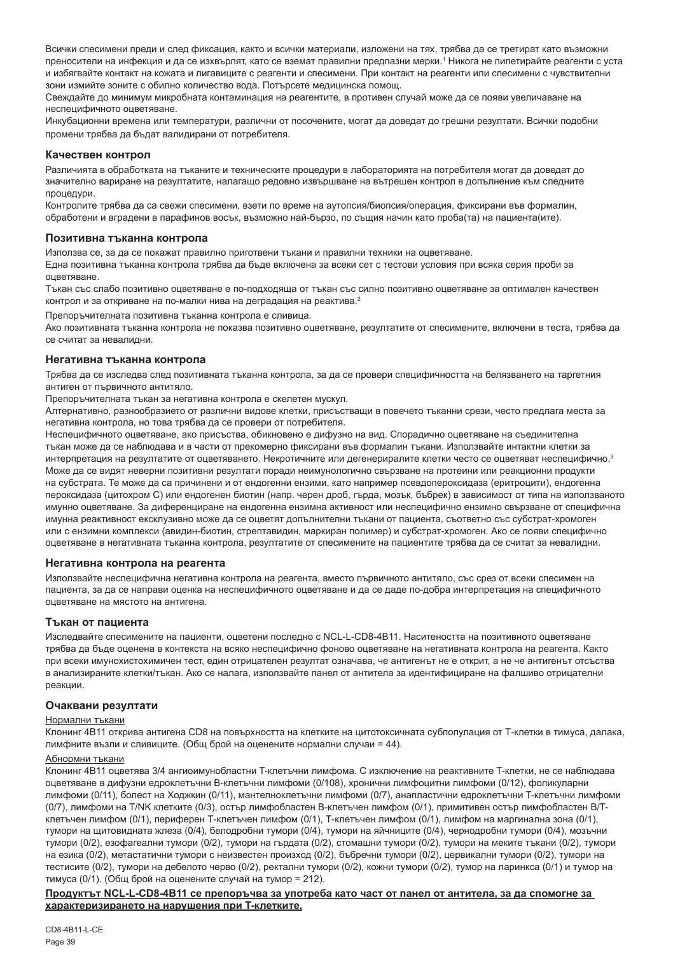Всички спесимени преди и след фиксация, както и всички материали, изложени на тях, трябва да се третират като възможни преносители на инфекция и да се изхвърлят, като се вземат правилни предпазни мерки.' Никога не пипетирайте реагенти с уста и избягвайте контакт на кожата и лигавиците с реагенти и спесимени. При контакт на реагенти или спесимени с чувствителни зони измийте зоните с обилно количество вода. Потърсете медицинска помощ.

Свеждайте до минимум микробната контаминация на реагентите, в противен случай може да се появи увеличаване на неспецифичното оцветяване.

Инкубационни времена или температури, различни от посочените, могат да доведат до грешни резултати. Всички подобни промени трябва да бъдат валидирани от потребителя.

#### **Качествен контрол**

Различията в обработката на тъканите и техническите процедури в лабораторията на потребителя могат да доведат до значително вариране на резултатите, налагащо редовно извършване на вътрешен контрол в допълнение към следните процедури.

Контролите трябва да са свежи спесимени, взети по време на аутопсия/биопсия/операция, фиксирани във формалин, обработени и вградени в парафинов восък, възможно най-бързо, по същия начин като проба(та) на пациента(ите).

#### **Позитивна тъканна контрола**

Използва се, за да се покажат правилно приготвени тъкани и правилни техники на оцветяване.

Една позитивна тъканна контрола трябва да бъде включена за всеки сет с тестови условия при всяка серия проби за оцветяване.

Тъкан със слабо позитивно оцветяване е по-подходяща от тъкан със силно позитивно оцветяване за оптимален качествен контрол и за откриване на по-малки нива на деградация на реактива.<sup>2</sup>

Препоръчителната позитивна тъканна контрола е сливица.

Ако позитивната тъканна контрола не показва позитивно оцветяване, резултатите от спесимените, включени в теста, трябва да се считат за невалидни.

#### **Негативна тъканна контрола**

Трябва да се изследва след позитивната тъканна контрола, за да се провери специфичността на белязването на таргетния антиген от първичното антитяло.

Препоръчителната тъкан за негативна контрола e скелетен мускул.

Алтернативно, разнообразието от различни видове клетки, присъстващи в повечето тъканни срези, често предлага места за негативна контрола, но това трябва да се провери от потребителя.

Неспецифичното оцветяване, ако присъства, обикновено е дифузно на вид. Спорадично оцветяване на съединителна тъкан може да се наблюдава и в части от прекомерно фиксирани във формалин тъкани. Използвайте интактни клетки за интерпретация на резултатите от оцветяването. Некротичните или дегенериралите клетки често се оцветяват неспецифично.3 Може да се видят неверни позитивни резултати поради неимунологично свързване на протеини или реакционни продукти на субстрата. Те може да са причинени и от ендогенни ензими, като например псевдопероксидаза (еритроцити), ендогенна пероксидаза (цитохром C) или ендогенен биотин (напр. черен дроб, гърда, мозък, бъбрек) в зависимост от типа на използваното имунно оцветяване. За диференциране на ендогенна ензимна активност или неспецифично ензимно свързване от специфична имунна реактивност ексклузивно може да се оцветят допълнителни тъкани от пациента, съответно със субстрат-хромоген или с ензимни комплекси (авидин-биотин, стрептавидин, маркиран полимер) и субстрат-хромоген. Ако се появи специфично оцветяване в негативната тъканна контрола, резултатите от спесимените на пациентите трябва да се считат за невалидни.

#### **Негативна контрола на реагента**

Използвайте неспецифична негативна контрола на реагента, вместо първичното антитяло, със срез от всеки спесимен на пациента, за да се направи оценка на неспецифичното оцветяване и да се даде по-добра интерпретация на специфичното оцветяване на мястото на антигена.

#### **Тъкан от пациента**

Изследвайте спесимените на пациенти, оцветени последно с NCL-L-CD8-4B11. Наситеността на позитивното оцветяване трябва да бъде оценена в контекста на всяко неспецифично фоново оцветяване на негативната контрола на реагента. Както при всеки имунохистохимичен тест, един отрицателен резултат означава, че антигенът не е открит, а не че антигенът отсъства в анализираните клетки/тъкан. Ако се налага, използвайте панел от антитела за идентифициране на фалшиво отрицателни реакции.

#### **Очаквани резултати**

#### Нормални тъкани

Клонинг 4B11 открива антигена CD8 на повърхността на клетките на цитотоксичната субпопулация от Т-клетки в тимуса, далака, лимфните възли и сливиците. (Общ брой на оценените нормални случаи = 44).

#### Абнормни тъкани

Клонинг 4B11 оцветява 3/4 ангиоимунобластни T-клетъчни лимфома. С изключение на реактивните T-клетки, не се наблюдава оцветяване в дифузни едроклетъчни В-клетъчни лимфоми (0/108), хронични лимфоцитни лимфоми (0/12), фоликуларни лимфоми (0/11), болест на Ходжкин (0/11), мантелноклетъчни лимфоми (0/7), анапластични едроклетъчни T-клетъчни лимфоми (0/7), лимфоми на T/NK клетките (0/3), остър лимфобластен В-клетъчен лимфом (0/1), примитивен остър лимфобластен B/Tклетъчен лимфом (0/1), периферен Т-клетъчен лимфом (0/1), Т-клетъчен лимфом (0/1), лимфом на маргинална зона (0/1), тумори на щитовидната жлеза (0/4), белодробни тумори (0/4), тумори на яйчниците (0/4), чернодробни тумори (0/4), мозъчни тумори (0/2), езофагеални тумори (0/2), тумори на гърдата (0/2), стомашни тумори (0/2), тумори на меките тъкани (0/2), тумори на езика (0/2), метастатични тумори с неизвестен произход (0/2), бъбречни тумори (0/2), цервикални тумори (0/2), тумори на тестисите (0/2), тумори на дебелото черво (0/2), ректални тумори (0/2), кожни тумори (0/2), тумор на ларинкса (0/1) и тумор на тимуса (0/1). (Общ брой на оценените случай на тумор = 212).

# **Продуктът NCL-L-CD8-4B11 се препоръчва за употреба като част от панел от антитела, за да спомогне за характеризирането на нарушения при T-клетките.**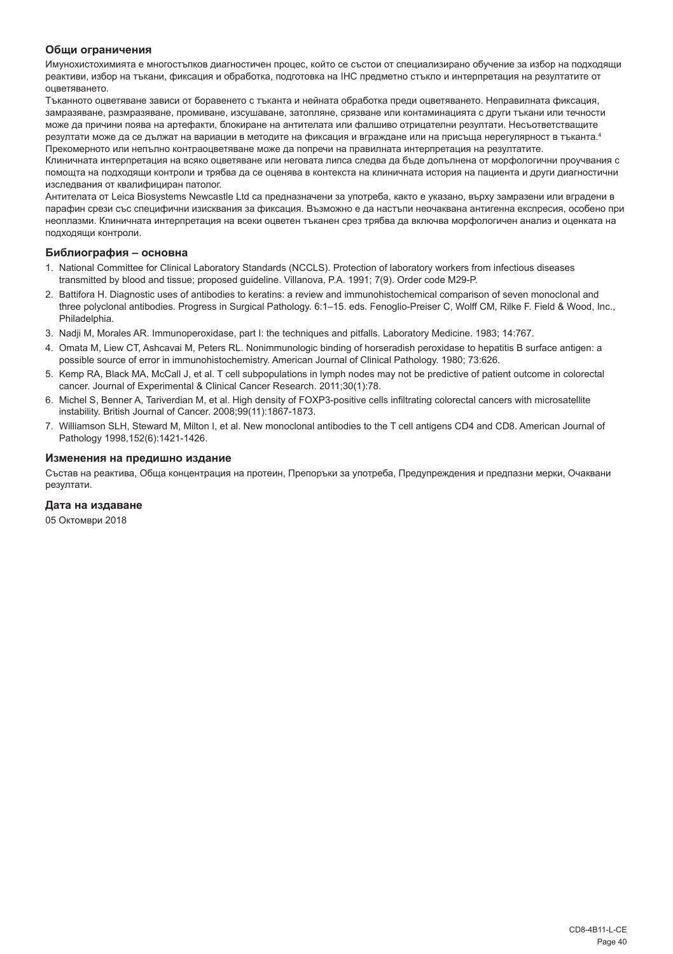# **Общи ограничения**

Имунохистохимията е многостъпков диагностичен процес, който се състои от специализирано обучение за избор на подходящи реактиви, избор на тъкани, фиксация и обработка, подготовка на IHC предметно стъкло и интерпретация на резултатите от оцветяването.

Тъканното оцветяване зависи от боравенето с тъканта и нейната обработка преди оцветяването. Неправилната фиксация, замразяване, размразяване, промиване, изсушаване, затопляне, срязване или контаминацията с други тъкани или течности може да причини поява на артефакти, блокиране на антителата или фалшиво отрицателни резултати. Несъответстващите резултати може да се дължат на вариации в методите на фиксация и вграждане или на присъща нерегулярност в тъканта.<sup>4</sup> Прекомерното или непълно контраоцветяване може да попречи на правилната интерпретация на резултатите.

Клиничната интерпретация на всяко оцветяване или неговата липса следва да бъде допълнена от морфологични проучвания с помощта на подходящи контроли и трябва да се оценява в контекста на клиничната история на пациента и други диагностични изследвания от квалифициран патолог.

Антителата от Leica Biosystems Newcastle Ltd са предназначени за употреба, както е указано, върху замразени или вградени в парафин срези със специфични изисквания за фиксация. Възможно е да настъпи неочаквана антигенна експресия, особено при неоплазми. Клиничната интерпретация на всеки оцветен тъканен срез трябва да включва морфологичен анализ и оценката на подходящи контроли.

# **Библиография – основна**

- 1. National Committee for Clinical Laboratory Standards (NCCLS). Protection of laboratory workers from infectious diseases transmitted by blood and tissue; proposed guideline. Villanova, P.A. 1991; 7(9). Order code M29-P.
- 2. Battifora H. Diagnostic uses of antibodies to keratins: a review and immunohistochemical comparison of seven monoclonal and three polyclonal antibodies. Progress in Surgical Pathology. 6:1–15. eds. Fenoglio-Preiser C, Wolff CM, Rilke F. Field & Wood, Inc., Philadelphia.
- 3. Nadji M, Morales AR. Immunoperoxidase, part I: the techniques and pitfalls. Laboratory Medicine. 1983; 14:767.
- 4. Omata M, Liew CT, Ashcavai M, Peters RL. Nonimmunologic binding of horseradish peroxidase to hepatitis B surface antigen: a possible source of error in immunohistochemistry. American Journal of Clinical Pathology. 1980; 73:626.
- 5. Kemp RA, Black MA, McCall J, et al. T cell subpopulations in lymph nodes may not be predictive of patient outcome in colorectal cancer. Journal of Experimental & Clinical Cancer Research. 2011;30(1):78.
- 6. Michel S, Benner A, Tariverdian M, et al. High density of FOXP3-positive cells infiltrating colorectal cancers with microsatellite instability. British Journal of Cancer. 2008;99(11):1867-1873.
- 7. Williamson SLH, Steward M, Milton I, et al. New monoclonal antibodies to the T cell antigens CD4 and CD8. American Journal of Pathology 1998,152(6):1421-1426.

# **Изменения на предишно издание**

Състав на реактива, Обща концентрация на протеин, Препоръки за употреба, Предупреждения и предпазни мерки, Очаквани резултати.

# **Дата на издаване**

05 Октомври 2018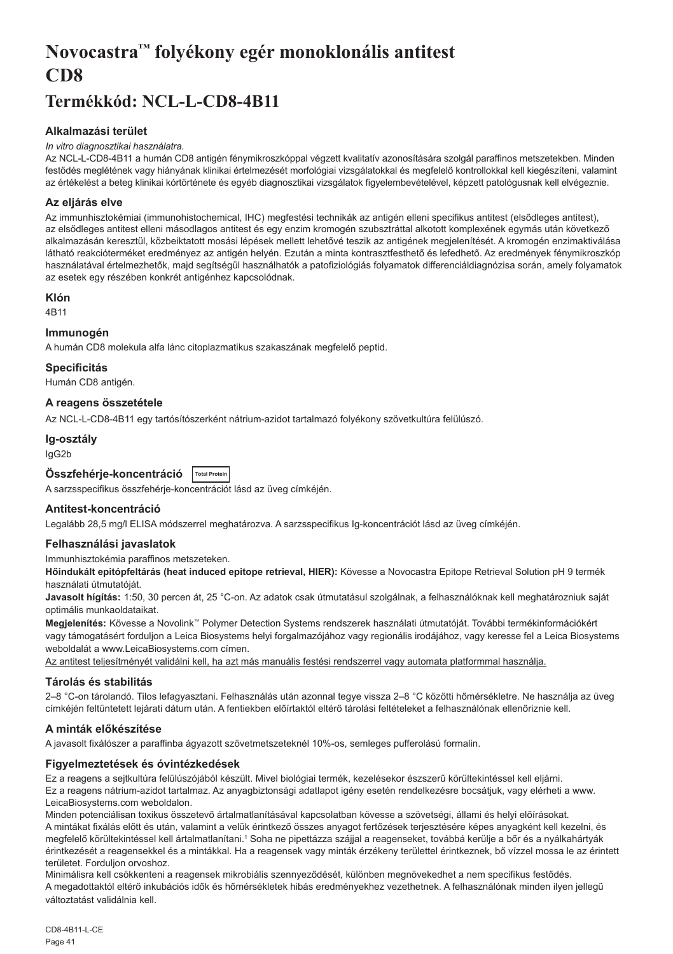# <span id="page-41-0"></span>**Novocastra™ folyékony egér monoklonális antitest CD8**

# **Termékkód: NCL-L-CD8-4B11**

# **Alkalmazási terület**

## *In vitro diagnosztikai használatra.*

Az NCL-L-CD8-4B11 a humán CD8 antigén fénymikroszkóppal végzett kvalitatív azonosítására szolgál paraffinos metszetekben. Minden festődés meglétének vagy hiányának klinikai értelmezését morfológiai vizsgálatokkal és megfelelő kontrollokkal kell kiegészíteni, valamint az értékelést a beteg klinikai kórtörténete és egyéb diagnosztikai vizsgálatok figyelembevételével, képzett patológusnak kell elvégeznie.

# **Az eljárás elve**

Az immunhisztokémiai (immunohistochemical, IHC) megfestési technikák az antigén elleni specifikus antitest (elsődleges antitest), az elsődleges antitest elleni másodlagos antitest és egy enzim kromogén szubsztráttal alkotott komplexének egymás után következő alkalmazásán keresztül, közbeiktatott mosási lépések mellett lehetővé teszik az antigének megjelenítését. A kromogén enzimaktiválása látható reakcióterméket eredményez az antigén helyén. Ezután a minta kontrasztfesthető és lefedhető. Az eredmények fénymikroszkóp használatával értelmezhetők, majd segítségül használhatók a patofiziológiás folyamatok differenciáldiagnózisa során, amely folyamatok az esetek egy részében konkrét antigénhez kapcsolódnak.

# **Klón**

4B11

# **Immunogén**

A humán CD8 molekula alfa lánc citoplazmatikus szakaszának megfelelő peptid.

# **Specificitás**

Humán CD8 antigén.

# **A reagens összetétele**

Az NCL-L-CD8-4B11 egy tartósítószerként nátrium-azidot tartalmazó folyékony szövetkultúra felülúszó.

# **Ig-osztály**

IgG2b

# **Összfehérje-koncentráció Total Protein**

A sarzsspecifikus összfehérje-koncentrációt lásd az üveg címkéjén.

# **Antitest-koncentráció**

Legalább 28,5 mg/l ELISA módszerrel meghatározva. A sarzsspecifikus Ig-koncentrációt lásd az üveg címkéjén.

# **Felhasználási javaslatok**

Immunhisztokémia paraffinos metszeteken.

**Hőindukált epitópfeltárás (heat induced epitope retrieval, HIER):** Kövesse a Novocastra Epitope Retrieval Solution pH 9 termék használati útmutatóját.

**Javasolt hígítás:** 1:50, 30 percen át, 25 °C-on. Az adatok csak útmutatásul szolgálnak, a felhasználóknak kell meghatározniuk saját optimális munkaoldataikat.

**Megjelenítés:** Kövesse a Novolink™ Polymer Detection Systems rendszerek használati útmutatóját. További termékinformációkért vagy támogatásért forduljon a Leica Biosystems helyi forgalmazójához vagy regionális irodájához, vagy keresse fel a Leica Biosystems weboldalát a www.LeicaBiosystems.com címen.

Az antitest teljesítményét validálni kell, ha azt más manuális festési rendszerrel vagy automata platformmal használja.

# **Tárolás és stabilitás**

2–8 °C-on tárolandó. Tilos lefagyasztani. Felhasználás után azonnal tegye vissza 2–8 °C közötti hőmérsékletre. Ne használja az üveg címkéjén feltüntetett lejárati dátum után. A fentiekben előírtaktól eltérő tárolási feltételeket a felhasználónak ellenőriznie kell.

# **A minták előkészítése**

A javasolt fixálószer a paraffinba ágyazott szövetmetszeteknél 10%-os, semleges pufferolású formalin.

# **Figyelmeztetések és óvintézkedések**

Ez a reagens a sejtkultúra felülúszójából készült. Mivel biológiai termék, kezelésekor észszerű körültekintéssel kell eljárni. Ez a reagens nátrium-azidot tartalmaz. Az anyagbiztonsági adatlapot igény esetén rendelkezésre bocsátjuk, vagy elérheti a www. LeicaBiosystems.com weboldalon.

Minden potenciálisan toxikus összetevő ártalmatlanításával kapcsolatban kövesse a szövetségi, állami és helyi előírásokat. A mintákat fixálás előtt és után, valamint a velük érintkező összes anyagot fertőzések terjesztésére képes anyagként kell kezelni, és megfelelő körültekintéssel kell ártalmatlanítani.1 Soha ne pipettázza szájjal a reagenseket, továbbá kerülje a bőr és a nyálkahártyák érintkezését a reagensekkel és a mintákkal. Ha a reagensek vagy minták érzékeny területtel érintkeznek, bő vízzel mossa le az érintett területet. Forduljon orvoshoz.

Minimálisra kell csökkenteni a reagensek mikrobiális szennyeződését, különben megnövekedhet a nem specifikus festődés. A megadottaktól eltérő inkubációs idők és hőmérsékletek hibás eredményekhez vezethetnek. A felhasználónak minden ilyen jellegű változtatást validálnia kell.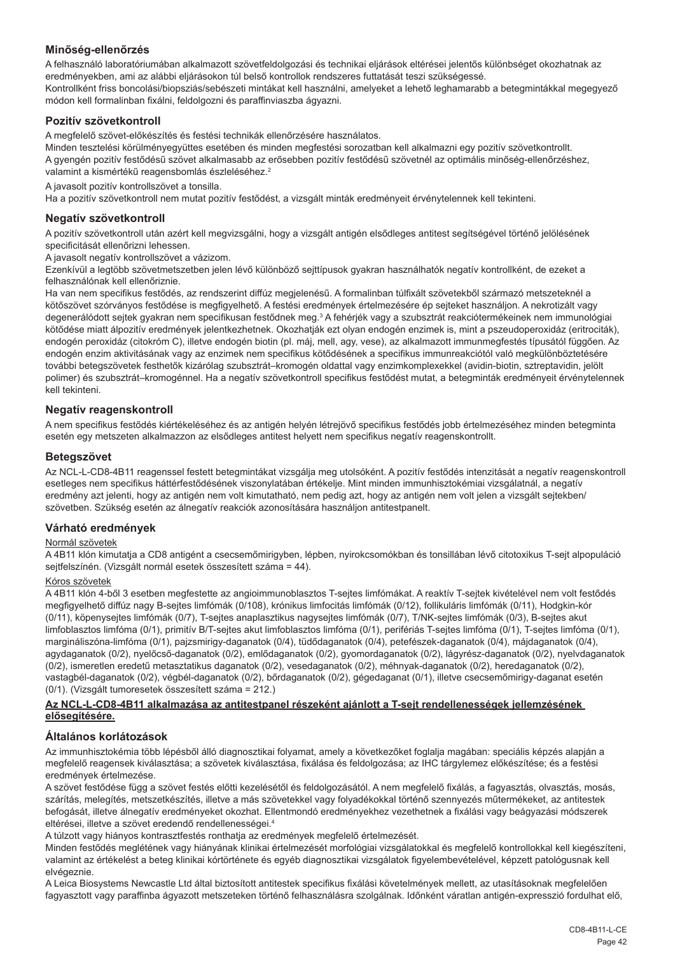# **Minőség-ellenőrzés**

A felhasználó laboratóriumában alkalmazott szövetfeldolgozási és technikai eljárások eltérései jelentős különbséget okozhatnak az eredményekben, ami az alábbi eljárásokon túl belső kontrollok rendszeres futtatását teszi szükségessé. Kontrollként friss boncolási/biopsziás/sebészeti mintákat kell használni, amelyeket a lehető leghamarabb a betegmintákkal megegyező módon kell formalinban fixálni, feldolgozni és paraffinviaszba ágyazni.

# **Pozitív szövetkontroll**

A megfelelő szövet-előkészítés és festési technikák ellenőrzésére használatos.

Minden tesztelési körülményegyüttes esetében és minden megfestési sorozatban kell alkalmazni egy pozitív szövetkontrollt. A gyengén pozitív festődésű szövet alkalmasabb az erősebben pozitív festődésű szövetnél az optimális minőség-ellenőrzéshez, valamint a kismértékű reagensbomlás észleléséhez.<sup>2</sup>

A javasolt pozitív kontrollszövet a tonsilla.

Ha a pozitív szövetkontroll nem mutat pozitív festődést, a vizsgált minták eredményeit érvénytelennek kell tekinteni.

# **Negatív szövetkontroll**

A pozitív szövetkontroll után azért kell megvizsgálni, hogy a vizsgált antigén elsődleges antitest segítségével történő jelölésének specificitását ellenőrizni lehessen.

A javasolt negatív kontrollszövet a vázizom.

Ezenkívül a legtöbb szövetmetszetben jelen lévő különböző sejttípusok gyakran használhatók negatív kontrollként, de ezeket a felhasználónak kell ellenőriznie.

Ha van nem specifikus festődés, az rendszerint diffúz megjelenésű. A formalinban túlfixált szövetekből származó metszeteknél a kötőszövet szórványos festődése is megfigyelhető. A festési eredmények értelmezésére ép sejteket használjon. A nekrotizált vagy degenerálódott sejtek gyakran nem specifikusan festődnek meg.<sup>3</sup> A fehérjék vagy a szubsztrát reakciótermékeinek nem immunológiai kötődése miatt álpozitív eredmények jelentkezhetnek. Okozhatják ezt olyan endogén enzimek is, mint a pszeudoperoxidáz (eritrociták), endogén peroxidáz (citokróm C), illetve endogén biotin (pl. máj, mell, agy, vese), az alkalmazott immunmegfestés típusától függően. Az endogén enzim aktivitásának vagy az enzimek nem specifikus kötődésének a specifikus immunreakciótól való megkülönböztetésére további betegszövetek festhetők kizárólag szubsztrát–kromogén oldattal vagy enzimkomplexekkel (avidin-biotin, sztreptavidin, jelölt polimer) és szubsztrát–kromogénnel. Ha a negatív szövetkontroll specifikus festődést mutat, a betegminták eredményeit érvénytelennek kell tekinteni.

# **Negatív reagenskontroll**

A nem specifikus festődés kiértékeléséhez és az antigén helyén létrejövő specifikus festődés jobb értelmezéséhez minden betegminta esetén egy metszeten alkalmazzon az elsődleges antitest helyett nem specifikus negatív reagenskontrollt.

# **Betegszövet**

Az NCL-L-CD8-4B11 reagenssel festett betegmintákat vizsgálja meg utolsóként. A pozitív festődés intenzitását a negatív reagenskontroll esetleges nem specifikus háttérfestődésének viszonylatában értékelje. Mint minden immunhisztokémiai vizsgálatnál, a negatív eredmény azt jelenti, hogy az antigén nem volt kimutatható, nem pedig azt, hogy az antigén nem volt jelen a vizsgált sejtekben/ szövetben. Szükség esetén az álnegatív reakciók azonosítására használjon antitestpanelt.

# **Várható eredmények**

# Normál szövetek

A 4B11 klón kimutatja a CD8 antigént a csecsemőmirigyben, lépben, nyirokcsomókban és tonsillában lévő citotoxikus T-sejt alpopuláció sejtfelszínén. (Vizsgált normál esetek összesített száma = 44).

# Kóros szövetek

A 4B11 klón 4-ből 3 esetben megfestette az angioimmunoblasztos T-sejtes limfómákat. A reaktív T-sejtek kivételével nem volt festődés megfigyelhető diffúz nagy B-sejtes limfómák (0/108), krónikus limfocitás limfómák (0/12), follikuláris limfómák (0/11), Hodgkin-kór (0/11), köpenysejtes limfómák (0/7), T-sejtes anaplasztikus nagysejtes limfómák (0/7), T/NK-sejtes limfómák (0/3), B-sejtes akut limfoblasztos limfóma (0/1), primitív B/T-sejtes akut limfoblasztos limfóma (0/1), perifériás T-sejtes limfóma (0/1), T-sejtes limfóma (0/1), margináliszóna-limfóma (0/1), pajzsmirigy-daganatok (0/4), tüdődaganatok (0/4), petefészek-daganatok (0/4), májdaganatok (0/4), agydaganatok (0/2), nyelőcső-daganatok (0/2), emlődaganatok (0/2), gyomordaganatok (0/2), lágyrész-daganatok (0/2), nyelvdaganatok (0/2), ismeretlen eredetű metasztatikus daganatok (0/2), vesedaganatok (0/2), méhnyak-daganatok (0/2), heredaganatok (0/2), vastagbél-daganatok (0/2), végbél-daganatok (0/2), bőrdaganatok (0/2), gégedaganat (0/1), illetve csecsemőmirigy-daganat esetén (0/1). (Vizsgált tumoresetek összesített száma = 212.)

# **Az NCL-L-CD8-4B11 alkalmazása az antitestpanel részeként ajánlott a T-sejt rendellenességek jellemzésének elősegítésére.**

# **Általános korlátozások**

Az immunhisztokémia több lépésből álló diagnosztikai folyamat, amely a következőket foglalja magában: speciális képzés alapján a megfelelő reagensek kiválasztása; a szövetek kiválasztása, fixálása és feldolgozása; az IHC tárgylemez előkészítése; és a festési eredmények értelmezése.

A szövet festődése függ a szövet festés előtti kezelésétől és feldolgozásától. A nem megfelelő fixálás, a fagyasztás, olvasztás, mosás, szárítás, melegítés, metszetkészítés, illetve a más szövetekkel vagy folyadékokkal történő szennyezés műtermékeket, az antitestek befogását, illetve álnegatív eredményeket okozhat. Ellentmondó eredményekhez vezethetnek a fixálási vagy beágyazási módszerek eltérései, illetve a szövet eredendő rendellenességei.<sup>4</sup>

A túlzott vagy hiányos kontrasztfestés ronthatja az eredmények megfelelő értelmezését.

Minden festődés meglétének vagy hiányának klinikai értelmezését morfológiai vizsgálatokkal és megfelelő kontrollokkal kell kiegészíteni, valamint az értékelést a beteg klinikai kórtörténete és egyéb diagnosztikai vizsgálatok figyelembevételével, képzett patológusnak kell elvégeznie.

A Leica Biosystems Newcastle Ltd által biztosított antitestek specifikus fixálási követelmények mellett, az utasításoknak megfelelően fagyasztott vagy paraffinba ágyazott metszeteken történő felhasználásra szolgálnak. Időnként váratlan antigén-expresszió fordulhat elő,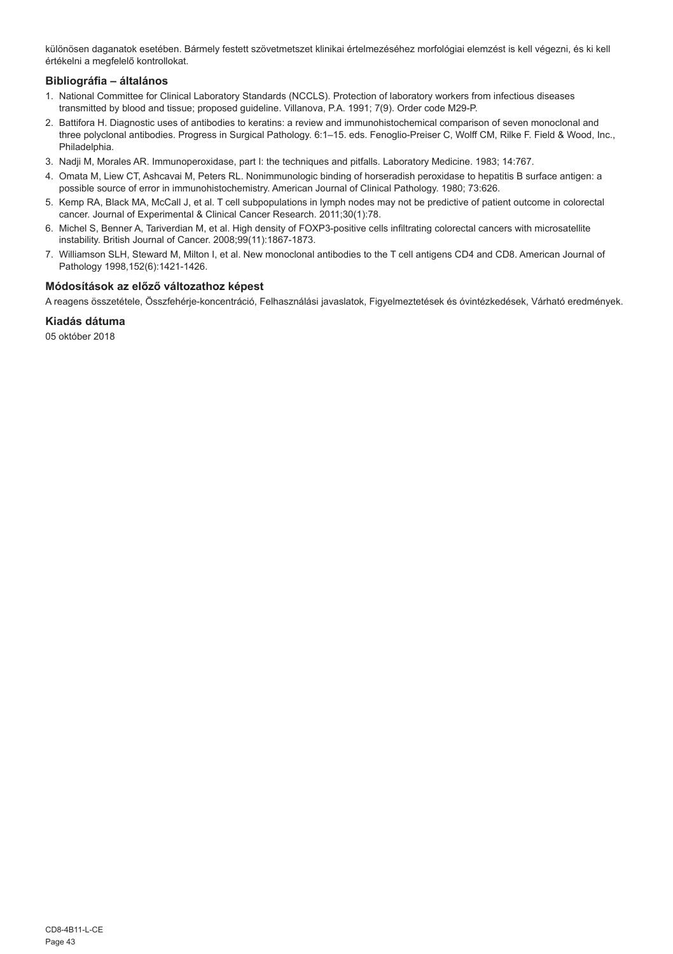különösen daganatok esetében. Bármely festett szövetmetszet klinikai értelmezéséhez morfológiai elemzést is kell végezni, és ki kell értékelni a megfelelő kontrollokat.

## **Bibliográfia – általános**

- 1. National Committee for Clinical Laboratory Standards (NCCLS). Protection of laboratory workers from infectious diseases transmitted by blood and tissue; proposed guideline. Villanova, P.A. 1991; 7(9). Order code M29-P.
- 2. Battifora H. Diagnostic uses of antibodies to keratins: a review and immunohistochemical comparison of seven monoclonal and three polyclonal antibodies. Progress in Surgical Pathology. 6:1–15. eds. Fenoglio-Preiser C, Wolff CM, Rilke F. Field & Wood, Inc., Philadelphia.
- 3. Nadji M, Morales AR. Immunoperoxidase, part I: the techniques and pitfalls. Laboratory Medicine. 1983; 14:767.
- 4. Omata M, Liew CT, Ashcavai M, Peters RL. Nonimmunologic binding of horseradish peroxidase to hepatitis B surface antigen: a possible source of error in immunohistochemistry. American Journal of Clinical Pathology. 1980; 73:626.
- 5. Kemp RA, Black MA, McCall J, et al. T cell subpopulations in lymph nodes may not be predictive of patient outcome in colorectal cancer. Journal of Experimental & Clinical Cancer Research. 2011;30(1):78.
- 6. Michel S, Benner A, Tariverdian M, et al. High density of FOXP3-positive cells infiltrating colorectal cancers with microsatellite instability. British Journal of Cancer. 2008;99(11):1867-1873.
- 7. Williamson SLH, Steward M, Milton I, et al. New monoclonal antibodies to the T cell antigens CD4 and CD8. American Journal of Pathology 1998,152(6):1421-1426.

# **Módosítások az előző változathoz képest**

A reagens összetétele, Összfehérje-koncentráció, Felhasználási javaslatok, Figyelmeztetések és óvintézkedések, Várható eredmények.

#### **Kiadás dátuma**

05 október 2018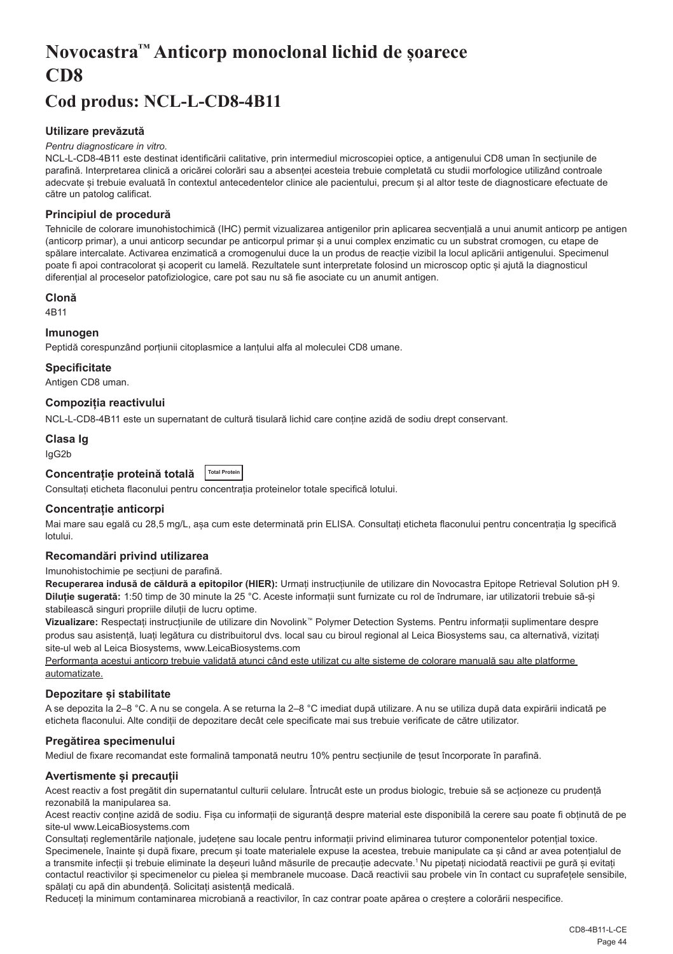# <span id="page-44-0"></span>**Novocastra™ Anticorp monoclonal lichid de șoarece CD8**

# **Cod produs: NCL-L-CD8-4B11**

# **Utilizare prevăzută**

#### *Pentru diagnosticare in vitro.*

NCL-L-CD8-4B11 este destinat identificării calitative, prin intermediul microscopiei optice, a antigenului CD8 uman în secțiunile de parafină. Interpretarea clinică a oricărei colorări sau a absenței acesteia trebuie completată cu studii morfologice utilizând controale adecvate și trebuie evaluată în contextul antecedentelor clinice ale pacientului, precum și al altor teste de diagnosticare efectuate de către un patolog calificat.

## **Principiul de procedură**

Tehnicile de colorare imunohistochimică (IHC) permit vizualizarea antigenilor prin aplicarea secvențială a unui anumit anticorp pe antigen (anticorp primar), a unui anticorp secundar pe anticorpul primar și a unui complex enzimatic cu un substrat cromogen, cu etape de spălare intercalate. Activarea enzimatică a cromogenului duce la un produs de reacție vizibil la locul aplicării antigenului. Specimenul poate fi apoi contracolorat și acoperit cu lamelă. Rezultatele sunt interpretate folosind un microscop optic și ajută la diagnosticul diferențial al proceselor patofiziologice, care pot sau nu să fie asociate cu un anumit antigen.

# **Clonă**

4B11

# **Imunogen**

Peptidă corespunzând porțiunii citoplasmice a lanțului alfa al moleculei CD8 umane.

### **Specificitate**

Antigen CD8 uman.

# **Compoziția reactivului**

NCL-L-CD8-4B11 este un supernatant de cultură tisulară lichid care conține azidă de sodiu drept conservant.

# **Clasa Ig**

IgG2b

# **Concentrație proteină totală Total Protein**

Consultați eticheta flaconului pentru concentrația proteinelor totale specifică lotului.

#### **Concentrație anticorpi**

Mai mare sau egală cu 28,5 mg/L, asa cum este determinată prin ELISA. Consultati eticheta flaconului pentru concentratia Ig specifică lotului.

#### **Recomandări privind utilizarea**

#### Imunohistochimie pe secțiuni de parafină.

**Recuperarea indusă de căldură a epitopilor (HIER):** Urmați instrucțiunile de utilizare din Novocastra Epitope Retrieval Solution pH 9. **Diluție sugerată:** 1:50 timp de 30 minute la 25 °C. Aceste informații sunt furnizate cu rol de îndrumare, iar utilizatorii trebuie să-și stabilească singuri propriile diluții de lucru optime.

**Vizualizare:** Respectați instrucțiunile de utilizare din Novolink™ Polymer Detection Systems. Pentru informații suplimentare despre produs sau asistență, luați legătura cu distribuitorul dvs. local sau cu biroul regional al Leica Biosystems sau, ca alternativă, vizitați site-ul web al Leica Biosystems, www.LeicaBiosystems.com

Performanța acestui anticorp trebuie validată atunci când este utilizat cu alte sisteme de colorare manuală sau alte platforme automatizate.

## **Depozitare și stabilitate**

A se depozita la 2–8 °C. A nu se congela. A se returna la 2–8 °C imediat după utilizare. A nu se utiliza după data expirării indicată pe eticheta flaconului. Alte condiții de depozitare decât cele specificate mai sus trebuie verificate de către utilizator.

# **Pregătirea specimenului**

Mediul de fixare recomandat este formalină tamponată neutru 10% pentru secțiunile de țesut încorporate în parafină.

#### **Avertismente și precauții**

Acest reactiv a fost pregătit din supernatantul culturii celulare. Întrucât este un produs biologic, trebuie să se actioneze cu prudentă rezonabilă la manipularea sa.

Acest reactiv conține azidă de sodiu. Fișa cu informații de siguranță despre material este disponibilă la cerere sau poate fi obținută de pe site-ul www.LeicaBiosystems.com

Consultați reglementările naționale, județene sau locale pentru informații privind eliminarea tuturor componentelor potențial toxice. Specimenele, înainte și după fixare, precum și toate materialele expuse la acestea, trebuie manipulate ca și când ar avea potentialul de a transmite infecții și trebuie eliminate la deșeuri luând măsurile de precauție adecvate.<sup>1</sup>Nu pipetați niciodată reactivii pe gură și evitați contactul reactivilor și specimenelor cu pielea și membranele mucoase. Dacă reactivii sau probele vin în contact cu suprafețele sensibile, spălați cu apă din abundență. Solicitați asistență medicală.

Reduceți la minimum contaminarea microbiană a reactivilor, în caz contrar poate apărea o creștere a colorării nespecifice.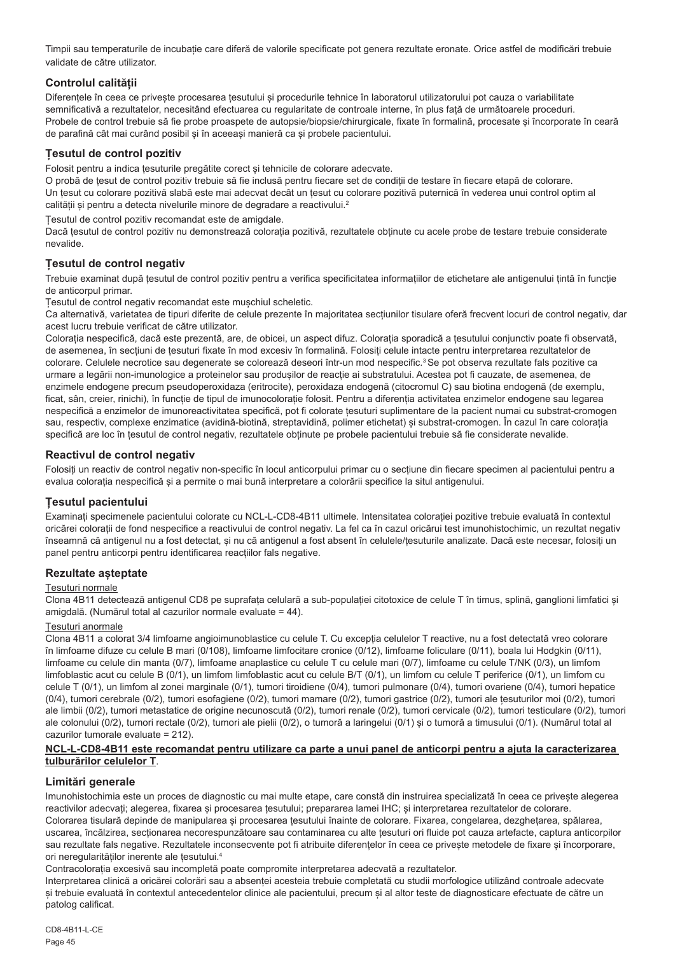Timpii sau temperaturile de incubație care diferă de valorile specificate pot genera rezultate eronate. Orice astfel de modificări trebuie validate de către utilizator.

# **Controlul calității**

Diferentele în ceea ce priveste procesarea tesutului și procedurile tehnice în laboratorul utilizatorului pot cauza o variabilitate semnificativă a rezultatelor, necesitând efectuarea cu regularitate de controale interne, în plus față de următoarele proceduri. Probele de control trebuie să fie probe proaspete de autopsie/biopsie/chirurgicale, fixate în formalină, procesate și încorporate în ceară de parafină cât mai curând posibil și în aceeași manieră ca și probele pacientului.

# **Țesutul de control pozitiv**

Folosit pentru a indica țesuturile pregătite corect și tehnicile de colorare adecvate.

O probă de țesut de control pozitiv trebuie să fie inclusă pentru fiecare set de condiții de testare în fiecare etapă de colorare. Un țesut cu colorare pozitivă slabă este mai adecvat decât un țesut cu colorare pozitivă puternică în vederea unui control optim al calității și pentru a detecta nivelurile minore de degradare a reactivului.<sup>2</sup>

Țesutul de control pozitiv recomandat este de amigdale.

Dacă țesutul de control pozitiv nu demonstrează colorația pozitivă, rezultatele obținute cu acele probe de testare trebuie considerate nevalide.

# **Țesutul de control negativ**

Trebuie examinat după țesutul de control pozitiv pentru a verifica specificitatea informațiilor de etichetare ale antigenului țintă în funcție de anticorpul primar.

Țesutul de control negativ recomandat este mușchiul scheletic.

Ca alternativă, varietatea de tipuri diferite de celule prezente în majoritatea secțiunilor tisulare oferă frecvent locuri de control negativ, dar acest lucru trebuie verificat de către utilizator.

Colorația nespecifică, dacă este prezentă, are, de obicei, un aspect difuz. Colorația sporadică a țesutului conjunctiv poate fi observată, de asemenea, în secțiuni de țesuturi fixate în mod excesiv în formalină. Folosiți celule intacte pentru interpretarea rezultatelor de colorare. Celulele necrotice sau degenerate se colorează deseori într-un mod nespecific.3 Se pot observa rezultate fals pozitive ca urmare a legării non-imunologice a proteinelor sau produșilor de reacție ai substratului. Acestea pot fi cauzate, de asemenea, de enzimele endogene precum pseudoperoxidaza (eritrocite), peroxidaza endogenă (citocromul C) sau biotina endogenă (de exemplu, ficat, sân, creier, rinichi), în funcție de tipul de imunocolorație folosit. Pentru a diferenția activitatea enzimelor endogene sau legarea nespecifică a enzimelor de imunoreactivitatea specifică, pot fi colorate țesuturi suplimentare de la pacient numai cu substrat-cromogen sau, respectiv, complexe enzimatice (avidină-biotină, streptavidină, polimer etichetat) și substrat-cromogen. În cazul în care colorația specifică are loc în țesutul de control negativ, rezultatele obținute pe probele pacientului trebuie să fie considerate nevalide.

# **Reactivul de control negativ**

Folosiți un reactiv de control negativ non-specific în locul anticorpului primar cu o secțiune din fiecare specimen al pacientului pentru a evalua colorația nespecifică și a permite o mai bună interpretare a colorării specifice la situl antigenului.

# **Țesutul pacientului**

Examinați specimenele pacientului colorate cu NCL-L-CD8-4B11 ultimele. Intensitatea colorației pozitive trebuie evaluată în contextul oricărei colorații de fond nespecifice a reactivului de control negativ. La fel ca în cazul oricărui test imunohistochimic, un rezultat negativ înseamnă că antigenul nu a fost detectat, și nu că antigenul a fost absent în celulele/țesuturile analizate. Dacă este necesar, folosiți un panel pentru anticorpi pentru identificarea reacțiilor fals negative.

# **Rezultate așteptate**

Țesuturi normale

Clona 4B11 detectează antigenul CD8 pe suprafața celulară a sub-populației citotoxice de celule T în timus, splină, ganglioni limfatici și amigdală. (Numărul total al cazurilor normale evaluate = 44).

# Țesuturi anormale

Clona 4B11 a colorat 3/4 limfoame angioimunoblastice cu celule T. Cu excepția celulelor T reactive, nu a fost detectată vreo colorare în limfoame difuze cu celule B mari (0/108), limfoame limfocitare cronice (0/12), limfoame foliculare (0/11), boala lui Hodgkin (0/11), limfoame cu celule din manta (0/7), limfoame anaplastice cu celule T cu celule mari (0/7), limfoame cu celule T/NK (0/3), un limfom limfoblastic acut cu celule B (0/1), un limfom limfoblastic acut cu celule B/T (0/1), un limfom cu celule T periferice (0/1), un limfom cu celule T (0/1), un limfom al zonei marginale (0/1), tumori tiroidiene (0/4), tumori pulmonare (0/4), tumori ovariene (0/4), tumori hepatice (0/4), tumori cerebrale (0/2), tumori esofagiene (0/2), tumori mamare (0/2), tumori gastrice (0/2), tumori ale țesuturilor moi (0/2), tumori ale limbii (0/2), tumori metastatice de origine necunoscută (0/2), tumori renale (0/2), tumori cervicale (0/2), tumori testiculare (0/2), tumori ale colonului (0/2), tumori rectale (0/2), tumori ale pielii (0/2), o tumoră a laringelui (0/1) și o tumoră a timusului (0/1). (Numărul total al cazurilor tumorale evaluate = 212).

# **NCL-L-CD8-4B11 este recomandat pentru utilizare ca parte a unui panel de anticorpi pentru a ajuta la caracterizarea tulburărilor celulelor T**.

# **Limitări generale**

Imunohistochimia este un proces de diagnostic cu mai multe etape, care constă din instruirea specializată în ceea ce privește alegerea reactivilor adecvați; alegerea, fixarea și procesarea țesutului; prepararea lamei IHC; și interpretarea rezultatelor de colorare. Colorarea tisulară depinde de manipularea și procesarea țesutului înainte de colorare. Fixarea, congelarea, dezghețarea, spălarea, uscarea, încălzirea, secționarea necorespunzătoare sau contaminarea cu alte țesuturi ori fluide pot cauza artefacte, captura anticorpilor sau rezultate fals negative. Rezultatele inconsecvente pot fi atribuite diferentelor în ceea ce priveste metodele de fixare și încorporare, ori neregularităților inerente ale tesutului.<sup>4</sup>

Contracolorația excesivă sau incompletă poate compromite interpretarea adecvată a rezultatelor.

Interpretarea clinică a oricărei colorări sau a absenței acesteia trebuie completată cu studii morfologice utilizând controale adecvate și trebuie evaluată în contextul antecedentelor clinice ale pacientului, precum și al altor teste de diagnosticare efectuate de către un patolog calificat.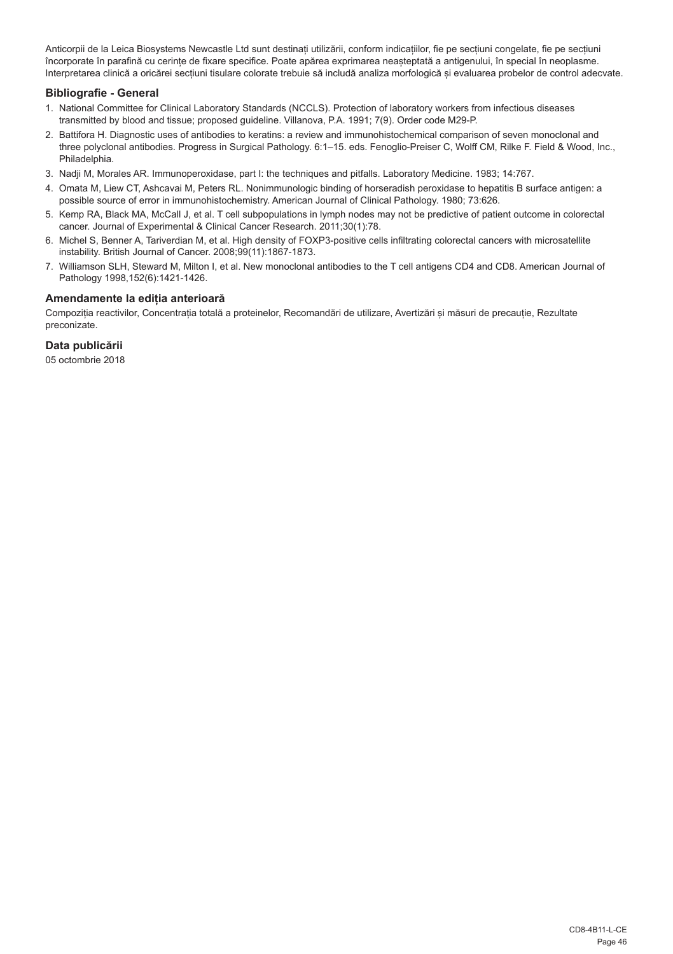Anticorpii de la Leica Biosystems Newcastle Ltd sunt destinați utilizării, conform indicațiilor, fie pe secțiuni congelate, fie pe secțiuni încorporate în parafină cu cerințe de fixare specifice. Poate apărea exprimarea neașteptată a antigenului, în special în neoplasme. Interpretarea clinică a oricărei secțiuni tisulare colorate trebuie să includă analiza morfologică și evaluarea probelor de control adecvate.

# **Bibliografie - General**

- 1. National Committee for Clinical Laboratory Standards (NCCLS). Protection of laboratory workers from infectious diseases transmitted by blood and tissue; proposed guideline. Villanova, P.A. 1991; 7(9). Order code M29-P.
- 2. Battifora H. Diagnostic uses of antibodies to keratins: a review and immunohistochemical comparison of seven monoclonal and three polyclonal antibodies. Progress in Surgical Pathology. 6:1–15. eds. Fenoglio-Preiser C, Wolff CM, Rilke F. Field & Wood, Inc., Philadelphia.
- 3. Nadji M, Morales AR. Immunoperoxidase, part I: the techniques and pitfalls. Laboratory Medicine. 1983; 14:767.
- 4. Omata M, Liew CT, Ashcavai M, Peters RL. Nonimmunologic binding of horseradish peroxidase to hepatitis B surface antigen: a possible source of error in immunohistochemistry. American Journal of Clinical Pathology. 1980; 73:626.
- 5. Kemp RA, Black MA, McCall J, et al. T cell subpopulations in lymph nodes may not be predictive of patient outcome in colorectal cancer. Journal of Experimental & Clinical Cancer Research. 2011;30(1):78.
- 6. Michel S, Benner A, Tariverdian M, et al. High density of FOXP3-positive cells infiltrating colorectal cancers with microsatellite instability. British Journal of Cancer. 2008;99(11):1867-1873.
- 7. Williamson SLH, Steward M, Milton I, et al. New monoclonal antibodies to the T cell antigens CD4 and CD8. American Journal of Pathology 1998,152(6):1421-1426.

# **Amendamente la ediția anterioară**

Compoziția reactivilor, Concentrația totală a proteinelor, Recomandări de utilizare, Avertizări și măsuri de precauție, Rezultate preconizate.

# **Data publicării**

05 octombrie 2018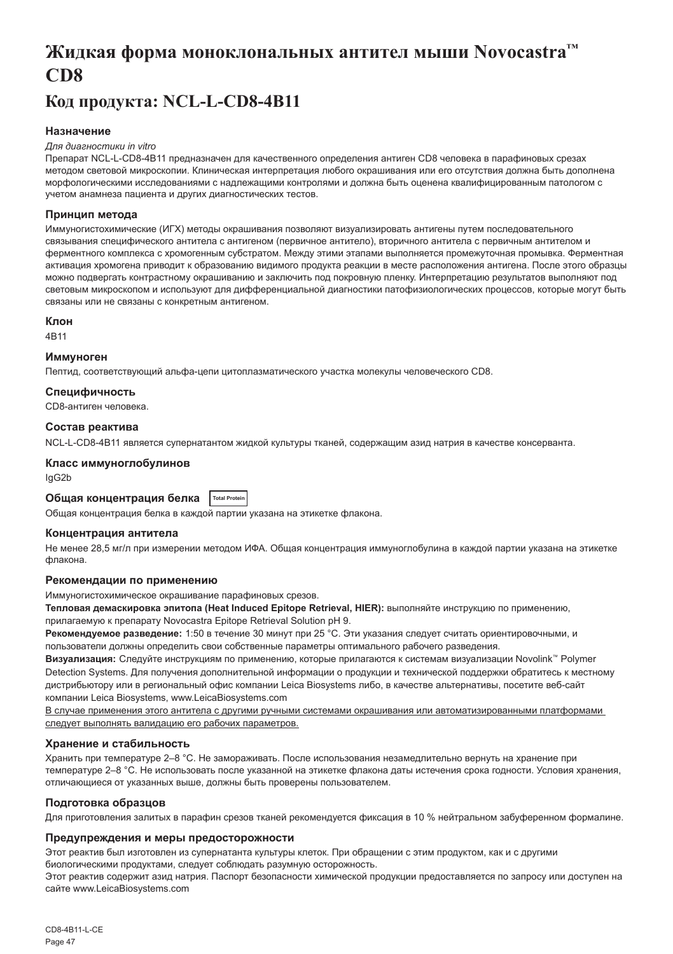# <span id="page-47-0"></span>**Жидкая форма моноклональных антител мыши Novocastra™ CD8**

# **Код продукта: NCL-L-CD8-4B11**

# **Назначение**

#### *Для диагностики in vitro*

Препарат NCL-L-CD8-4B11 предназначен для качественного определения антиген CD8 человека в парафиновых срезах методом световой микроскопии. Клиническая интерпретация любого окрашивания или его отсутствия должна быть дополнена морфологическими исследованиями с надлежащими контролями и должна быть оценена квалифицированным патологом с учетом анамнеза пациента и других диагностических тестов.

### **Принцип метода**

Иммуногистохимические (ИГХ) методы окрашивания позволяют визуализировать антигены путем последовательного связывания специфического антитела с антигеном (первичное антитело), вторичного антитела с первичным антителом и ферментного комплекса с хромогенным субстратом. Между этими этапами выполняется промежуточная промывка. Ферментная активация хромогена приводит к образованию видимого продукта реакции в месте расположения антигена. После этого образцы можно подвергать контрастному окрашиванию и заключить под покровную пленку. Интерпретацию результатов выполняют под световым микроскопом и используют для дифференциальной диагностики патофизиологических процессов, которые могут быть связаны или не связаны с конкретным антигеном.

# **Клон**

4B11

### **Иммуноген**

Пептид, соответствующий альфа-цепи цитоплазматического участка молекулы человеческого CD8.

### **Специфичность**

CD8-антиген человека.

### **Состав реактива**

NCL-L-CD8-4B11 является супернатантом жидкой культуры тканей, содержащим азид натрия в качестве консерванта.

# **Класс иммуноглобулинов**

IgG2b

# **Общая концентрация белка Total Protein**

Общая концентрация белка в каждой партии указана на этикетке флакона.

## **Концентрация антитела**

Не менее 28,5 мг/л при измерении методом ИФА. Общая концентрация иммуноглобулина в каждой партии указана на этикетке флакона.

#### **Рекомендации по применению**

Иммуногистохимическое окрашивание парафиновых срезов.

**Тепловая демаскировка эпитопа (Heat Induced Epitope Retrieval, HIER):** выполняйте инструкцию по применению, прилагаемую к препарату Novocastra Epitope Retrieval Solution pH 9.

**Рекомендуемое разведение:** 1:50 в течение 30 минут при 25 °C. Эти указания следует считать ориентировочными, и пользователи должны определить свои собственные параметры оптимального рабочего разведения.

**Визуализация:** Следуйте инструкциям по применению, которые прилагаются к системам визуализации Novolink™ Polymer Detection Systems. Для получения дополнительной информации о продукции и технической поддержки обратитесь к местному дистрибьютору или в региональный офис компании Leica Biosystems либо, в качестве альтернативы, посетите веб-сайт компании Leica Biosystems, www.LeicaBiosystems.com

В случае применения этого антитела с другими ручными системами окрашивания или автоматизированными платформами следует выполнять валидацию его рабочих параметров.

# **Хранение и стабильность**

Хранить при температуре 2–8 °C. Не замораживать. После использования незамедлительно вернуть на хранение при температуре 2–8 °C. Не использовать после указанной на этикетке флакона даты истечения срока годности. Условия хранения, отличающиеся от указанных выше, должны быть проверены пользователем.

# **Подготовка образцов**

Для приготовления залитых в парафин срезов тканей рекомендуется фиксация в 10 % нейтральном забуференном формалине.

# **Предупреждения и меры предосторожности**

Этот реактив был изготовлен из супернатанта культуры клеток. При обращении с этим продуктом, как и с другими биологическими продуктами, следует соблюдать разумную осторожность.

Этот реактив содержит азид натрия. Паспорт безопасности химической продукции предоставляется по запросу или доступен на сайте www.LeicaBiosystems.com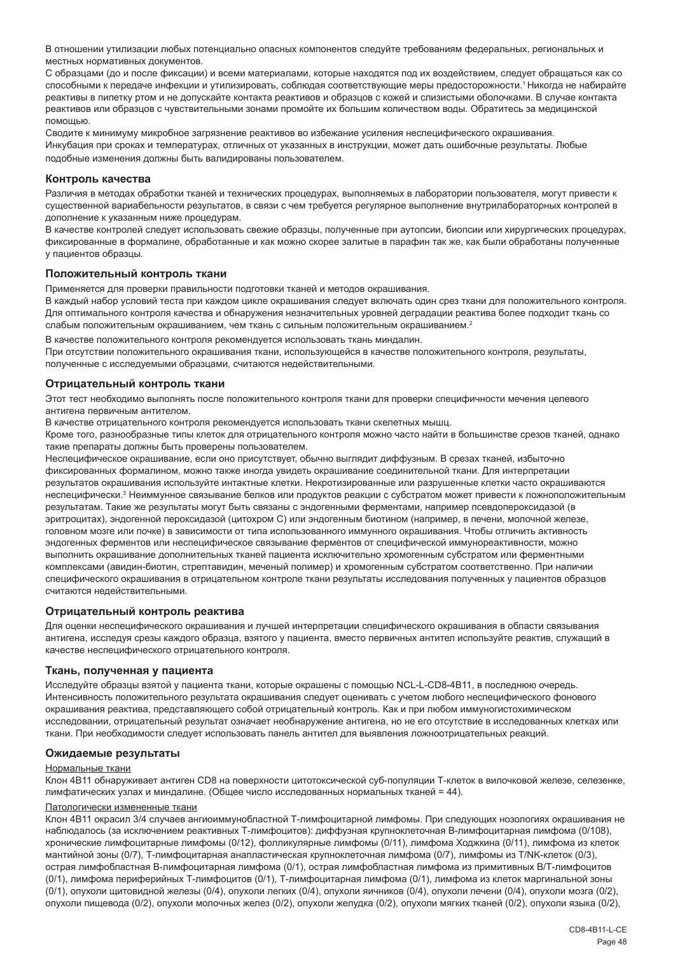В отношении утилизации любых потенциально опасных компонентов следуйте требованиям федеральных, региональных и местных нормативных документов.

С образцами (до и после фиксации) и всеми материалами, которые находятся под их воздействием, следует обращаться как со способными к передаче инфекции и утилизировать, соблюдая соответствующие меры предосторожности.<sup>1</sup>Никогда не набирайте реактивы в пипетку ртом и не допускайте контакта реактивов и образцов с кожей и слизистыми оболочками. В случае контакта реактивов или образцов с чувствительными зонами промойте их большим количеством воды. Обратитесь за медицинской помощью.

Сводите к минимуму микробное загрязнение реактивов во избежание усиления неспецифического окрашивания. Инкубация при сроках и температурах, отличных от указанных в инструкции, может дать ошибочные результаты. Любые подобные изменения должны быть валидированы пользователем.

#### **Контроль качества**

Различия в методах обработки тканей и технических процедурах, выполняемых в лаборатории пользователя, могут привести к существенной вариабельности результатов, в связи с чем требуется регулярное выполнение внутрилабораторных контролей в дополнение к указанным ниже процедурам.

В качестве контролей следует использовать свежие образцы, полученные при аутопсии, биопсии или хирургических процедурах, фиксированные в формалине, обработанные и как можно скорее залитые в парафин так же, как были обработаны полученные у пациентов образцы.

#### **Положительный контроль ткани**

Применяется для проверки правильности подготовки тканей и методов окрашивания.

В каждый набор условий теста при каждом цикле окрашивания следует включать один срез ткани для положительного контроля. Для оптимального контроля качества и обнаружения незначительных уровней деградации реактива более подходит ткань со слабым положительным окрашиванием, чем ткань с сильным положительным окрашиванием.<sup>2</sup>

В качестве положительного контроля рекомендуется использовать ткань миндалин. При отсутствии положительного окрашивания ткани, использующейся в качестве положительного контроля, результаты, полученные с исследуемыми образцами, считаются недействительными.

#### **Отрицательный контроль ткани**

Этот тест необходимо выполнять после положительного контроля ткани для проверки специфичности мечения целевого антигена первичным антителом.

В качестве отрицательного контроля рекомендуется использовать ткани скелетных мышц.

Кроме того, разнообразные типы клеток для отрицательного контроля можно часто найти в большинстве срезов тканей, однако такие препараты должны быть проверены пользователем.

Неспецифическое окрашивание, если оно присутствует, обычно выглядит диффузным. В срезах тканей, избыточно фиксированных формалином, можно также иногда увидеть окрашивание соединительной ткани. Для интерпретации результатов окрашивания используйте интактные клетки. Некротизированные или разрушенные клетки часто окрашиваются неспецифически.<sup>з</sup> Неиммунное связывание белков или продуктов реакции с субстратом может привести к ложноположительным результатам. Такие же результаты могут быть связаны с эндогенными ферментами, например псевдопероксидазой (в эритроцитах), эндогенной пероксидазой (цитохром C) или эндогенным биотином (например, в печени, молочной железе, головном мозге или почке) в зависимости от типа использованного иммунного окрашивания. Чтобы отличить активность эндогенных ферментов или неспецифическое связывание ферментов от специфической иммунореактивности, можно выполнить окрашивание дополнительных тканей пациента исключительно хромогенным субстратом или ферментными комплексами (авидин-биотин, стрептавидин, меченый полимер) и хромогенным субстратом соответственно. При наличии специфического окрашивания в отрицательном контроле ткани результаты исследования полученных у пациентов образцов считаются недействительными.

#### **Отрицательный контроль реактива**

Для оценки неспецифического окрашивания и лучшей интерпретации специфического окрашивания в области связывания антигена, исследуя срезы каждого образца, взятого у пациента, вместо первичных антител используйте реактив, служащий в качестве неспецифического отрицательного контроля.

#### **Ткань, полученная у пациента**

Исследуйте образцы взятой у пациента ткани, которые окрашены с помощью NCL-L-CD8-4B11, в последнюю очередь. Интенсивность положительного результата окрашивания следует оценивать с учетом любого неспецифического фонового окрашивания реактива, представляющего собой отрицательный контроль. Как и при любом иммуногистохимическом исследовании, отрицательный результат означает необнаружение антигена, но не его отсутствие в исследованных клетках или ткани. При необходимости следует использовать панель антител для выявления ложноотрицательных реакций.

#### **Ожидаемые результаты**

#### Нормальные ткани

Клон 4В11 обнаруживает антиген CD8 на поверхности цитотоксической суб-популяции Т-клеток в вилочковой железе, селезенке, лимфатических узлах и миндалине. (Общее число исследованных нормальных тканей = 44).

#### Патологически измененные ткани

Клон 4B11 окрасил 3/4 случаев ангиоиммунобластной Т-лимфоцитарной лимфомы. При следующих нозологиях окрашивания не наблюдалось (за исключением реактивных Т-лимфоцитов): диффузная крупноклеточная В-лимфоцитарная лимфома (0/108), хронические лимфоцитарные лимфомы (0/12), фолликулярные лимфомы (0/11), лимфома Ходжкина (0/11), лимфома из клеток мантийной зоны (0/7), Т-лимфоцитарная анапластическая крупноклеточная лимфома (0/7), лимфомы из Т/NK-клеток (0/3), острая лимфобластная В-лимфоцитарная лимфома (0/1), острая лимфобластная лимфома из примитивных В/Т-лимфоцитов (0/1), лимфома периферийных Т-лимфоцитов (0/1), Т-лимфоцитарная лимфома (0/1), лимфома из клеток маргинальной зоны (0/1), опухоли щитовидной железы (0/4), опухоли легких (0/4), опухоли яичников (0/4), опухоли печени (0/4), опухоли мозга (0/2), опухоли пищевода (0/2), опухоли молочных желез (0/2), опухоли желудка (0/2), опухоли мягких тканей (0/2), опухоли языка (0/2),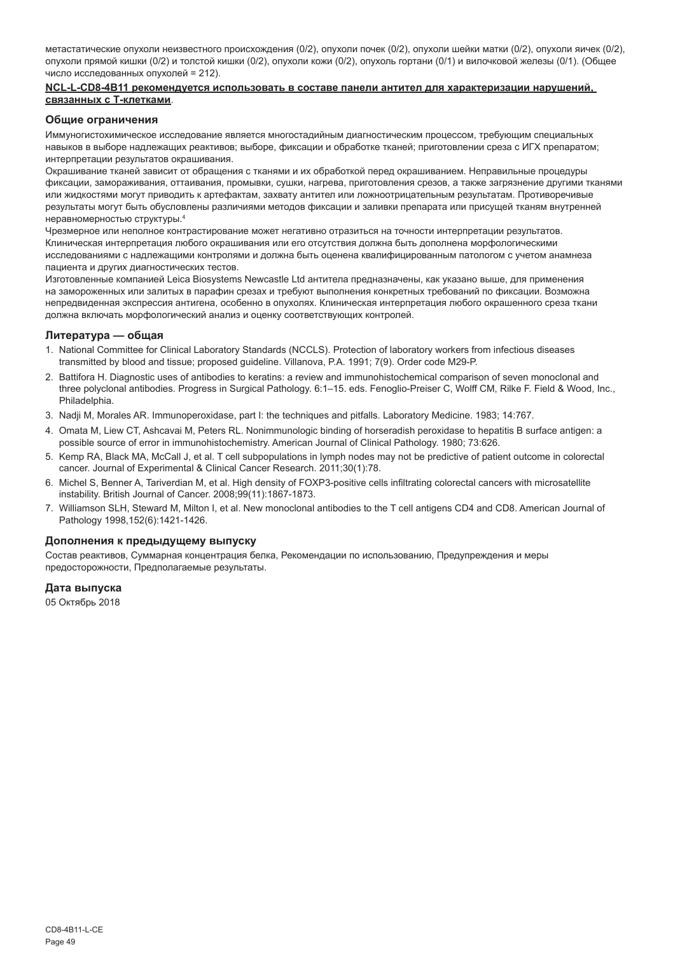метастатические опухоли неизвестного происхождения (0/2), опухоли почек (0/2), опухоли шейки матки (0/2), опухоли яичек (0/2), опухоли прямой кишки (0/2) и толстой кишки (0/2), опухоли кожи (0/2), опухоль гортани (0/1) и вилочковой железы (0/1). (Общее число исследованных опухолей = 212).

### **NCL-L-CD8-4B11 рекомендуется использовать в составе панели антител для характеризации нарушений, связанных с Т-клетками**.

#### **Общие ограничения**

Иммуногистохимическое исследование является многостадийным диагностическим процессом, требующим специальных навыков в выборе надлежащих реактивов; выборе, фиксации и обработке тканей; приготовлении среза с ИГХ препаратом; интерпретации результатов окрашивания.

Окрашивание тканей зависит от обращения с тканями и их обработкой перед окрашиванием. Неправильные процедуры фиксации, замораживания, оттаивания, промывки, сушки, нагрева, приготовления срезов, а также загрязнение другими тканями или жидкостями могут приводить к артефактам, захвату антител или ложноотрицательным результатам. Противоречивые результаты могут быть обусловлены различиями методов фиксации и заливки препарата или присущей тканям внутренней неравномерностью структуры.<sup>4</sup>

Чрезмерное или неполное контрастирование может негативно отразиться на точности интерпретации результатов. Клиническая интерпретация любого окрашивания или его отсутствия должна быть дополнена морфологическими исследованиями с надлежащими контролями и должна быть оценена квалифицированным патологом с учетом анамнеза пациента и других диагностических тестов.

Изготовленные компанией Leica Biosystems Newcastle Ltd антитела предназначены, как указано выше, для применения на замороженных или залитых в парафин срезах и требуют выполнения конкретных требований по фиксации. Возможна непредвиденная экспрессия антигена, особенно в опухолях. Клиническая интерпретация любого окрашенного среза ткани должна включать морфологический анализ и оценку соответствующих контролей.

# **Литература — общая**

- 1. National Committee for Clinical Laboratory Standards (NCCLS). Protection of laboratory workers from infectious diseases transmitted by blood and tissue; proposed guideline. Villanova, P.A. 1991; 7(9). Order code M29-P.
- 2. Battifora H. Diagnostic uses of antibodies to keratins: a review and immunohistochemical comparison of seven monoclonal and three polyclonal antibodies. Progress in Surgical Pathology. 6:1–15. eds. Fenoglio-Preiser C, Wolff CM, Rilke F. Field & Wood, Inc., Philadelphia.
- 3. Nadji M, Morales AR. Immunoperoxidase, part I: the techniques and pitfalls. Laboratory Medicine. 1983; 14:767.
- 4. Omata M, Liew CT, Ashcavai M, Peters RL. Nonimmunologic binding of horseradish peroxidase to hepatitis B surface antigen: a possible source of error in immunohistochemistry. American Journal of Clinical Pathology. 1980; 73:626.
- 5. Kemp RA, Black MA, McCall J, et al. T cell subpopulations in lymph nodes may not be predictive of patient outcome in colorectal cancer. Journal of Experimental & Clinical Cancer Research. 2011;30(1):78.
- 6. Michel S, Benner A, Tariverdian M, et al. High density of FOXP3-positive cells infiltrating colorectal cancers with microsatellite instability. British Journal of Cancer. 2008;99(11):1867-1873.
- 7. Williamson SLH, Steward M, Milton I, et al. New monoclonal antibodies to the T cell antigens CD4 and CD8. American Journal of Pathology 1998,152(6):1421-1426.

# **Дополнения к предыдущему выпуску**

Состав реактивов, Суммарная концентрация белка, Рекомендации по использованию, Предупреждения и меры предосторожности, Предполагаемые результаты.

# **Дата выпуска**

05 Октябрь 2018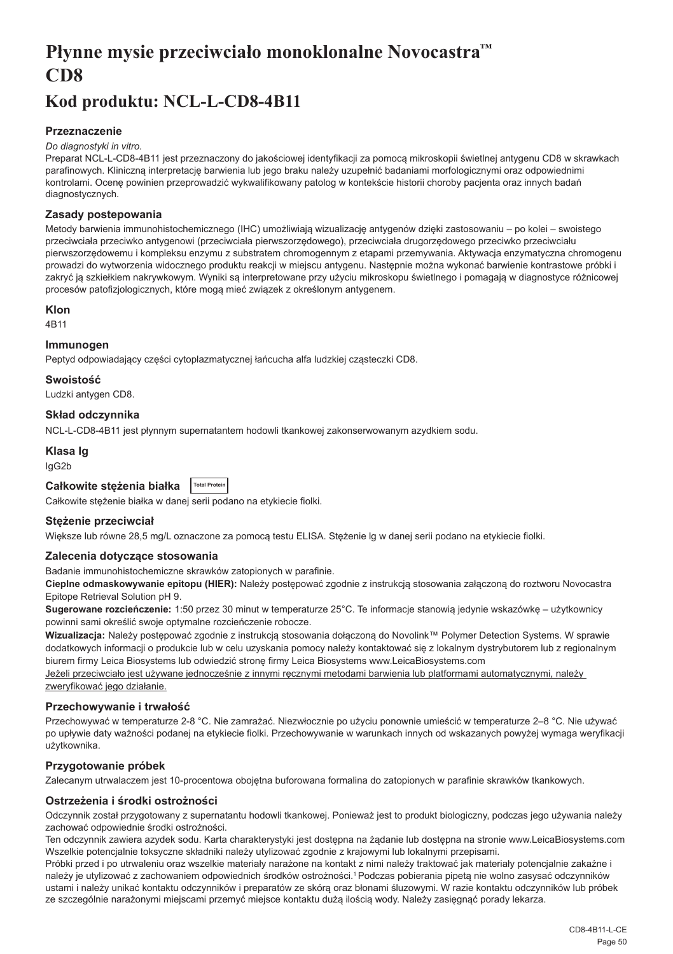# <span id="page-50-0"></span>**Płynne mysie przeciwciało monoklonalne Novocastra™ CD8**

# **Kod produktu: NCL-L-CD8-4B11**

# **Przeznaczenie**

#### *Do diagnostyki in vitro.*

Preparat NCL-L-CD8-4B11 jest przeznaczony do jakościowej identyfikacji za pomocą mikroskopii świetlnej antygenu CD8 w skrawkach parafinowych. Kliniczną interpretację barwienia lub jego braku należy uzupełnić badaniami morfologicznymi oraz odpowiednimi kontrolami. Ocenę powinien przeprowadzić wykwalifikowany patolog w kontekście historii choroby pacjenta oraz innych badań diagnostycznych.

# **Zasady postepowania**

Metody barwienia immunohistochemicznego (IHC) umożliwiają wizualizację antygenów dzięki zastosowaniu – po kolei – swoistego przeciwciała przeciwko antygenowi (przeciwciała pierwszorzędowego), przeciwciała drugorzędowego przeciwko przeciwciału pierwszorzędowemu i kompleksu enzymu z substratem chromogennym z etapami przemywania. Aktywacja enzymatyczna chromogenu prowadzi do wytworzenia widocznego produktu reakcji w miejscu antygenu. Następnie można wykonać barwienie kontrastowe próbki i zakryć ją szkiełkiem nakrywkowym. Wyniki są interpretowane przy użyciu mikroskopu świetlnego i pomagają w diagnostyce różnicowej procesów patofizjologicznych, które mogą mieć związek z określonym antygenem.

# **Klon**

4B11

# **Immunogen**

Peptyd odpowiadający części cytoplazmatycznej łańcucha alfa ludzkiej cząsteczki CD8.

**Swoistość**

Ludzki antygen CD8.

# **Skład odczynnika**

NCL-L-CD8-4B11 jest płynnym supernatantem hodowli tkankowej zakonserwowanym azydkiem sodu.

# **Klasa Ig**

IgG2b

| Całkowite stężenia białka | <b>Total Protein</b> |
|---------------------------|----------------------|
|                           |                      |

Całkowite stężenie białka w danej serii podano na etykiecie fiolki.

# **Stężenie przeciwciał**

Większe lub równe 28,5 mg/L oznaczone za pomocą testu ELISA. Stężenie lg w danej serii podano na etykiecie fiolki.

# **Zalecenia dotyczące stosowania**

Badanie immunohistochemiczne skrawków zatopionych w parafinie.

**Cieplne odmaskowywanie epitopu (HIER):** Należy postępować zgodnie z instrukcją stosowania załączoną do roztworu Novocastra Epitope Retrieval Solution pH 9.

**Sugerowane rozcieńczenie:** 1:50 przez 30 minut w temperaturze 25°C. Te informacje stanowią jedynie wskazówkę – użytkownicy powinni sami określić swoje optymalne rozcieńczenie robocze.

**Wizualizacja:** Należy postępować zgodnie z instrukcją stosowania dołączoną do Novolink™ Polymer Detection Systems. W sprawie dodatkowych informacji o produkcie lub w celu uzyskania pomocy należy kontaktować się z lokalnym dystrybutorem lub z regionalnym biurem firmy Leica Biosystems lub odwiedzić stronę firmy Leica Biosystems www.LeicaBiosystems.com Jeżeli przeciwciało jest używane jednocześnie z innymi ręcznymi metodami barwienia lub platformami automatycznymi, należy

zweryfikować jego działanie.

# **Przechowywanie i trwałość**

Przechowywać w temperaturze 2-8 °C. Nie zamrażać. Niezwłocznie po użyciu ponownie umieścić w temperaturze 2–8 °C. Nie używać po upływie daty ważności podanej na etykiecie fiolki. Przechowywanie w warunkach innych od wskazanych powyżej wymaga weryfikacji użytkownika.

# **Przygotowanie próbek**

Zalecanym utrwalaczem jest 10-procentowa obojętna buforowana formalina do zatopionych w parafinie skrawków tkankowych.

# **Ostrzeżenia i środki ostrożności**

Odczynnik został przygotowany z supernatantu hodowli tkankowej. Ponieważ jest to produkt biologiczny, podczas jego używania należy zachować odpowiednie środki ostrożności.

Ten odczynnik zawiera azydek sodu. Karta charakterystyki jest dostępna na żądanie lub dostępna na stronie www.LeicaBiosystems.com Wszelkie potencjalnie toksyczne składniki należy utylizować zgodnie z krajowymi lub lokalnymi przepisami.

Próbki przed i po utrwaleniu oraz wszelkie materiały narażone na kontakt z nimi należy traktować jak materiały potencjalnie zakaźne i należy je utylizować z zachowaniem odpowiednich środków ostrożności.<sup>1</sup>Podczas pobierania pipetą nie wolno zasysać odczynników ustami i należy unikać kontaktu odczynników i preparatów ze skórą oraz błonami śluzowymi. W razie kontaktu odczynników lub próbek ze szczególnie narażonymi miejscami przemyć miejsce kontaktu dużą ilością wody. Należy zasięgnąć porady lekarza.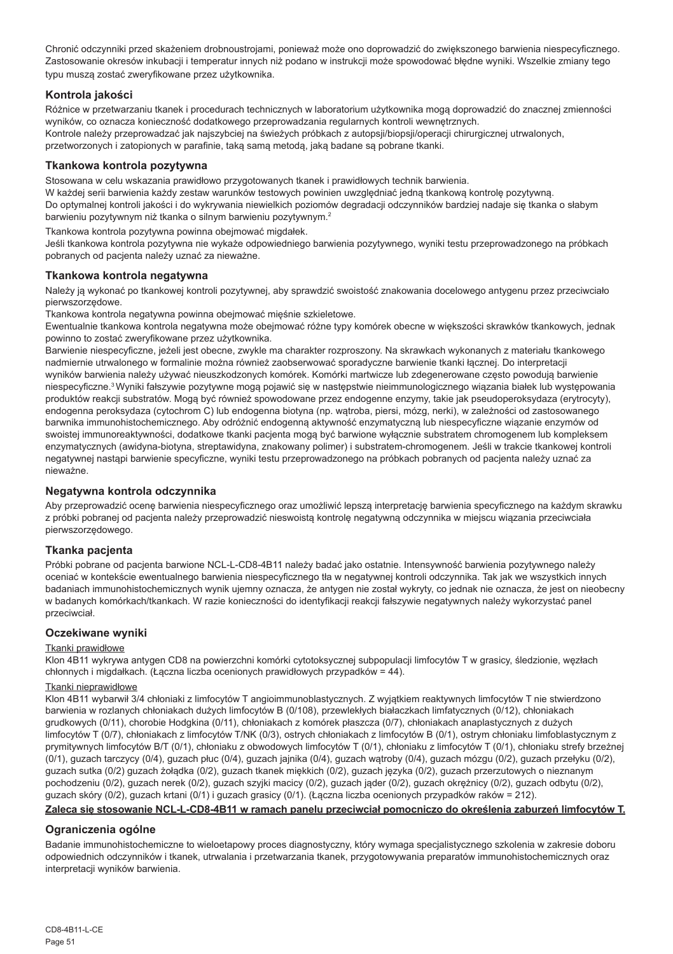Chronić odczynniki przed skażeniem drobnoustrojami, ponieważ może ono doprowadzić do zwiększonego barwienia niespecyficznego. Zastosowanie okresów inkubacji i temperatur innych niż podano w instrukcji może spowodować błędne wyniki. Wszelkie zmiany tego typu muszą zostać zweryfikowane przez użytkownika.

# **Kontrola jakości**

Różnice w przetwarzaniu tkanek i procedurach technicznych w laboratorium użytkownika mogą doprowadzić do znacznej zmienności wyników, co oznacza konieczność dodatkowego przeprowadzania regularnych kontroli wewnętrznych. Kontrole należy przeprowadzać jak najszybciej na świeżych próbkach z autopsji/biopsji/operacji chirurgicznej utrwalonych, przetworzonych i zatopionych w parafinie, taką samą metodą, jaką badane są pobrane tkanki.

## **Tkankowa kontrola pozytywna**

Stosowana w celu wskazania prawidłowo przygotowanych tkanek i prawidłowych technik barwienia.

W każdej serii barwienia każdy zestaw warunków testowych powinien uwzględniać jedną tkankową kontrolę pozytywną. Do optymalnej kontroli jakości i do wykrywania niewielkich poziomów degradacji odczynników bardziej nadaje się tkanka o słabym barwieniu pozytywnym niż tkanka o silnym barwieniu pozytywnym.<sup>2</sup>

Tkankowa kontrola pozytywna powinna obejmować migdałek.

Jeśli tkankowa kontrola pozytywna nie wykaże odpowiedniego barwienia pozytywnego, wyniki testu przeprowadzonego na próbkach pobranych od pacjenta należy uznać za nieważne.

#### **Tkankowa kontrola negatywna**

Należy ją wykonać po tkankowej kontroli pozytywnej, aby sprawdzić swoistość znakowania docelowego antygenu przez przeciwciało pierwszorzędowe.

Tkankowa kontrola negatywna powinna obejmować mięśnie szkieletowe.

Ewentualnie tkankowa kontrola negatywna może obejmować różne typy komórek obecne w większości skrawków tkankowych, jednak powinno to zostać zweryfikowane przez użytkownika.

Barwienie niespecyficzne, jeżeli jest obecne, zwykle ma charakter rozproszony. Na skrawkach wykonanych z materiału tkankowego nadmiernie utrwalonego w formalinie można również zaobserwować sporadyczne barwienie tkanki łącznej. Do interpretacji wyników barwienia należy używać nieuszkodzonych komórek. Komórki martwicze lub zdegenerowane często powodują barwienie niespecyficzne.3 Wyniki fałszywie pozytywne mogą pojawić się w następstwie nieimmunologicznego wiązania białek lub występowania produktów reakcji substratów. Mogą być również spowodowane przez endogenne enzymy, takie jak pseudoperoksydaza (erytrocyty), endogenna peroksydaza (cytochrom C) lub endogenna biotyna (np. wątroba, piersi, mózg, nerki), w zależności od zastosowanego barwnika immunohistochemicznego. Aby odróżnić endogenną aktywność enzymatyczną lub niespecyficzne wiązanie enzymów od swoistej immunoreaktywności, dodatkowe tkanki pacjenta mogą być barwione wyłącznie substratem chromogenem lub kompleksem enzymatycznych (awidyna-biotyna, streptawidyna, znakowany polimer) i substratem-chromogenem. Jeśli w trakcie tkankowej kontroli negatywnej nastąpi barwienie specyficzne, wyniki testu przeprowadzonego na próbkach pobranych od pacjenta należy uznać za nieważne.

# **Negatywna kontrola odczynnika**

Aby przeprowadzić ocenę barwienia niespecyficznego oraz umożliwić lepszą interpretację barwienia specyficznego na każdym skrawku z próbki pobranej od pacjenta należy przeprowadzić nieswoistą kontrolę negatywną odczynnika w miejscu wiązania przeciwciała pierwszorzędowego.

#### **Tkanka pacjenta**

Próbki pobrane od pacjenta barwione NCL-L-CD8-4B11 należy badać jako ostatnie. Intensywność barwienia pozytywnego należy oceniać w kontekście ewentualnego barwienia niespecyficznego tła w negatywnej kontroli odczynnika. Tak jak we wszystkich innych badaniach immunohistochemicznych wynik ujemny oznacza, że antygen nie został wykryty, co jednak nie oznacza, że jest on nieobecny w badanych komórkach/tkankach. W razie konieczności do identyfikacji reakcji fałszywie negatywnych należy wykorzystać panel przeciwciał.

### **Oczekiwane wyniki**

### Tkanki prawidłowe

Klon 4B11 wykrywa antygen CD8 na powierzchni komórki cytotoksycznej subpopulacji limfocytów T w grasicy, śledzionie, węzłach chłonnych i migdałkach. (Łączna liczba ocenionych prawidłowych przypadków = 44).

#### Tkanki nieprawidłowe

Klon 4B11 wybarwił 3/4 chłoniaki z limfocytów T angioimmunoblastycznych. Z wyjątkiem reaktywnych limfocytów T nie stwierdzono barwienia w rozlanych chłoniakach dużych limfocytów B (0/108), przewlekłych białaczkach limfatycznych (0/12), chłoniakach grudkowych (0/11), chorobie Hodgkina (0/11), chłoniakach z komórek płaszcza (0/7), chłoniakach anaplastycznych z dużych limfocytów T (0/7), chłoniakach z limfocytów T/NK (0/3), ostrych chłoniakach z limfocytów B (0/1), ostrym chłoniaku limfoblastycznym z prymitywnych limfocytów B/T (0/1), chłoniaku z obwodowych limfocytów T (0/1), chłoniaku z limfocytów T (0/1), chłoniaku strefy brzeżnej (0/1), guzach tarczycy (0/4), guzach płuc (0/4), guzach jajnika (0/4), guzach wątroby (0/4), guzach mózgu (0/2), guzach przełyku (0/2), guzach sutka (0/2) guzach żołądka (0/2), guzach tkanek miękkich (0/2), guzach języka (0/2), guzach przerzutowych o nieznanym pochodzeniu (0/2), guzach nerek (0/2), guzach szyjki macicy (0/2), guzach jąder (0/2), guzach okrężnicy (0/2), guzach odbytu (0/2), guzach skóry (0/2), guzach krtani (0/1) i guzach grasicy (0/1). (Łączna liczba ocenionych przypadków raków = 212).

#### **Zaleca się stosowanie NCL-L-CD8-4B11 w ramach panelu przeciwciał pomocniczo do określenia zaburzeń limfocytów T.**

# **Ograniczenia ogólne**

Badanie immunohistochemiczne to wieloetapowy proces diagnostyczny, który wymaga specjalistycznego szkolenia w zakresie doboru odpowiednich odczynników i tkanek, utrwalania i przetwarzania tkanek, przygotowywania preparatów immunohistochemicznych oraz interpretacji wyników barwienia.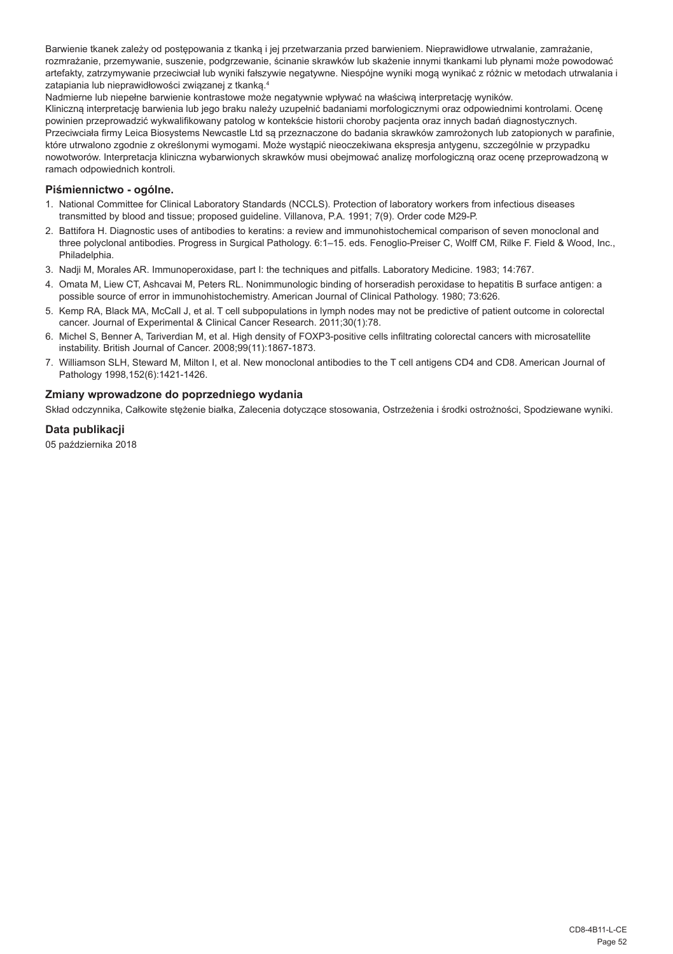Barwienie tkanek zależy od postępowania z tkanką i jej przetwarzania przed barwieniem. Nieprawidłowe utrwalanie, zamrażanie, rozmrażanie, przemywanie, suszenie, podgrzewanie, ścinanie skrawków lub skażenie innymi tkankami lub płynami może powodować artefakty, zatrzymywanie przeciwciał lub wyniki fałszywie negatywne. Niespójne wyniki mogą wynikać z różnic w metodach utrwalania i zatapiania lub nieprawidłowości związanej z tkanką.<sup>4</sup>

Nadmierne lub niepełne barwienie kontrastowe może negatywnie wpływać na właściwą interpretację wyników. Kliniczną interpretację barwienia lub jego braku należy uzupełnić badaniami morfologicznymi oraz odpowiednimi kontrolami. Ocenę powinien przeprowadzić wykwalifikowany patolog w kontekście historii choroby pacjenta oraz innych badań diagnostycznych. Przeciwciała firmy Leica Biosystems Newcastle Ltd są przeznaczone do badania skrawków zamrożonych lub zatopionych w parafinie, które utrwalono zgodnie z określonymi wymogami. Może wystąpić nieoczekiwana ekspresja antygenu, szczególnie w przypadku nowotworów. Interpretacja kliniczna wybarwionych skrawków musi obejmować analizę morfologiczną oraz ocenę przeprowadzoną w ramach odpowiednich kontroli.

# **Piśmiennictwo - ogólne.**

- 1. National Committee for Clinical Laboratory Standards (NCCLS). Protection of laboratory workers from infectious diseases transmitted by blood and tissue; proposed guideline. Villanova, P.A. 1991; 7(9). Order code M29-P.
- 2. Battifora H. Diagnostic uses of antibodies to keratins: a review and immunohistochemical comparison of seven monoclonal and three polyclonal antibodies. Progress in Surgical Pathology. 6:1–15. eds. Fenoglio-Preiser C, Wolff CM, Rilke F. Field & Wood, Inc., Philadelphia.
- 3. Nadji M, Morales AR. Immunoperoxidase, part I: the techniques and pitfalls. Laboratory Medicine. 1983; 14:767.
- 4. Omata M, Liew CT, Ashcavai M, Peters RL. Nonimmunologic binding of horseradish peroxidase to hepatitis B surface antigen: a possible source of error in immunohistochemistry. American Journal of Clinical Pathology. 1980; 73:626.
- 5. Kemp RA, Black MA, McCall J, et al. T cell subpopulations in lymph nodes may not be predictive of patient outcome in colorectal cancer. Journal of Experimental & Clinical Cancer Research. 2011;30(1):78.
- 6. Michel S, Benner A, Tariverdian M, et al. High density of FOXP3-positive cells infiltrating colorectal cancers with microsatellite instability. British Journal of Cancer. 2008;99(11):1867-1873.
- 7. Williamson SLH, Steward M, Milton I, et al. New monoclonal antibodies to the T cell antigens CD4 and CD8. American Journal of Pathology 1998,152(6):1421-1426.

# **Zmiany wprowadzone do poprzedniego wydania**

Skład odczynnika, Całkowite stężenie białka, Zalecenia dotyczące stosowania, Ostrzeżenia i środki ostrożności, Spodziewane wyniki.

# **Data publikacji**

05 października 2018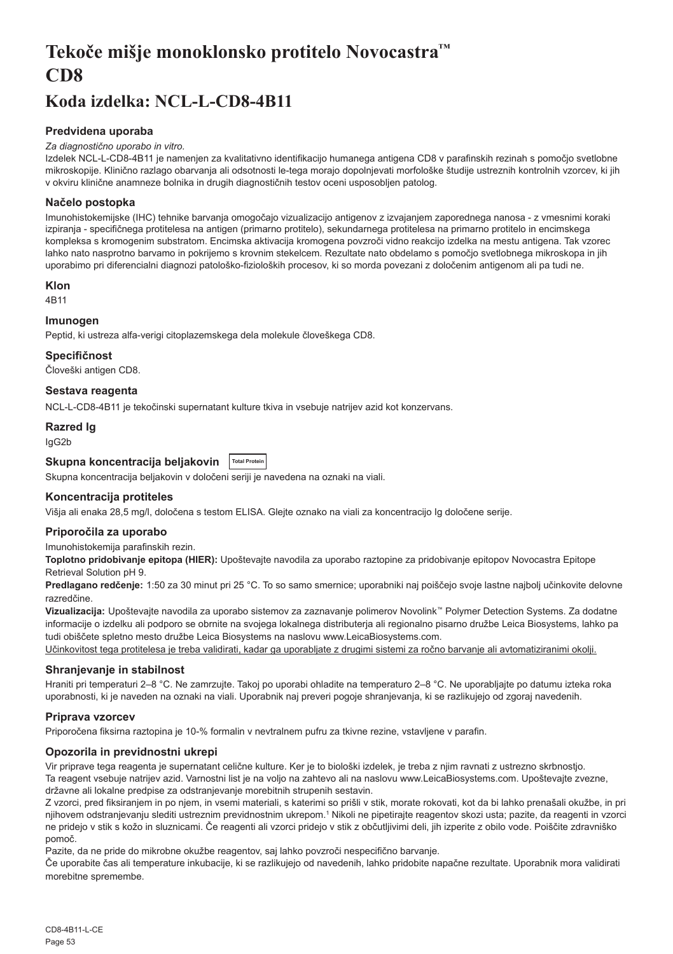# <span id="page-53-0"></span>**Tekoče mišje monoklonsko protitelo Novocastra™ CD8**

# **Koda izdelka: NCL-L-CD8-4B11**

# **Predvidena uporaba**

#### *Za diagnostično uporabo in vitro.*

Izdelek NCL-L-CD8-4B11 je namenjen za kvalitativno identifikacijo humanega antigena CD8 v parafinskih rezinah s pomočjo svetlobne mikroskopije. Klinično razlago obarvanja ali odsotnosti le-tega morajo dopolnjevati morfološke študije ustreznih kontrolnih vzorcev, ki jih v okviru klinične anamneze bolnika in drugih diagnostičnih testov oceni usposobljen patolog.

# **Načelo postopka**

Imunohistokemijske (IHC) tehnike barvanja omogočajo vizualizacijo antigenov z izvajanjem zaporednega nanosa - z vmesnimi koraki izpiranja - specifičnega protitelesa na antigen (primarno protitelo), sekundarnega protitelesa na primarno protitelo in encimskega kompleksa s kromogenim substratom. Encimska aktivacija kromogena povzroči vidno reakcijo izdelka na mestu antigena. Tak vzorec lahko nato nasprotno barvamo in pokrijemo s krovnim stekelcem. Rezultate nato obdelamo s pomočjo svetlobnega mikroskopa in jih uporabimo pri diferencialni diagnozi patološko-fizioloških procesov, ki so morda povezani z določenim antigenom ali pa tudi ne.

# **Klon**

4B11

# **Imunogen**

Peptid, ki ustreza alfa-verigi citoplazemskega dela molekule človeškega CD8.

### **Specifičnost**

Človeški antigen CD8.

# **Sestava reagenta**

NCL-L-CD8-4B11 je tekočinski supernatant kulture tkiva in vsebuje natrijev azid kot konzervans.

# **Razred Ig**

IgG2b

# **Skupna koncentracija beljakovin Total Protein**

Skupna koncentracija beljakovin v določeni seriji je navedena na oznaki na viali.

# **Koncentracija protiteles**

Višja ali enaka 28,5 mg/l, določena s testom ELISA. Glejte oznako na viali za koncentracijo Ig določene serije.

#### **Priporočila za uporabo**

Imunohistokemija parafinskih rezin.

**Toplotno pridobivanje epitopa (HIER):** Upoštevajte navodila za uporabo raztopine za pridobivanje epitopov Novocastra Epitope Retrieval Solution pH 9.

**Predlagano redčenje:** 1:50 za 30 minut pri 25 °C. To so samo smernice; uporabniki naj poiščejo svoje lastne najbolj učinkovite delovne razredčine.

**Vizualizacija:** Upoštevajte navodila za uporabo sistemov za zaznavanje polimerov Novolink™ Polymer Detection Systems. Za dodatne informacije o izdelku ali podporo se obrnite na svojega lokalnega distributerja ali regionalno pisarno družbe Leica Biosystems, lahko pa tudi obiščete spletno mesto družbe Leica Biosystems na naslovu www.LeicaBiosystems.com.

Učinkovitost tega protitelesa je treba validirati, kadar ga uporabljate z drugimi sistemi za ročno barvanje ali avtomatiziranimi okolji.

# **Shranjevanje in stabilnost**

Hraniti pri temperaturi 2–8 °C. Ne zamrzujte. Takoj po uporabi ohladite na temperaturo 2–8 °C. Ne uporabljajte po datumu izteka roka uporabnosti, ki je naveden na oznaki na viali. Uporabnik naj preveri pogoje shranjevanja, ki se razlikujejo od zgoraj navedenih.

# **Priprava vzorcev**

Priporočena fiksirna raztopina je 10-% formalin v nevtralnem pufru za tkivne rezine, vstavljene v parafin.

# **Opozorila in previdnostni ukrepi**

Vir priprave tega reagenta je supernatant celične kulture. Ker je to biološki izdelek, je treba z njim ravnati z ustrezno skrbnostjo. Ta reagent vsebuje natrijev azid. Varnostni list je na voljo na zahtevo ali na naslovu www.LeicaBiosystems.com. Upoštevajte zvezne, državne ali lokalne predpise za odstranjevanje morebitnih strupenih sestavin.

Z vzorci, pred fiksiranjem in po njem, in vsemi materiali, s katerimi so prišli v stik, morate rokovati, kot da bi lahko prenašali okužbe, in pri njihovem odstranjevanju slediti ustreznim previdnostnim ukrepom.<sup>1</sup> Nikoli ne pipetirajte reagentov skozi usta; pazite, da reagenti in vzorci ne pridejo v stik s kožo in sluznicami. Če reagenti ali vzorci pridejo v stik z občutljivimi deli, jih izperite z obilo vode. Poiščite zdravniško pomoč.

Pazite, da ne pride do mikrobne okužbe reagentov, saj lahko povzroči nespecifično barvanje.

Če uporabite čas ali temperature inkubacije, ki se razlikujejo od navedenih, lahko pridobite napačne rezultate. Uporabnik mora validirati morebitne spremembe.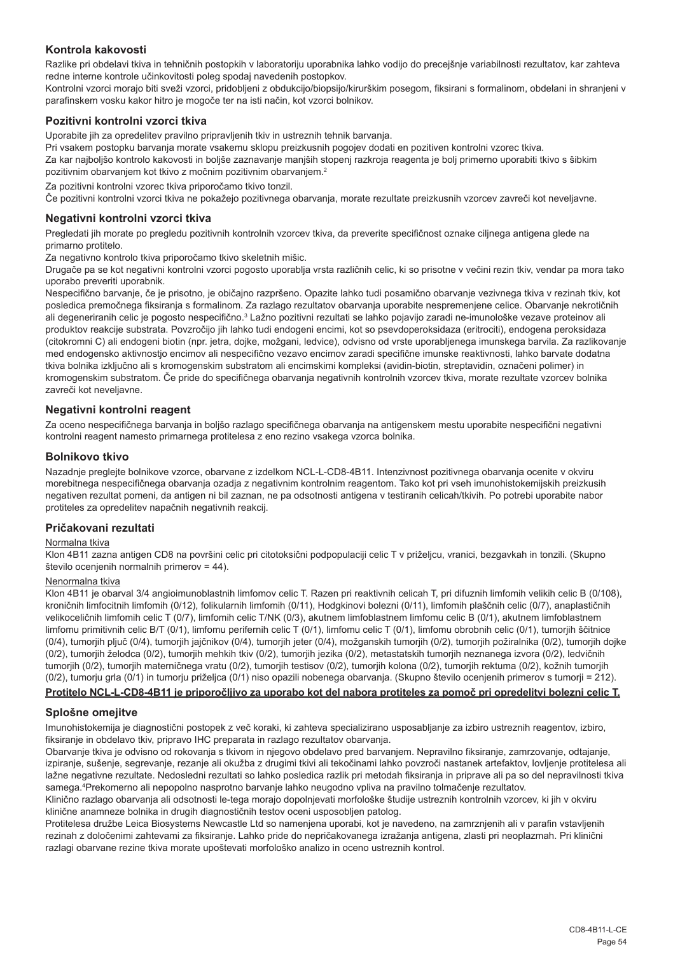# **Kontrola kakovosti**

Razlike pri obdelavi tkiva in tehničnih postopkih v laboratoriju uporabnika lahko vodijo do precejšnje variabilnosti rezultatov, kar zahteva redne interne kontrole učinkovitosti poleg spodaj navedenih postopkov.

Kontrolni vzorci morajo biti sveži vzorci, pridobljeni z obdukcijo/biopsijo/kirurškim posegom, fiksirani s formalinom, obdelani in shranjeni v parafinskem vosku kakor hitro je mogoče ter na isti način, kot vzorci bolnikov.

## **Pozitivni kontrolni vzorci tkiva**

Uporabite jih za opredelitev pravilno pripravljenih tkiv in ustreznih tehnik barvanja.

Pri vsakem postopku barvanja morate vsakemu sklopu preizkusnih pogojev dodati en pozitiven kontrolni vzorec tkiva. Za kar najboljšo kontrolo kakovosti in boljše zaznavanje manjših stopenj razkroja reagenta je bolj primerno uporabiti tkivo s šibkim pozitivnim obarvanjem kot tkivo z močnim pozitivnim obarvanjem.<sup>2</sup>

Za pozitivni kontrolni vzorec tkiva priporočamo tkivo tonzil.

Če pozitivni kontrolni vzorci tkiva ne pokažejo pozitivnega obarvanja, morate rezultate preizkusnih vzorcev zavreči kot neveljavne.

### **Negativni kontrolni vzorci tkiva**

Pregledati jih morate po pregledu pozitivnih kontrolnih vzorcev tkiva, da preverite specifičnost oznake ciljnega antigena glede na primarno protitelo.

Za negativno kontrolo tkiva priporočamo tkivo skeletnih mišic.

Drugače pa se kot negativni kontrolni vzorci pogosto uporablja vrsta različnih celic, ki so prisotne v večini rezin tkiv, vendar pa mora tako uporabo preveriti uporabnik.

Nespecifično barvanje, če je prisotno, je običajno razpršeno. Opazite lahko tudi posamično obarvanje vezivnega tkiva v rezinah tkiv, kot posledica premočnega fiksiranja s formalinom. Za razlago rezultatov obarvanja uporabite nespremenjene celice. Obarvanje nekrotičnih ali degeneriranih celic je pogosto nespecifično.<sup>3</sup> Lažno pozitivni rezultati se lahko pojavijo zaradi ne-imunološke vezave proteinov ali produktov reakcije substrata. Povzročijo jih lahko tudi endogeni encimi, kot so psevdoperoksidaza (eritrociti), endogena peroksidaza (citokromni C) ali endogeni biotin (npr. jetra, dojke, možgani, ledvice), odvisno od vrste uporabljenega imunskega barvila. Za razlikovanje med endogensko aktivnostjo encimov ali nespecifično vezavo encimov zaradi specifične imunske reaktivnosti, lahko barvate dodatna tkiva bolnika izključno ali s kromogenskim substratom ali encimskimi kompleksi (avidin-biotin, streptavidin, označeni polimer) in kromogenskim substratom. Če pride do specifičnega obarvanja negativnih kontrolnih vzorcev tkiva, morate rezultate vzorcev bolnika zavreči kot neveljavne.

### **Negativni kontrolni reagent**

Za oceno nespecifičnega barvanja in boljšo razlago specifičnega obarvanja na antigenskem mestu uporabite nespecifični negativni kontrolni reagent namesto primarnega protitelesa z eno rezino vsakega vzorca bolnika.

### **Bolnikovo tkivo**

Nazadnje preglejte bolnikove vzorce, obarvane z izdelkom NCL-L-CD8-4B11. Intenzivnost pozitivnega obarvanja ocenite v okviru morebitnega nespecifičnega obarvanja ozadja z negativnim kontrolnim reagentom. Tako kot pri vseh imunohistokemijskih preizkusih negativen rezultat pomeni, da antigen ni bil zaznan, ne pa odsotnosti antigena v testiranih celicah/tkivih. Po potrebi uporabite nabor protiteles za opredelitev napačnih negativnih reakcij.

#### **Pričakovani rezultati**

#### Normalna tkiva

Klon 4B11 zazna antigen CD8 na površini celic pri citotoksični podpopulaciji celic T v priželjcu, vranici, bezgavkah in tonzili. (Skupno število ocenjenih normalnih primerov = 44).

#### Nenormalna tkiva

Klon 4B11 je obarval 3/4 angioimunoblastnih limfomov celic T. Razen pri reaktivnih celicah T, pri difuznih limfomih velikih celic B (0/108), kroničnih limfocitnih limfomih (0/12), folikularnih limfomih (0/11), Hodgkinovi bolezni (0/11), limfomih plaščnih celic (0/7), anaplastičnih velikoceličnih limfomih celic T (0/7), limfomih celic T/NK (0/3), akutnem limfoblastnem limfomu celic B (0/1), akutnem limfoblastnem limfomu primitivnih celic B/T (0/1), limfomu perifernih celic T (0/1), limfomu celic T (0/1), limfomu obrobnih celic (0/1), tumorjih ščitnice (0/4), tumorjih pljuč (0/4), tumorjih jajčnikov (0/4), tumorjih jeter (0/4), možganskih tumorjih (0/2), tumorjih požiralnika (0/2), tumorjih dojke (0/2), tumorjih želodca (0/2), tumorjih mehkih tkiv (0/2), tumorjih jezika (0/2), metastatskih tumorjih neznanega izvora (0/2), ledvičnih tumorjih (0/2), tumorjih materničnega vratu (0/2), tumorjih testisov (0/2), tumorjih kolona (0/2), tumorjih rektuma (0/2), kožnih tumorjih (0/2), tumorju grla (0/1) in tumorju priželjca (0/1) niso opazili nobenega obarvanja. (Skupno število ocenjenih primerov s tumorji = 212).

# **Protitelo NCL-L-CD8-4B11 je priporočljivo za uporabo kot del nabora protiteles za pomoč pri opredelitvi bolezni celic T.**

#### **Splošne omejitve**

Imunohistokemija je diagnostični postopek z več koraki, ki zahteva specializirano usposabljanje za izbiro ustreznih reagentov, izbiro, fiksiranje in obdelavo tkiv, pripravo IHC preparata in razlago rezultatov obarvanja.

Obarvanje tkiva je odvisno od rokovanja s tkivom in njegovo obdelavo pred barvanjem. Nepravilno fiksiranje, zamrzovanje, odtajanje, izpiranje, sušenje, segrevanje, rezanje ali okužba z drugimi tkivi ali tekočinami lahko povzroči nastanek artefaktov, lovljenje protitelesa ali lažne negativne rezultate. Nedosledni rezultati so lahko posledica razlik pri metodah fiksiranja in priprave ali pa so del nepravilnosti tkiva samega.<sup>4</sup> Prekomerno ali nepopolno nasprotno barvanje lahko neugodno vpliva na pravilno tolmačenje rezultatov.

Klinično razlago obarvanja ali odsotnosti le-tega morajo dopolnjevati morfološke študije ustreznih kontrolnih vzorcev, ki jih v okviru klinične anamneze bolnika in drugih diagnostičnih testov oceni usposobljen patolog.

Protitelesa družbe Leica Biosystems Newcastle Ltd so namenjena uporabi, kot je navedeno, na zamrznjenih ali v parafin vstavljenih rezinah z določenimi zahtevami za fiksiranje. Lahko pride do nepričakovanega izražanja antigena, zlasti pri neoplazmah. Pri klinični razlagi obarvane rezine tkiva morate upoštevati morfološko analizo in oceno ustreznih kontrol.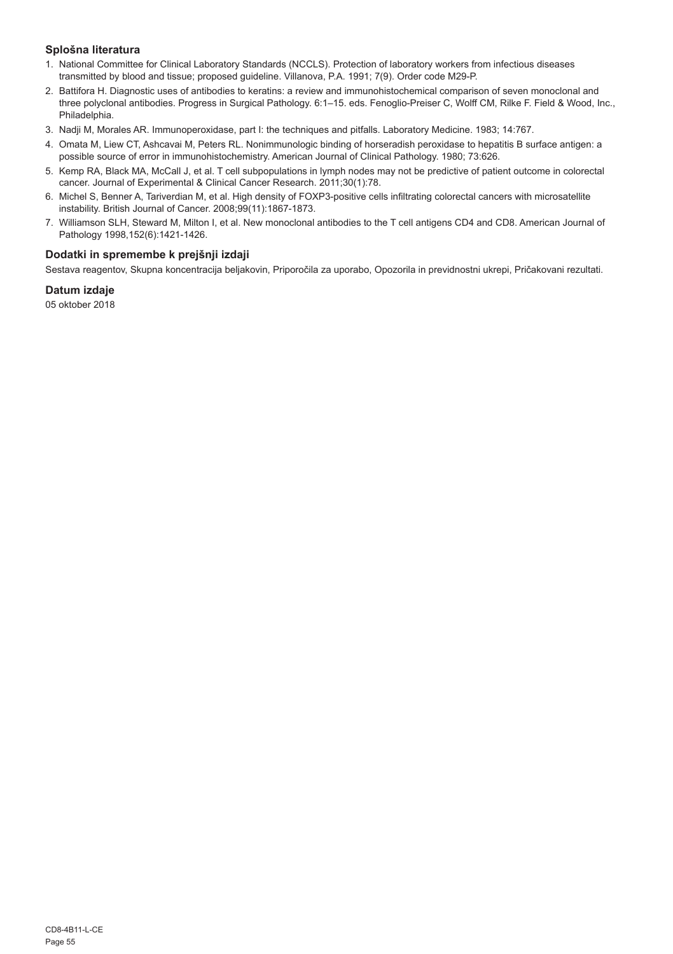# **Splošna literatura**

- 1. National Committee for Clinical Laboratory Standards (NCCLS). Protection of laboratory workers from infectious diseases transmitted by blood and tissue; proposed guideline. Villanova, P.A. 1991; 7(9). Order code M29-P.
- 2. Battifora H. Diagnostic uses of antibodies to keratins: a review and immunohistochemical comparison of seven monoclonal and three polyclonal antibodies. Progress in Surgical Pathology. 6:1–15. eds. Fenoglio-Preiser C, Wolff CM, Rilke F. Field & Wood, Inc., Philadelphia.
- 3. Nadji M, Morales AR. Immunoperoxidase, part I: the techniques and pitfalls. Laboratory Medicine. 1983; 14:767.
- 4. Omata M, Liew CT, Ashcavai M, Peters RL. Nonimmunologic binding of horseradish peroxidase to hepatitis B surface antigen: a possible source of error in immunohistochemistry. American Journal of Clinical Pathology. 1980; 73:626.
- 5. Kemp RA, Black MA, McCall J, et al. T cell subpopulations in lymph nodes may not be predictive of patient outcome in colorectal cancer. Journal of Experimental & Clinical Cancer Research. 2011;30(1):78.
- 6. Michel S, Benner A, Tariverdian M, et al. High density of FOXP3-positive cells infiltrating colorectal cancers with microsatellite instability. British Journal of Cancer. 2008;99(11):1867-1873.
- 7. Williamson SLH, Steward M, Milton I, et al. New monoclonal antibodies to the T cell antigens CD4 and CD8. American Journal of Pathology 1998,152(6):1421-1426.

# **Dodatki in spremembe k prejšnji izdaji**

Sestava reagentov, Skupna koncentracija beljakovin, Priporočila za uporabo, Opozorila in previdnostni ukrepi, Pričakovani rezultati.

# **Datum izdaje**

05 oktober 2018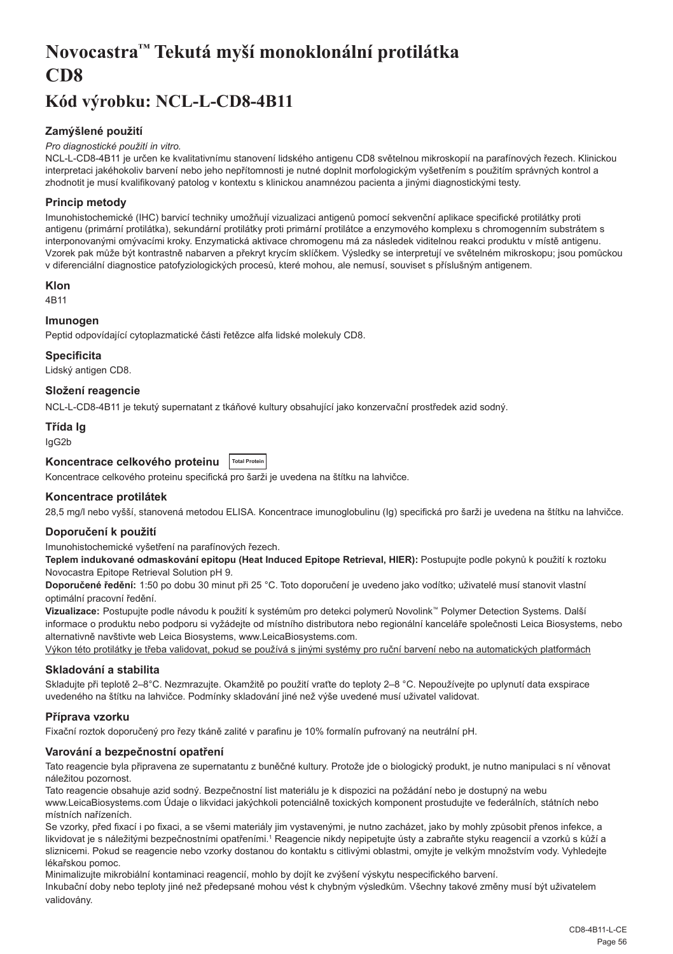# <span id="page-56-0"></span>**Novocastra™ Tekutá myší monoklonální protilátka CD8**

# **Kód výrobku: NCL-L-CD8-4B11**

# **Zamýšlené použití**

### *Pro diagnostické použití in vitro.*

NCL-L-CD8-4B11 je určen ke kvalitativnímu stanovení lidského antigenu CD8 světelnou mikroskopií na parafínových řezech. Klinickou interpretaci jakéhokoliv barvení nebo jeho nepřítomnosti je nutné doplnit morfologickým vyšetřením s použitím správných kontrol a zhodnotit je musí kvalifikovaný patolog v kontextu s klinickou anamnézou pacienta a jinými diagnostickými testy.

# **Princip metody**

Imunohistochemické (IHC) barvicí techniky umožňují vizualizaci antigenů pomocí sekvenční aplikace specifické protilátky proti antigenu (primární protilátka), sekundární protilátky proti primární protilátce a enzymového komplexu s chromogenním substrátem s interponovanými omývacími kroky. Enzymatická aktivace chromogenu má za následek viditelnou reakci produktu v místě antigenu. Vzorek pak může být kontrastně nabarven a překryt krycím sklíčkem. Výsledky se interpretují ve světelném mikroskopu; jsou pomůckou v diferenciální diagnostice patofyziologických procesů, které mohou, ale nemusí, souviset s příslušným antigenem.

# **Klon**

4B11

# **Imunogen**

Peptid odpovídající cytoplazmatické části řetězce alfa lidské molekuly CD8.

### **Specificita**

Lidský antigen CD8. **Složení reagencie**

NCL-L-CD8-4B11 je tekutý supernatant z tkáňové kultury obsahující jako konzervační prostředek azid sodný.

# **Třída Ig**

IgG2b

| Koncentrace celkového proteinu  Total Protein |  |  |
|-----------------------------------------------|--|--|
|                                               |  |  |

Koncentrace celkového proteinu specifická pro šarži je uvedena na štítku na lahvičce.

# **Koncentrace protilátek**

28,5 mg/l nebo vyšší, stanovená metodou ELISA. Koncentrace imunoglobulinu (Ig) specifická pro šarži je uvedena na štítku na lahvičce.

# **Doporučení k použití**

Imunohistochemické vyšetření na parafínových řezech.

**Teplem indukované odmaskování epitopu (Heat Induced Epitope Retrieval, HIER):** Postupujte podle pokynů k použití k roztoku Novocastra Epitope Retrieval Solution pH 9.

**Doporučené ředění:** 1:50 po dobu 30 minut při 25 °C. Toto doporučení je uvedeno jako vodítko; uživatelé musí stanovit vlastní optimální pracovní ředění.

**Vizualizace:** Postupujte podle návodu k použití k systémům pro detekci polymerů Novolink™ Polymer Detection Systems. Další informace o produktu nebo podporu si vyžádejte od místního distributora nebo regionální kanceláře společnosti Leica Biosystems, nebo alternativně navštivte web Leica Biosystems, www.LeicaBiosystems.com.

Výkon této protilátky je třeba validovat, pokud se používá s jinými systémy pro ruční barvení nebo na automatických platformách

# **Skladování a stabilita**

Skladujte při teplotě 2–8°C. Nezmrazujte. Okamžitě po použití vraťte do teploty 2–8 °C. Nepoužívejte po uplynutí data exspirace uvedeného na štítku na lahvičce. Podmínky skladování jiné než výše uvedené musí uživatel validovat.

# **Příprava vzorku**

Fixační roztok doporučený pro řezy tkáně zalité v parafinu je 10% formalín pufrovaný na neutrální pH.

#### **Varování a bezpečnostní opatření**

Tato reagencie byla připravena ze supernatantu z buněčné kultury. Protože jde o biologický produkt, je nutno manipulaci s ní věnovat náležitou pozornost.

Tato reagencie obsahuje azid sodný. Bezpečnostní list materiálu je k dispozici na požádání nebo je dostupný na webu www.LeicaBiosystems.com Údaje o likvidaci jakýchkoli potenciálně toxických komponent prostudujte ve federálních, státních nebo místních nařízeních.

Se vzorky, před fixací i po fixaci, a se všemi materiály jim vystavenými, je nutno zacházet, jako by mohly způsobit přenos infekce, a likvidovat je s náležitými bezpečnostními opatřeními.1 Reagencie nikdy nepipetujte ústy a zabraňte styku reagencií a vzorků s kůží a sliznicemi. Pokud se reagencie nebo vzorky dostanou do kontaktu s citlivými oblastmi, omyjte je velkým množstvím vody. Vyhledejte lékařskou pomoc.

Minimalizujte mikrobiální kontaminaci reagencií, mohlo by dojít ke zvýšení výskytu nespecifického barvení.

Inkubační doby nebo teploty jiné než předepsané mohou vést k chybným výsledkům. Všechny takové změny musí být uživatelem validovány.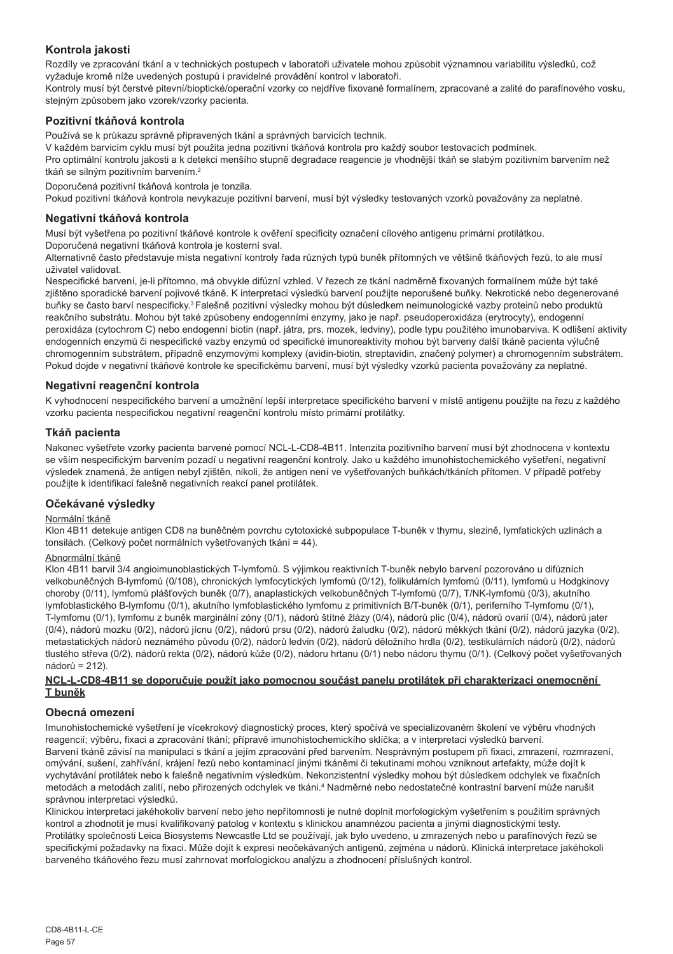# **Kontrola jakosti**

Rozdíly ve zpracování tkání a v technických postupech v laboratoři uživatele mohou způsobit významnou variabilitu výsledků, což vyžaduje kromě níže uvedených postupů i pravidelné provádění kontrol v laboratoři.

Kontroly musí být čerstvé pitevní/bioptické/operační vzorky co nejdříve fixované formalínem, zpracované a zalité do parafínového vosku, stejným způsobem jako vzorek/vzorky pacienta.

# **Pozitivní tkáňová kontrola**

Používá se k průkazu správně připravených tkání a správných barvicích technik.

V každém barvicím cyklu musí být použita jedna pozitivní tkáňová kontrola pro každý soubor testovacích podmínek.

Pro optimální kontrolu jakosti a k detekci menšího stupně degradace reagencie je vhodnější tkáň se slabým pozitivním barvením než tkáň se silným pozitivním barvením.<sup>2</sup>

Doporučená pozitivní tkáňová kontrola je tonzila.

Pokud pozitivní tkáňová kontrola nevykazuje pozitivní barvení, musí být výsledky testovaných vzorků považovány za neplatné.

## **Negativní tkáňová kontrola**

Musí být vyšetřena po pozitivní tkáňové kontrole k ověření specificity označení cílového antigenu primární protilátkou. Doporučená negativní tkáňová kontrola je kosterní sval.

Alternativně často představuje místa negativní kontroly řada různých typů buněk přítomných ve většině tkáňových řezů, to ale musí uživatel validovat.

Nespecifické barvení, je-li přítomno, má obvykle difúzní vzhled. V řezech ze tkání nadměrně fixovaných formalínem může být také zjištěno sporadické barvení pojivové tkáně. K interpretaci výsledků barvení použijte neporušené buňky. Nekrotické nebo degenerované buňky se často barví nespecificky.3 Falešně pozitivní výsledky mohou být důsledkem neimunologické vazby proteinů nebo produktů reakčního substrátu. Mohou být také způsobeny endogenními enzymy, jako je např. pseudoperoxidáza (erytrocyty), endogenní peroxidáza (cytochrom C) nebo endogenní biotin (např. játra, prs, mozek, ledviny), podle typu použitého imunobarviva. K odlišení aktivity endogenních enzymů či nespecifické vazby enzymů od specifické imunoreaktivity mohou být barveny další tkáně pacienta výlučně chromogenním substrátem, případně enzymovými komplexy (avidin-biotin, streptavidin, značený polymer) a chromogenním substrátem. Pokud dojde v negativní tkáňové kontrole ke specifickému barvení, musí být výsledky vzorků pacienta považovány za neplatné.

# **Negativní reagenční kontrola**

K vyhodnocení nespecifického barvení a umožnění lepší interpretace specifického barvení v místě antigenu použijte na řezu z každého vzorku pacienta nespecifickou negativní reagenční kontrolu místo primární protilátky.

# **Tkáň pacienta**

Nakonec vyšetřete vzorky pacienta barvené pomocí NCL-L-CD8-4B11. Intenzita pozitivního barvení musí být zhodnocena v kontextu se vším nespecifickým barvením pozadí u negativní reagenční kontroly. Jako u každého imunohistochemického vyšetření, negativní výsledek znamená, že antigen nebyl zjištěn, nikoli, že antigen není ve vyšetřovaných buňkách/tkáních přítomen. V případě potřeby použijte k identifikaci falešně negativních reakcí panel protilátek.

# **Očekávané výsledky**

# Normální tkáně

Klon 4B11 detekuje antigen CD8 na buněčném povrchu cytotoxické subpopulace T-buněk v thymu, slezině, lymfatických uzlinách a tonsilách. (Celkový počet normálních vyšetřovaných tkání = 44).

# Abnormální tkáně

Klon 4B11 barvil 3/4 angioimunoblastických T-lymfomů. S výjimkou reaktivních T-buněk nebylo barvení pozorováno u difúzních velkobuněčných B-lymfomů (0/108), chronických lymfocytických lymfomů (0/12), folikulárních lymfomů (0/11), lymfomů u Hodgkinovy choroby (0/11), lymfomů plášťových buněk (0/7), anaplastických velkobuněčných T-lymfomů (0/7), T/NK-lymfomů (0/3), akutního lymfoblastického B-lymfomu (0/1), akutního lymfoblastického lymfomu z primitivních B/T-buněk (0/1), periferního T-lymfomu (0/1), T-lymfomu (0/1), lymfomu z buněk marginální zóny (0/1), nádorů štítné žlázy (0/4), nádorů plic (0/4), nádorů ovarií (0/4), nádorů jater (0/4), nádorů mozku (0/2), nádorů jícnu (0/2), nádorů prsu (0/2), nádorů žaludku (0/2), nádorů měkkých tkání (0/2), nádorů jazyka (0/2), metastatických nádorů neznámého původu (0/2), nádorů ledvin (0/2), nádorů děložního hrdla (0/2), testikulárních nádorů (0/2), nádorů tlustého střeva (0/2), nádorů rekta (0/2), nádorů kůže (0/2), nádoru hrtanu (0/1) nebo nádoru thymu (0/1). (Celkový počet vyšetřovaných nádorů = 212).

## **NCL-L-CD8-4B11 se doporučuje použít jako pomocnou součást panelu protilátek při charakterizaci onemocnění T buněk**

# **Obecná omezení**

Imunohistochemické vyšetření je vícekrokový diagnostický proces, který spočívá ve specializovaném školení ve výběru vhodných reagencií; výběru, fixaci a zpracování tkání; přípravě imunohistochemickího sklíčka; a v interpretaci výsledků barvení. Barvení tkáně závisí na manipulaci s tkání a jejím zpracování před barvením. Nesprávným postupem při fixaci, zmrazení, rozmrazení, omývání, sušení, zahřívání, krájení řezů nebo kontaminací jinými tkáněmi či tekutinami mohou vzniknout artefakty, může dojít k vychytávání protilátek nebo k falešně negativním výsledkům. Nekonzistentní výsledky mohou být důsledkem odchylek ve fixačních metodách a metodách zalití, nebo přirozených odchylek ve tkáni.<sup>4</sup> Nadměrné nebo nedostatečné kontrastní barvení může narušit správnou interpretaci výsledků.

Klinickou interpretaci jakéhokoliv barvení nebo jeho nepřítomnosti je nutné doplnit morfologickým vyšetřením s použitím správných kontrol a zhodnotit je musí kvalifikovaný patolog v kontextu s klinickou anamnézou pacienta a jinými diagnostickými testy. Protilátky společnosti Leica Biosystems Newcastle Ltd se používají, jak bylo uvedeno, u zmrazených nebo u parafínových řezů se specifickými požadavky na fixaci. Může dojít k expresi neočekávaných antigenů, zejména u nádorů. Klinická interpretace jakéhokoli barveného tkáňového řezu musí zahrnovat morfologickou analýzu a zhodnocení příslušných kontrol.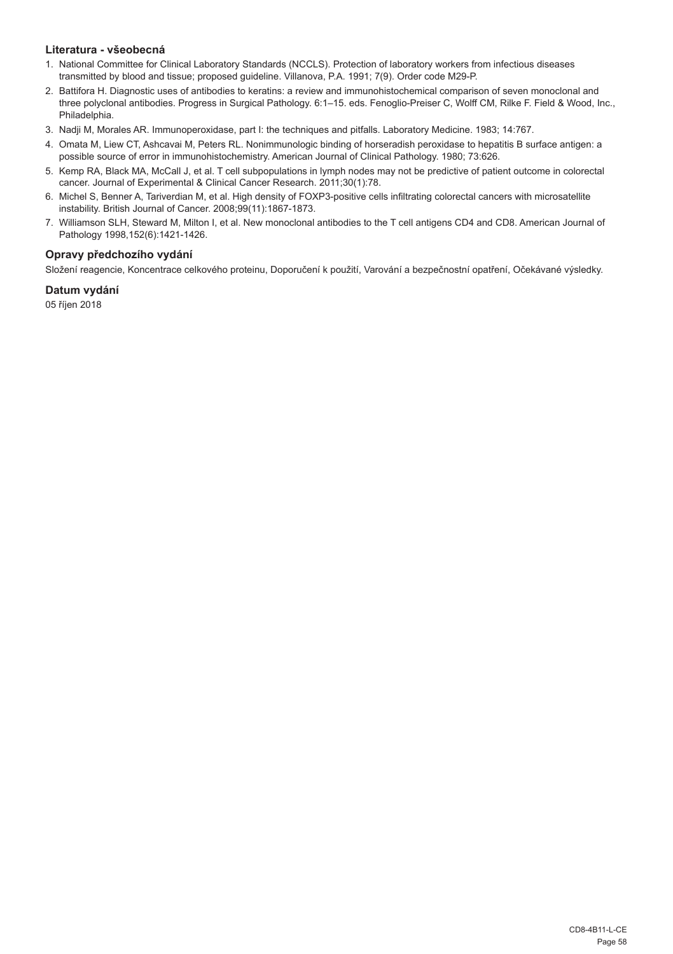# **Literatura - všeobecná**

- 1. National Committee for Clinical Laboratory Standards (NCCLS). Protection of laboratory workers from infectious diseases transmitted by blood and tissue; proposed guideline. Villanova, P.A. 1991; 7(9). Order code M29-P.
- 2. Battifora H. Diagnostic uses of antibodies to keratins: a review and immunohistochemical comparison of seven monoclonal and three polyclonal antibodies. Progress in Surgical Pathology. 6:1–15. eds. Fenoglio-Preiser C, Wolff CM, Rilke F. Field & Wood, Inc., Philadelphia.
- 3. Nadji M, Morales AR. Immunoperoxidase, part I: the techniques and pitfalls. Laboratory Medicine. 1983; 14:767.
- 4. Omata M, Liew CT, Ashcavai M, Peters RL. Nonimmunologic binding of horseradish peroxidase to hepatitis B surface antigen: a possible source of error in immunohistochemistry. American Journal of Clinical Pathology. 1980; 73:626.
- 5. Kemp RA, Black MA, McCall J, et al. T cell subpopulations in lymph nodes may not be predictive of patient outcome in colorectal cancer. Journal of Experimental & Clinical Cancer Research. 2011;30(1):78.
- 6. Michel S, Benner A, Tariverdian M, et al. High density of FOXP3-positive cells infiltrating colorectal cancers with microsatellite instability. British Journal of Cancer. 2008;99(11):1867-1873.
- 7. Williamson SLH, Steward M, Milton I, et al. New monoclonal antibodies to the T cell antigens CD4 and CD8. American Journal of Pathology 1998,152(6):1421-1426.

# **Opravy předchozího vydání**

Složení reagencie, Koncentrace celkového proteinu, Doporučení k použití, Varování a bezpečnostní opatření, Očekávané výsledky.

# **Datum vydání**

05 říjen 2018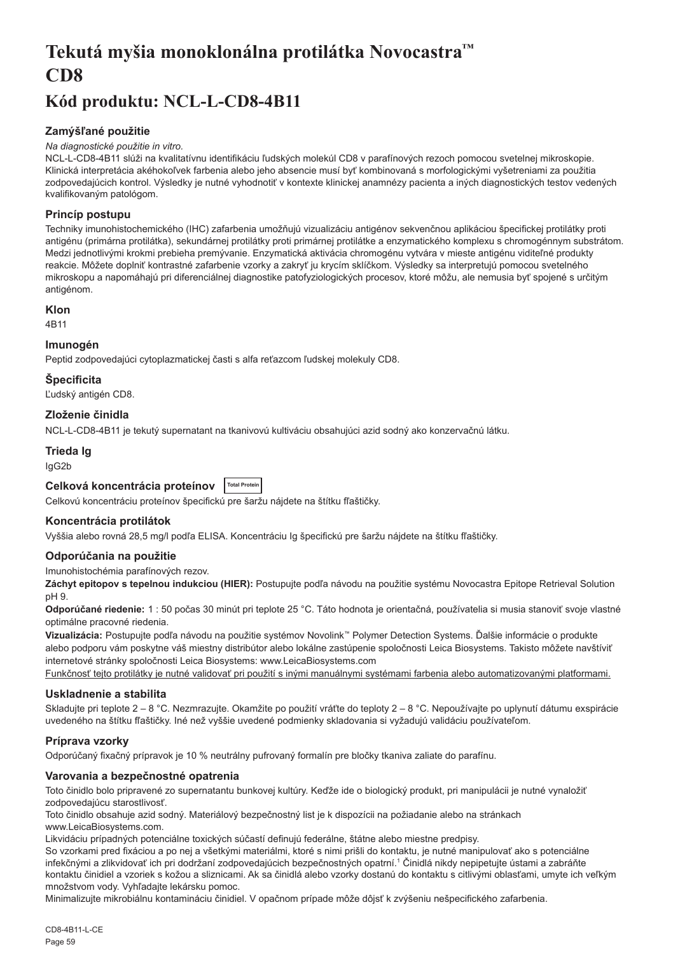# <span id="page-59-0"></span>**Tekutá myšia monoklonálna protilátka Novocastra™ CD8**

# **Kód produktu: NCL-L-CD8-4B11**

# **Zamýšľané použitie**

### *Na diagnostické použitie in vitro.*

NCL-L-CD8-4B11 slúži na kvalitatívnu identifikáciu ľudských molekúl CD8 v parafínových rezoch pomocou svetelnej mikroskopie. Klinická interpretácia akéhokoľvek farbenia alebo jeho absencie musí byť kombinovaná s morfologickými vyšetreniami za použitia zodpovedajúcich kontrol. Výsledky je nutné vyhodnotiť v kontexte klinickej anamnézy pacienta a iných diagnostických testov vedených kvalifikovaným patológom.

# **Princíp postupu**

Techniky imunohistochemického (IHC) zafarbenia umožňujú vizualizáciu antigénov sekvenčnou aplikáciou špecifickej protilátky proti antigénu (primárna protilátka), sekundárnej protilátky proti primárnej protilátke a enzymatického komplexu s chromogénnym substrátom. Medzi jednotlivými krokmi prebieha premývanie. Enzymatická aktivácia chromogénu vytvára v mieste antigénu viditeľné produkty reakcie. Môžete doplniť kontrastné zafarbenie vzorky a zakryť ju krycím sklíčkom. Výsledky sa interpretujú pomocou svetelného mikroskopu a napomáhajú pri diferenciálnej diagnostike patofyziologických procesov, ktoré môžu, ale nemusia byť spojené s určitým antigénom.

# **Klon**

4B11

# **Imunogén**

Peptid zodpovedajúci cytoplazmatickej časti s alfa reťazcom ľudskej molekuly CD8.

# **Špecificita**

Ľudský antigén CD8.

# **Zloženie činidla**

NCL-L-CD8-4B11 je tekutý supernatant na tkanivovú kultiváciu obsahujúci azid sodný ako konzervačnú látku.

# **Trieda Ig**

IgG2b

#### **Celková koncentrácia proteínov Total Prote**

Celkovú koncentráciu proteínov špecifickú pre šaržu nájdete na štítku fľaštičky.

# **Koncentrácia protilátok**

Vyššia alebo rovná 28,5 mg/l podľa ELISA. Koncentráciu Ig špecifickú pre šaržu nájdete na štítku fľaštičky.

# **Odporúčania na použitie**

Imunohistochémia parafínových rezov.

**Záchyt epitopov s tepelnou indukciou (HIER):** Postupujte podľa návodu na použitie systému Novocastra Epitope Retrieval Solution pH 9.

**Odporúčané riedenie:** 1 : 50 počas 30 minút pri teplote 25 °C. Táto hodnota je orientačná, používatelia si musia stanoviť svoje vlastné optimálne pracovné riedenia.

**Vizualizácia:** Postupujte podľa návodu na použitie systémov Novolink™ Polymer Detection Systems. Ďalšie informácie o produkte alebo podporu vám poskytne váš miestny distribútor alebo lokálne zastúpenie spoločnosti Leica Biosystems. Takisto môžete navštíviť internetové stránky spoločnosti Leica Biosystems: www.LeicaBiosystems.com

Funkčnosť tejto protilátky je nutné validovať pri použití s inými manuálnymi systémami farbenia alebo automatizovanými platformami.

# **Uskladnenie a stabilita**

Skladujte pri teplote 2 – 8 °C. Nezmrazujte. Okamžite po použití vráťte do teploty 2 – 8 °C. Nepoužívajte po uplynutí dátumu exspirácie uvedeného na štítku fľaštičky. Iné než vyššie uvedené podmienky skladovania si vyžadujú validáciu používateľom.

# **Príprava vzorky**

Odporúčaný fixačný prípravok je 10 % neutrálny pufrovaný formalín pre bločky tkaniva zaliate do parafínu.

# **Varovania a bezpečnostné opatrenia**

Toto činidlo bolo pripravené zo supernatantu bunkovej kultúry. Keďže ide o biologický produkt, pri manipulácii je nutné vynaložiť zodpovedajúcu starostlivosť.

Toto činidlo obsahuje azid sodný. Materiálový bezpečnostný list je k dispozícii na požiadanie alebo na stránkach www.LeicaBiosystems.com.

Likvidáciu prípadných potenciálne toxických súčastí definujú federálne, štátne alebo miestne predpisy.

So vzorkami pred fixáciou a po nej a všetkými materiálmi, ktoré s nimi prišli do kontaktu, je nutné manipulovať ako s potenciálne infekčnými a zlikvidovať ich pri dodržaní zodpovedajúcich bezpečnostných opatrní.<sup>1</sup> Činidlá nikdy nepipetujte ústami a zabráňte kontaktu činidiel a vzoriek s kožou a sliznicami. Ak sa činidlá alebo vzorky dostanú do kontaktu s citlivými oblasťami, umyte ich veľkým množstvom vody. Vyhľadajte lekársku pomoc.

Minimalizujte mikrobiálnu kontamináciu činidiel. V opačnom prípade môže dôjsť k zvýšeniu nešpecifického zafarbenia.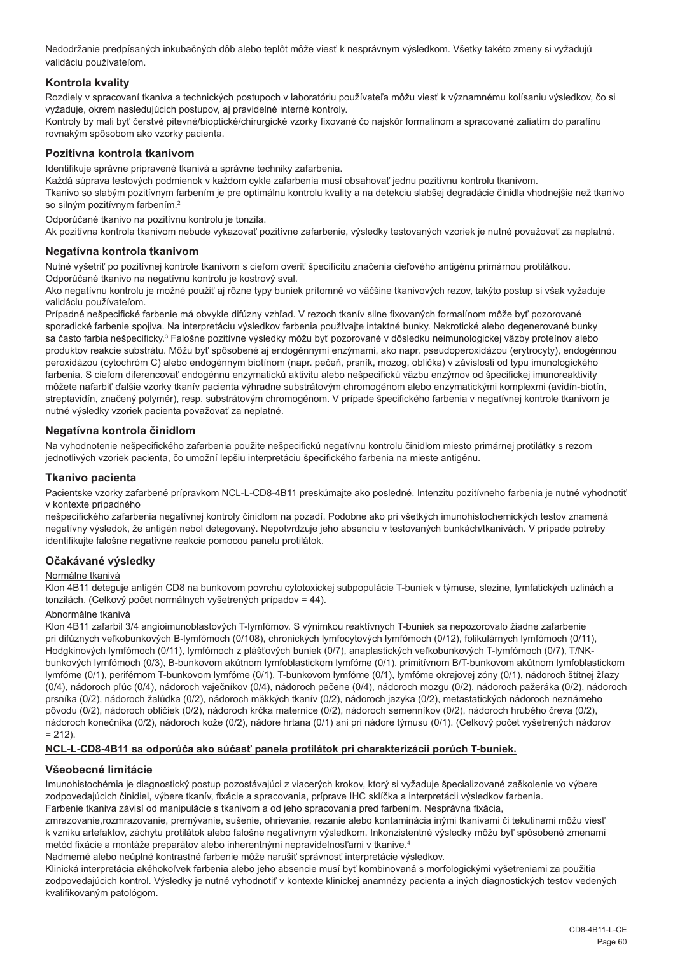Nedodržanie predpísaných inkubačných dôb alebo teplôt môže viesť k nesprávnym výsledkom. Všetky takéto zmeny si vyžadujú validáciu používateľom.

# **Kontrola kvality**

Rozdiely v spracovaní tkaniva a technických postupoch v laboratóriu používateľa môžu viesť k významnému kolísaniu výsledkov, čo si vyžaduje, okrem nasledujúcich postupov, aj pravidelné interné kontroly.

Kontroly by mali byť čerstvé pitevné/bioptické/chirurgické vzorky fixované čo najskôr formalínom a spracované zaliatím do parafínu rovnakým spôsobom ako vzorky pacienta.

# **Pozitívna kontrola tkanivom**

Identifikuje správne pripravené tkanivá a správne techniky zafarbenia.

Každá súprava testových podmienok v každom cykle zafarbenia musí obsahovať jednu pozitívnu kontrolu tkanivom.

Tkanivo so slabým pozitívnym farbením je pre optimálnu kontrolu kvality a na detekciu slabšej degradácie činidla vhodnejšie než tkanivo so silným pozitívnym farbením.<sup>2</sup>

Odporúčané tkanivo na pozitívnu kontrolu je tonzila.

Ak pozitívna kontrola tkanivom nebude vykazovať pozitívne zafarbenie, výsledky testovaných vzoriek je nutné považovať za neplatné.

### **Negatívna kontrola tkanivom**

Nutné vyšetriť po pozitívnej kontrole tkanivom s cieľom overiť špecificitu značenia cieľového antigénu primárnou protilátkou. Odporúčané tkanivo na negatívnu kontrolu je kostrový sval.

Ako negatívnu kontrolu je možné použiť aj rôzne typy buniek prítomné vo väčšine tkanivových rezov, takýto postup si však vyžaduje validáciu používateľom.

Prípadné nešpecifické farbenie má obvykle difúzny vzhľad. V rezoch tkanív silne fixovaných formalínom môže byť pozorované sporadické farbenie spojiva. Na interpretáciu výsledkov farbenia používajte intaktné bunky. Nekrotické alebo degenerované bunky sa často farbia nešpecificky.<sup>3</sup> Falošne pozitívne výsledky môžu byť pozorované v dôsledku neimunologickej väzby proteínov alebo produktov reakcie substrátu. Môžu byť spôsobené aj endogénnymi enzýmami, ako napr. pseudoperoxidázou (erytrocyty), endogénnou peroxidázou (cytochróm C) alebo endogénnym biotínom (napr. pečeň, prsník, mozog, oblička) v závislosti od typu imunologického farbenia. S cieľom diferencovať endogénnu enzymatickú aktivitu alebo nešpecifickú väzbu enzýmov od špecifickej imunoreaktivity môžete nafarbiť ďalšie vzorky tkanív pacienta výhradne substrátovým chromogénom alebo enzymatickými komplexmi (avidín-biotín, streptavidín, značený polymér), resp. substrátovým chromogénom. V prípade špecifického farbenia v negatívnej kontrole tkanivom je nutné výsledky vzoriek pacienta považovať za neplatné.

### **Negatívna kontrola činidlom**

Na vyhodnotenie nešpecifického zafarbenia použite nešpecifickú negatívnu kontrolu činidlom miesto primárnej protilátky s rezom jednotlivých vzoriek pacienta, čo umožní lepšiu interpretáciu špecifického farbenia na mieste antigénu.

#### **Tkanivo pacienta**

Pacientske vzorky zafarbené prípravkom NCL-L-CD8-4B11 preskúmajte ako posledné. Intenzitu pozitívneho farbenia je nutné vyhodnotiť v kontexte prípadného

nešpecifického zafarbenia negatívnej kontroly činidlom na pozadí. Podobne ako pri všetkých imunohistochemických testov znamená negatívny výsledok, že antigén nebol detegovaný. Nepotvrdzuje jeho absenciu v testovaných bunkách/tkanivách. V prípade potreby identifikujte falošne negatívne reakcie pomocou panelu protilátok.

# **Očakávané výsledky**

#### Normálne tkanivá

Klon 4B11 deteguje antigén CD8 na bunkovom povrchu cytotoxickej subpopulácie T-buniek v týmuse, slezine, lymfatických uzlinách a tonzilách. (Celkový počet normálnych vyšetrených prípadov = 44).

### Abnormálne tkanivá

Klon 4B11 zafarbil 3/4 angioimunoblastových T-lymfómov. S výnimkou reaktívnych T-buniek sa nepozorovalo žiadne zafarbenie pri difúznych veľkobunkových B-lymfómoch (0/108), chronických lymfocytových lymfómoch (0/12), folikulárnych lymfómoch (0/11), Hodgkinových lymfómoch (0/11), lymfómoch z plášťových buniek (0/7), anaplastických veľkobunkových T-lymfómoch (0/7), T/NKbunkových lymfómoch (0/3), B-bunkovom akútnom lymfoblastickom lymfóme (0/1), primitívnom B/T-bunkovom akútnom lymfoblastickom lymfóme (0/1), periférnom T-bunkovom lymfóme (0/1), T-bunkovom lymfóme (0/1), lymfóme okrajovej zóny (0/1), nádoroch štítnej žľazy (0/4), nádoroch pľúc (0/4), nádoroch vaječníkov (0/4), nádoroch pečene (0/4), nádoroch mozgu (0/2), nádoroch pažeráka (0/2), nádoroch prsníka (0/2), nádoroch žalúdka (0/2), nádoroch mäkkých tkanív (0/2), nádoroch jazyka (0/2), metastatických nádoroch neznámeho pôvodu (0/2), nádoroch obličiek (0/2), nádoroch krčka maternice (0/2), nádoroch semenníkov (0/2), nádoroch hrubého čreva (0/2), nádoroch konečníka (0/2), nádoroch kože (0/2), nádore hrtana (0/1) ani pri nádore týmusu (0/1). (Celkový počet vyšetrených nádorov  $= 212$ 

# **NCL-L-CD8-4B11 sa odporúča ako súčasť panela protilátok pri charakterizácii porúch T-buniek.**

### **Všeobecné limitácie**

Imunohistochémia je diagnostický postup pozostávajúci z viacerých krokov, ktorý si vyžaduje špecializované zaškolenie vo výbere zodpovedajúcich činidiel, výbere tkanív, fixácie a spracovania, príprave IHC sklíčka a interpretácii výsledkov farbenia. Farbenie tkaniva závisí od manipulácie s tkanivom a od jeho spracovania pred farbením. Nesprávna fixácia,

zmrazovanie, rozmrazovanie, premývanie, sušenie, ohrievanie, rezanie alebo kontaminácia inými tkanivami či tekutinami môžu viesť k vzniku artefaktov, záchytu protilátok alebo falošne negatívnym výsledkom. Inkonzistentné výsledky môžu byť spôsobené zmenami metód fixácie a montáže preparátov alebo inherentnými nepravidelnosťami v tkanive.<sup>4</sup>

Nadmerné alebo neúplné kontrastné farbenie môže narušiť správnosť interpretácie výsledkov.

Klinická interpretácia akéhokoľvek farbenia alebo jeho absencie musí byť kombinovaná s morfologickými vyšetreniami za použitia zodpovedajúcich kontrol. Výsledky je nutné vyhodnotiť v kontexte klinickej anamnézy pacienta a iných diagnostických testov vedených kvalifikovaným patológom.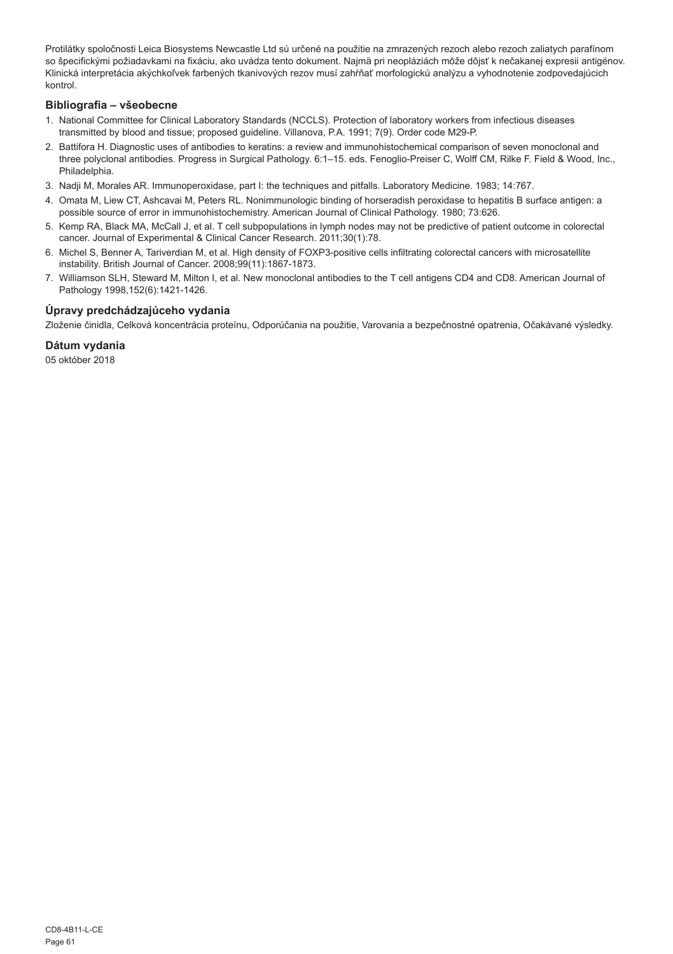Protilátky spoločnosti Leica Biosystems Newcastle Ltd sú určené na použitie na zmrazených rezoch alebo rezoch zaliatych parafínom so špecifickými požiadavkami na fixáciu, ako uvádza tento dokument. Najmä pri neopláziách môže dôjsť k nečakanej expresii antigénov. Klinická interpretácia akýchkoľvek farbených tkanivových rezov musí zahŕňať morfologickú analýzu a vyhodnotenie zodpovedajúcich kontrol.

# **Bibliografia – všeobecne**

- 1. National Committee for Clinical Laboratory Standards (NCCLS). Protection of laboratory workers from infectious diseases transmitted by blood and tissue; proposed guideline. Villanova, P.A. 1991; 7(9). Order code M29-P.
- 2. Battifora H. Diagnostic uses of antibodies to keratins: a review and immunohistochemical comparison of seven monoclonal and three polyclonal antibodies. Progress in Surgical Pathology. 6:1–15. eds. Fenoglio-Preiser C, Wolff CM, Rilke F. Field & Wood, Inc., Philadelphia.
- 3. Nadji M, Morales AR. Immunoperoxidase, part I: the techniques and pitfalls. Laboratory Medicine. 1983; 14:767.
- 4. Omata M, Liew CT, Ashcavai M, Peters RL. Nonimmunologic binding of horseradish peroxidase to hepatitis B surface antigen: a possible source of error in immunohistochemistry. American Journal of Clinical Pathology. 1980; 73:626.
- 5. Kemp RA, Black MA, McCall J, et al. T cell subpopulations in lymph nodes may not be predictive of patient outcome in colorectal cancer. Journal of Experimental & Clinical Cancer Research. 2011;30(1):78.
- 6. Michel S, Benner A, Tariverdian M, et al. High density of FOXP3-positive cells infiltrating colorectal cancers with microsatellite instability. British Journal of Cancer. 2008;99(11):1867-1873.
- 7. Williamson SLH, Steward M, Milton I, et al. New monoclonal antibodies to the T cell antigens CD4 and CD8. American Journal of Pathology 1998,152(6):1421-1426.

# **Úpravy predchádzajúceho vydania**

Zloženie činidla, Celková koncentrácia proteínu, Odporúčania na použitie, Varovania a bezpečnostné opatrenia, Očakávané výsledky.

# **Dátum vydania**

05 október 2018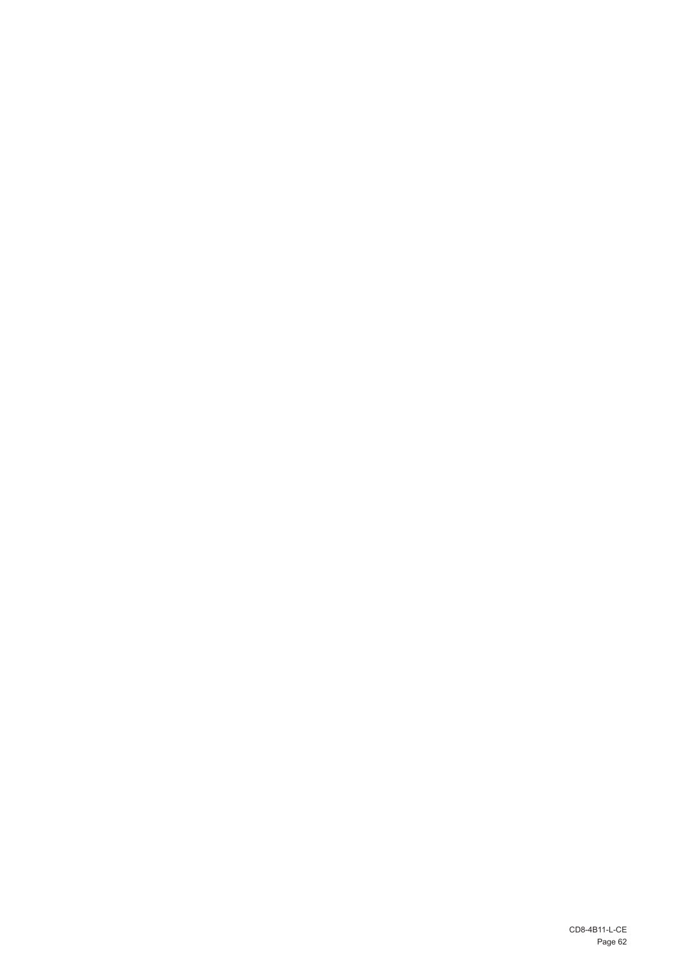CD8-4B11-L-CE Page 62